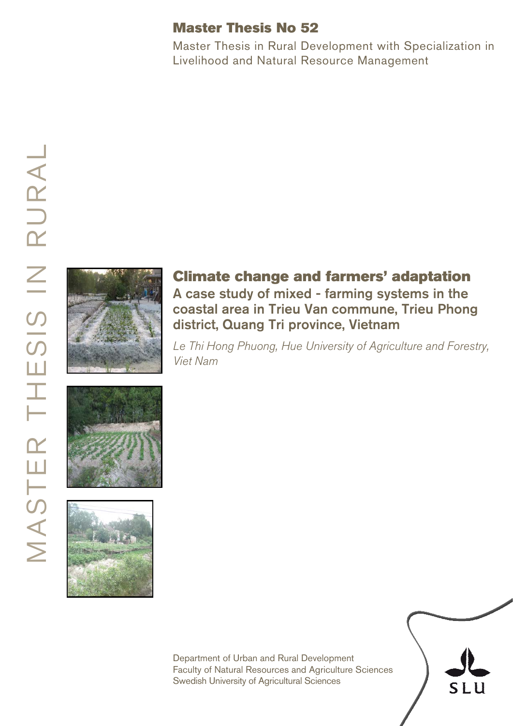# Master Thesis No 52

Master Thesis in Rural Development with Specialization in Livelihood and Natural Resource Management



# Climate change and farmers' adaptation A case study of mixed - farming systems in the coastal area in Trieu Van commune, Trieu Phong district, Quang Tri province, Vietnam

*Le Thi Hong Phuong, Hue University of Agriculture and Forestry, Viet Nam* 





Department of Urban and Rural Development Faculty of Natural Resources and Agriculture Sciences Swedish University of Agricultural Sciences

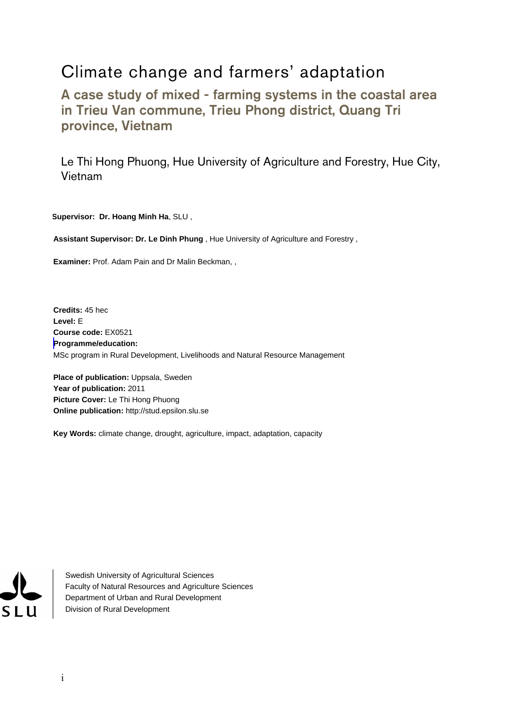# Climate change and farmers' adaptation

A case study of mixed - farming systems in the coastal area in Trieu Van commune, Trieu Phong district, Quang Tri province, Vietnam

Le Thi Hong Phuong, Hue University of Agriculture and Forestry, Hue City, Vietnam

**Supervisor: Dr. Hoang Minh Ha**, SLU ,

**Assistant Supervisor: Dr. Le Dinh Phung** , Hue University of Agriculture and Forestry ,

**Examiner:** Prof. Adam Pain and Dr Malin Beckman, ,

**Credits:** 45 hec **Level:** E **Course code:** EX0521 **Programme/education:**  MSc program in Rural Development, Livelihoods and Natural Resource Management

**Place of publication: Uppsala, Sweden Year of publication:** 2011 **Picture Cover:** Le Thi Hong Phuong **Online publication:** http://stud.epsilon.slu.se

**Key Words:** climate change, drought, agriculture, impact, adaptation, capacity

**SLU** 

Swedish University of Agricultural Sciences Faculty of Natural Resources and Agriculture Sciences Department of Urban and Rural Development Division of Rural Development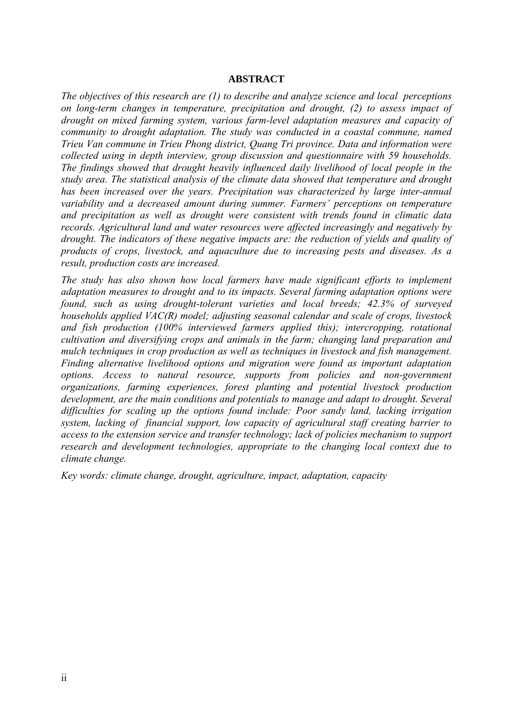#### **ABSTRACT**

*The objectives of this research are (1) to describe and analyze science and local perceptions on long-term changes in temperature, precipitation and drought, (2) to assess impact of drought on mixed farming system, various farm-level adaptation measures and capacity of community to drought adaptation. The study was conducted in a coastal commune, named Trieu Van commune in Trieu Phong district, Quang Tri province. Data and information were collected using in depth interview, group discussion and questionnaire with 59 households. The findings showed that drought heavily influenced daily livelihood of local people in the study area. The statistical analysis of the climate data showed that temperature and drought has been increased over the years. Precipitation was characterized by large inter-annual variability and a decreased amount during summer. Farmers' perceptions on temperature and precipitation as well as drought were consistent with trends found in climatic data records. Agricultural land and water resources were affected increasingly and negatively by drought. The indicators of these negative impacts are: the reduction of yields and quality of products of crops, livestock, and aquaculture due to increasing pests and diseases. As a result, production costs are increased.* 

*The study has also shown how local farmers have made significant efforts to implement adaptation measures to drought and to its impacts. Several farming adaptation options were found, such as using drought-tolerant varieties and local breeds; 42.3% of surveyed households applied VAC(R) model; adjusting seasonal calendar and scale of crops, livestock and fish production (100% interviewed farmers applied this); intercropping, rotational cultivation and diversifying crops and animals in the farm; changing land preparation and mulch techniques in crop production as well as techniques in livestock and fish management. Finding alternative livelihood options and migration were found as important adaptation options. Access to natural resource, supports from policies and non-government organizations, farming experiences, forest planting and potential livestock production development, are the main conditions and potentials to manage and adapt to drought. Several difficulties for scaling up the options found include: Poor sandy land, lacking irrigation system, lacking of financial support, low capacity of agricultural staff creating barrier to access to the extension service and transfer technology; lack of policies mechanism to support research and development technologies, appropriate to the changing local context due to climate change.* 

*Key words: climate change, drought, agriculture, impact, adaptation, capacity*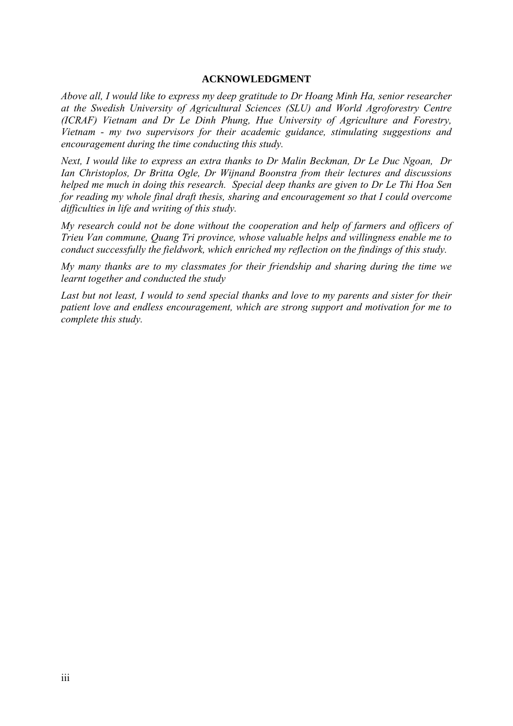#### **ACKNOWLEDGMENT**

*Above all, I would like to express my deep gratitude to Dr Hoang Minh Ha, senior researcher at the Swedish University of Agricultural Sciences (SLU) and World Agroforestry Centre (ICRAF) Vietnam and Dr Le Dinh Phung, Hue University of Agriculture and Forestry, Vietnam - my two supervisors for their academic guidance, stimulating suggestions and encouragement during the time conducting this study.* 

*Next, I would like to express an extra thanks to Dr Malin Beckman, Dr Le Duc Ngoan, Dr Ian Christoplos, Dr Britta Ogle, Dr Wijnand Boonstra from their lectures and discussions helped me much in doing this research. Special deep thanks are given to Dr Le Thi Hoa Sen for reading my whole final draft thesis, sharing and encouragement so that I could overcome difficulties in life and writing of this study.* 

*My research could not be done without the cooperation and help of farmers and officers of Trieu Van commune, Quang Tri province, whose valuable helps and willingness enable me to conduct successfully the fieldwork, which enriched my reflection on the findings of this study.* 

*My many thanks are to my classmates for their friendship and sharing during the time we learnt together and conducted the study* 

*Last but not least, I would to send special thanks and love to my parents and sister for their patient love and endless encouragement, which are strong support and motivation for me to complete this study.*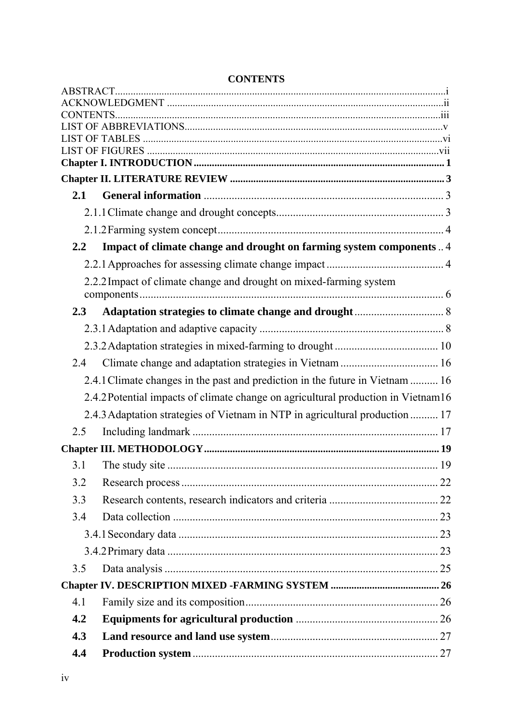| 4.4 |                                                                                   |  |
|-----|-----------------------------------------------------------------------------------|--|
| 4.3 |                                                                                   |  |
| 4.2 |                                                                                   |  |
| 4.1 |                                                                                   |  |
|     |                                                                                   |  |
| 3.5 |                                                                                   |  |
|     |                                                                                   |  |
|     |                                                                                   |  |
| 3.4 |                                                                                   |  |
| 3.3 |                                                                                   |  |
| 3.2 |                                                                                   |  |
| 3.1 |                                                                                   |  |
|     |                                                                                   |  |
| 2.5 |                                                                                   |  |
|     | 2.4.3 Adaptation strategies of Vietnam in NTP in agricultural production  17      |  |
|     | 2.4.2 Potential impacts of climate change on agricultural production in Vietnam16 |  |
|     | 2.4.1 Climate changes in the past and prediction in the future in Vietnam  16     |  |
| 2.4 | Climate change and adaptation strategies in Vietnam  16                           |  |
|     |                                                                                   |  |
|     |                                                                                   |  |
| 2.3 |                                                                                   |  |
|     |                                                                                   |  |
|     | 2.2.2 Impact of climate change and drought on mixed-farming system                |  |
|     |                                                                                   |  |
| 2.2 | Impact of climate change and drought on farming system components  4              |  |
|     |                                                                                   |  |
|     |                                                                                   |  |
|     |                                                                                   |  |
|     |                                                                                   |  |
|     |                                                                                   |  |
|     |                                                                                   |  |
|     |                                                                                   |  |
|     |                                                                                   |  |
|     |                                                                                   |  |

## **CONTENTS**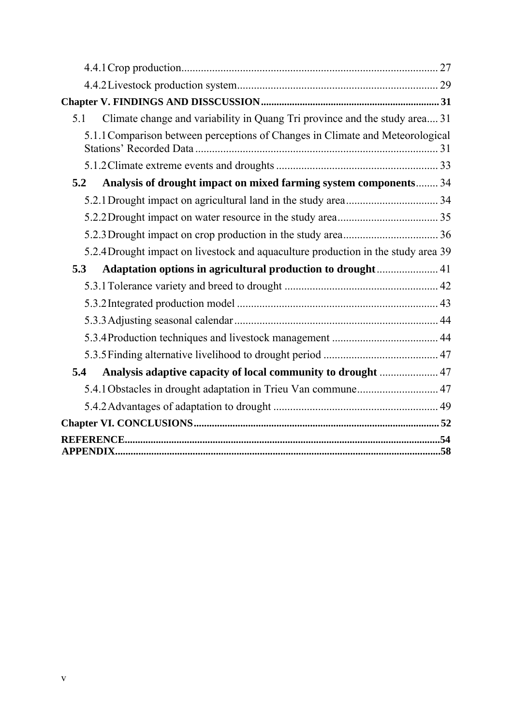| Climate change and variability in Quang Tri province and the study area 31<br>5.1 |  |
|-----------------------------------------------------------------------------------|--|
| 5.1.1 Comparison between perceptions of Changes in Climate and Meteorological     |  |
|                                                                                   |  |
| Analysis of drought impact on mixed farming system components 34<br>5.2           |  |
|                                                                                   |  |
|                                                                                   |  |
|                                                                                   |  |
| 5.2.4 Drought impact on livestock and aquaculture production in the study area 39 |  |
| Adaptation options in agricultural production to drought 41<br>5.3                |  |
|                                                                                   |  |
|                                                                                   |  |
|                                                                                   |  |
|                                                                                   |  |
|                                                                                   |  |
| Analysis adaptive capacity of local community to drought  47<br>5.4               |  |
| 5.4.1 Obstacles in drought adaptation in Trieu Van commune 47                     |  |
|                                                                                   |  |
|                                                                                   |  |
|                                                                                   |  |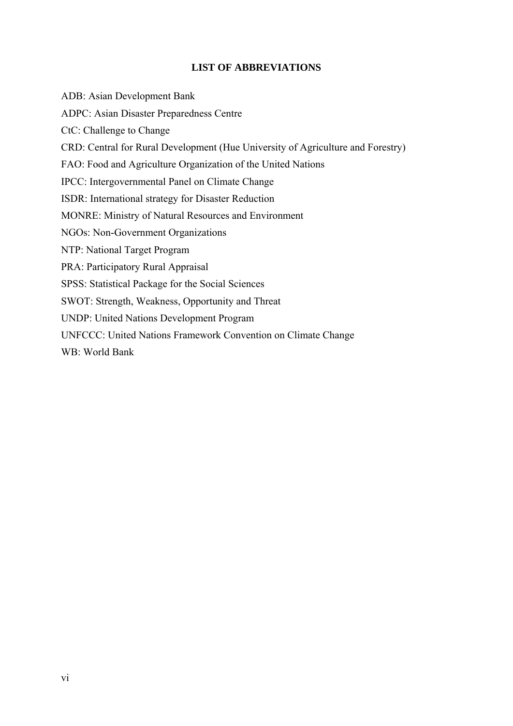#### **LIST OF ABBREVIATIONS**

ADB: Asian Development Bank ADPC: Asian Disaster Preparedness Centre CtC: Challenge to Change CRD: Central for Rural Development (Hue University of Agriculture and Forestry) FAO: Food and Agriculture Organization of the United Nations IPCC: Intergovernmental Panel on Climate Change ISDR: International strategy for Disaster Reduction MONRE: Ministry of Natural Resources and Environment NGOs: Non-Government Organizations NTP: National Target Program PRA: Participatory Rural Appraisal SPSS: Statistical Package for the Social Sciences SWOT: Strength, Weakness, Opportunity and Threat UNDP: United Nations Development Program UNFCCC: United Nations Framework Convention on Climate Change WB: World Bank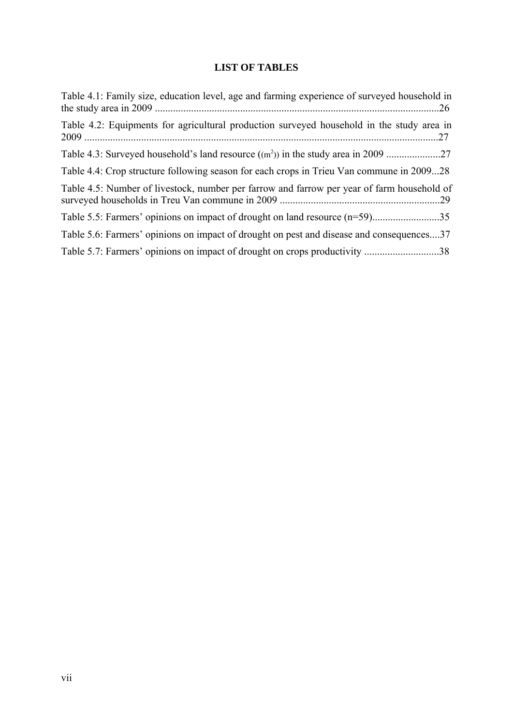## **LIST OF TABLES**

| Table 4.1: Family size, education level, age and farming experience of surveyed household in<br>.26 |
|-----------------------------------------------------------------------------------------------------|
| Table 4.2: Equipments for agricultural production surveyed household in the study area in           |
|                                                                                                     |
| Table 4.4: Crop structure following season for each crops in Trieu Van commune in 200928            |
| Table 4.5: Number of livestock, number per farrow and farrow per year of farm household of          |
|                                                                                                     |
| Table 5.6: Farmers' opinions on impact of drought on pest and disease and consequences37            |
| Table 5.7: Farmers' opinions on impact of drought on crops productivity 38                          |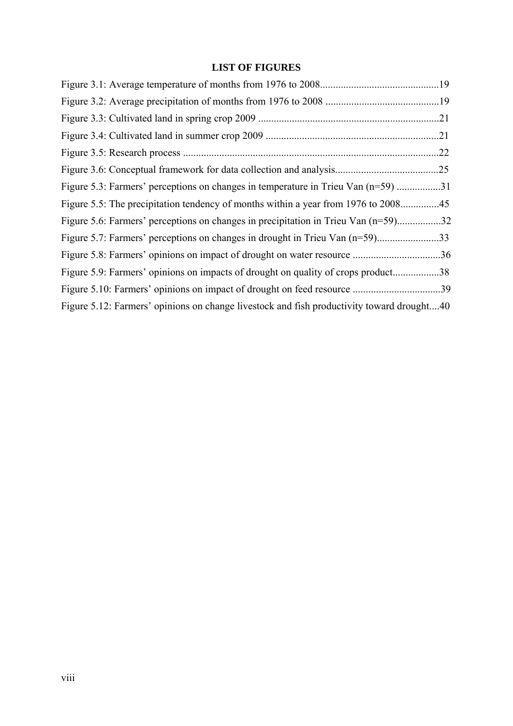## **LIST OF FIGURES**

|                                                                                           | .22 |
|-------------------------------------------------------------------------------------------|-----|
|                                                                                           | .25 |
| Figure 5.3: Farmers' perceptions on changes in temperature in Trieu Van (n=59) 31         |     |
|                                                                                           |     |
| Figure 5.6: Farmers' perceptions on changes in precipitation in Trieu Van (n=59)32        |     |
|                                                                                           |     |
|                                                                                           |     |
| Figure 5.9: Farmers' opinions on impacts of drought on quality of crops product           | .38 |
|                                                                                           |     |
| Figure 5.12: Farmers' opinions on change livestock and fish productivity toward drought40 |     |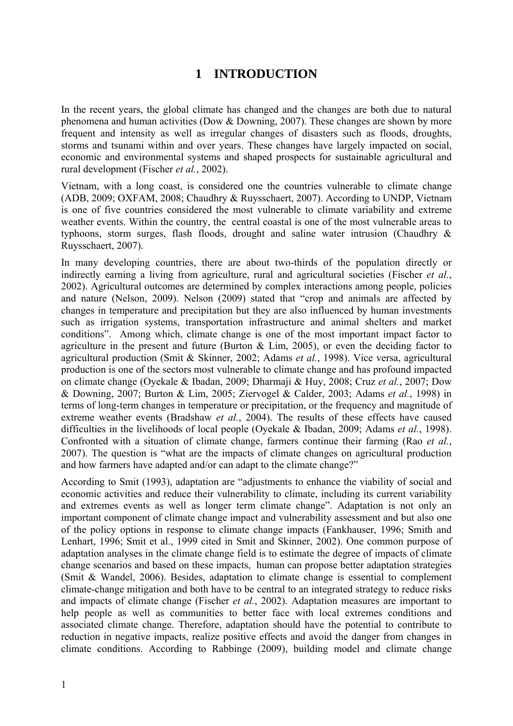# **1 INTRODUCTION**

<span id="page-9-0"></span>In the recent years, the global climate has changed and the changes are both due to natural phenomena and human activities (Dow & Downing, 2007). These changes are shown by more frequent and intensity as well as irregular changes of disasters such as floods, droughts, storms and tsunami within and over years. These changes have largely impacted on social, economic and environmental systems and shaped prospects for sustainable agricultural and rural development (Fischer *et al.*, 2002).

Vietnam, with a long coast, is considered one the countries vulnerable to climate change (ADB, 2009; OXFAM, 2008; Chaudhry & Ruysschaert, 2007). According to UNDP, Vietnam is one of five countries considered the most vulnerable to climate variability and extreme weather events. Within the country, the central coastal is one of the most vulnerable areas to typhoons, storm surges, flash floods, drought and saline water intrusion (Chaudhry & Ruysschaert, 2007).

In many developing countries, there are about two-thirds of the population directly or indirectly earning a living from agriculture, rural and agricultural societies (Fischer *et al.*, 2002). Agricultural outcomes are determined by complex interactions among people, policies and nature (Nelson, 2009). Nelson (2009) stated that "crop and animals are affected by changes in temperature and precipitation but they are also influenced by human investments such as irrigation systems, transportation infrastructure and animal shelters and market conditions". Among which, climate change is one of the most important impact factor to agriculture in the present and future (Burton & Lim, 2005), or even the deciding factor to agricultural production (Smit & Skinner, 2002; Adams *et al.*, 1998). Vice versa, agricultural production is one of the sectors most vulnerable to climate change and has profound impacted on climate change (Oyekale & Ibadan, 2009; Dharmaji & Huy, 2008; Cruz *et al.*, 2007; Dow & Downing, 2007; Burton & Lim, 2005; Ziervogel & Calder, 2003; Adams *et al.*, 1998) in terms of long-term changes in temperature or precipitation, or the frequency and magnitude of extreme weather events (Bradshaw *et al.*, 2004). The results of these effects have caused difficulties in the livelihoods of local people (Oyekale & Ibadan, 2009; Adams *et al.*, 1998). Confronted with a situation of climate change, farmers continue their farming (Rao *et al.*, 2007). The question is "what are the impacts of climate changes on agricultural production and how farmers have adapted and/or can adapt to the climate change?"

According to Smit (1993), adaptation are "adjustments to enhance the viability of social and economic activities and reduce their vulnerability to climate, including its current variability and extremes events as well as longer term climate change". Adaptation is not only an important component of climate change impact and vulnerability assessment and but also one of the policy options in response to climate change impacts (Fankhauser, 1996; Smith and Lenhart, 1996; Smit et al., 1999 cited in Smit and Skinner, 2002). One common purpose of adaptation analyses in the climate change field is to estimate the degree of impacts of climate change scenarios and based on these impacts, human can propose better adaptation strategies (Smit & Wandel, 2006). Besides, adaptation to climate change is essential to complement climate-change mitigation and both have to be central to an integrated strategy to reduce risks and impacts of climate change (Fischer *et al.*, 2002). Adaptation measures are important to help people as well as communities to better face with local extremes conditions and associated climate change. Therefore, adaptation should have the potential to contribute to reduction in negative impacts, realize positive effects and avoid the danger from changes in climate conditions. According to Rabbinge (2009), building model and climate change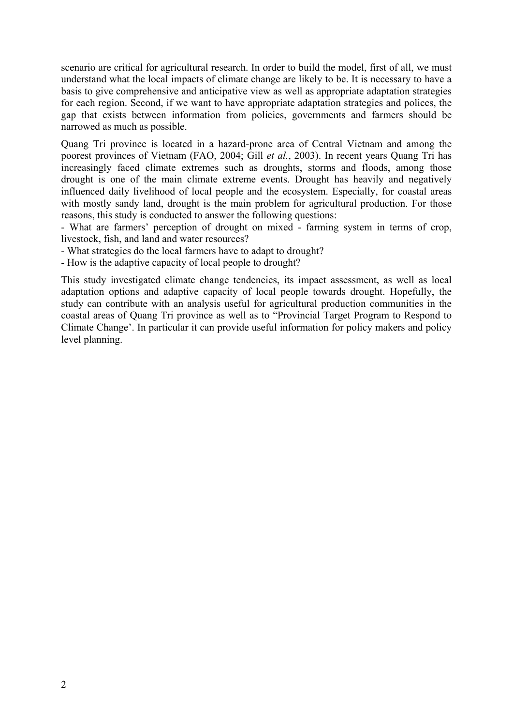scenario are critical for agricultural research. In order to build the model, first of all, we must understand what the local impacts of climate change are likely to be. It is necessary to have a basis to give comprehensive and anticipative view as well as appropriate adaptation strategies for each region. Second, if we want to have appropriate adaptation strategies and polices, the gap that exists between information from policies, governments and farmers should be narrowed as much as possible.

Quang Tri province is located in a hazard-prone area of Central Vietnam and among the poorest provinces of Vietnam (FAO, 2004; Gill *et al.*, 2003). In recent years Quang Tri has increasingly faced climate extremes such as droughts, storms and floods, among those drought is one of the main climate extreme events. Drought has heavily and negatively influenced daily livelihood of local people and the ecosystem. Especially, for coastal areas with mostly sandy land, drought is the main problem for agricultural production. For those reasons, this study is conducted to answer the following questions:

- What are farmers' perception of drought on mixed - farming system in terms of crop, livestock, fish, and land and water resources?

- What strategies do the local farmers have to adapt to drought?

- How is the adaptive capacity of local people to drought?

This study investigated climate change tendencies, its impact assessment, as well as local adaptation options and adaptive capacity of local people towards drought. Hopefully, the study can contribute with an analysis useful for agricultural production communities in the coastal areas of Quang Tri province as well as to "Provincial Target Program to Respond to Climate Change'. In particular it can provide useful information for policy makers and policy level planning.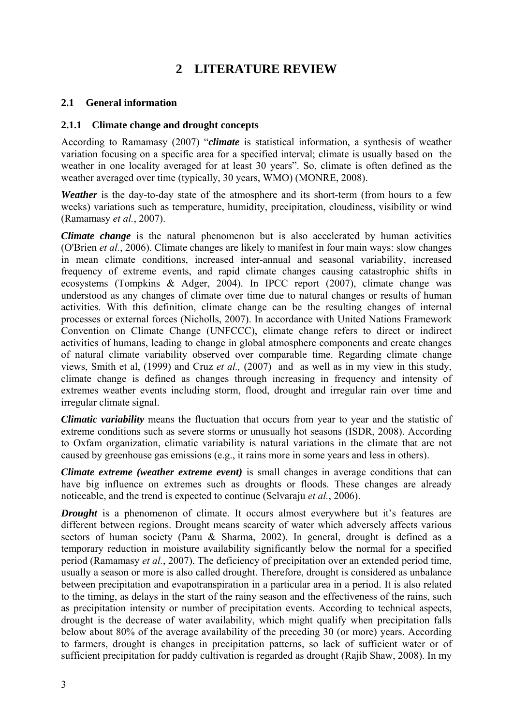## **2 LITERATURE REVIEW**

#### <span id="page-11-0"></span>**2.1 General information**

#### **2.1.1 Climate change and drought concepts**

According to Ramamasy (2007) "*climate* is statistical information, a synthesis of weather variation focusing on a specific area for a specified interval; climate is usually based on the weather in one locality averaged for at least 30 years". So, climate is often defined as the weather averaged over time (typically, 30 years, WMO) (MONRE, 2008).

*Weather* is the day-to-day state of the atmosphere and its short-term (from hours to a few weeks) variations such as temperature, humidity, precipitation, cloudiness, visibility or wind (Ramamasy *et al.*, 2007).

*Climate change* is the natural phenomenon but is also accelerated by human activities (O'Brien *et al.*, 2006). Climate changes are likely to manifest in four main ways: slow changes in mean climate conditions, increased inter-annual and seasonal variability, increased frequency of extreme events, and rapid climate changes causing catastrophic shifts in ecosystems (Tompkins & Adger, 2004). In IPCC report (2007), climate change was understood as any changes of climate over time due to natural changes or results of human activities. With this definition, climate change can be the resulting changes of internal processes or external forces (Nicholls, 2007). In accordance with United Nations Framework Convention on Climate Change (UNFCCC), climate change refers to direct or indirect activities of humans, leading to change in global atmosphere components and create changes of natural climate variability observed over comparable time. Regarding climate change views, Smith et al, (1999) and Cruz *et al.,* (2007) and as well as in my view in this study, climate change is defined as changes through increasing in frequency and intensity of extremes weather events including storm, flood, drought and irregular rain over time and irregular climate signal.

*Climatic variability* means the fluctuation that occurs from year to year and the statistic of extreme conditions such as severe storms or unusually hot seasons (ISDR, 2008). According to Oxfam organization, climatic variability is natural variations in the climate that are not caused by greenhouse gas emissions (e.g., it rains more in some years and less in others).

*Climate extreme (weather extreme event)* is small changes in average conditions that can have big influence on extremes such as droughts or floods. These changes are already noticeable, and the trend is expected to continue (Selvaraju *et al.*, 2006).

*Drought* is a phenomenon of climate. It occurs almost everywhere but it's features are different between regions. Drought means scarcity of water which adversely affects various sectors of human society (Panu & Sharma, 2002). In general, drought is defined as a temporary reduction in moisture availability significantly below the normal for a specified period (Ramamasy *et al.*, 2007). The deficiency of precipitation over an extended period time, usually a season or more is also called drought. Therefore, drought is considered as unbalance between precipitation and evapotranspiration in a particular area in a period. It is also related to the timing, as delays in the start of the rainy season and the effectiveness of the rains, such as precipitation intensity or number of precipitation events. According to technical aspects, drought is the decrease of water availability, which might qualify when precipitation falls below about 80% of the average availability of the preceding 30 (or more) years. According to farmers, drought is changes in precipitation patterns, so lack of sufficient water or of sufficient precipitation for paddy cultivation is regarded as drought (Rajib Shaw, 2008). In my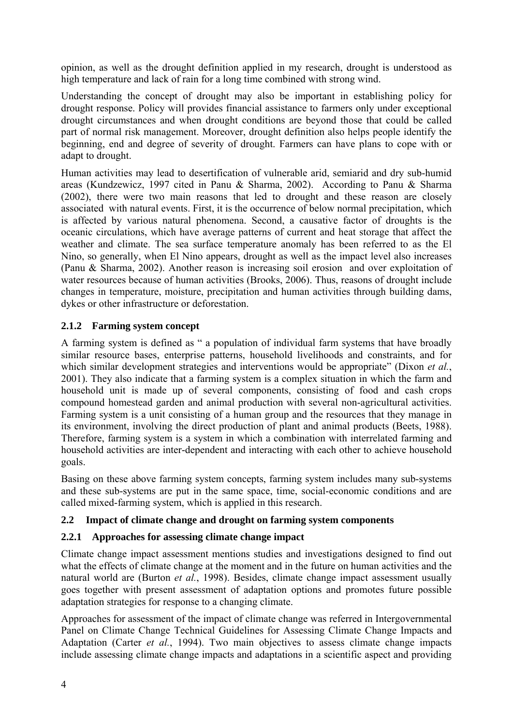<span id="page-12-0"></span>opinion, as well as the drought definition applied in my research, drought is understood as high temperature and lack of rain for a long time combined with strong wind.

Understanding the concept of drought may also be important in establishing policy for drought response. Policy will provides financial assistance to farmers only under exceptional drought circumstances and when drought conditions are beyond those that could be called part of normal risk management. Moreover, drought definition also helps people identify the beginning, end and degree of severity of drought. Farmers can have plans to cope with or adapt to drought.

Human activities may lead to desertification of vulnerable arid, semiarid and dry sub-humid areas (Kundzewicz, 1997 cited in Panu & Sharma, 2002). According to Panu & Sharma (2002), there were two main reasons that led to drought and these reason are closely associated with natural events. First, it is the occurrence of below normal precipitation, which is affected by various natural phenomena. Second, a causative factor of droughts is the oceanic circulations, which have average patterns of current and heat storage that affect the weather and climate. The sea surface temperature anomaly has been referred to as the El Nino, so generally, when El Nino appears, drought as well as the impact level also increases (Panu & Sharma, 2002). Another reason is increasing soil erosion and over exploitation of water resources because of human activities (Brooks, 2006). Thus, reasons of drought include changes in temperature, moisture, precipitation and human activities through building dams, dykes or other infrastructure or deforestation.

## **2.1.2 Farming system concept**

A farming system is defined as " a population of individual farm systems that have broadly similar resource bases, enterprise patterns, household livelihoods and constraints, and for which similar development strategies and interventions would be appropriate" (Dixon *et al.*, 2001). They also indicate that a farming system is a complex situation in which the farm and household unit is made up of several components, consisting of food and cash crops compound homestead garden and animal production with several non-agricultural activities. Farming system is a unit consisting of a human group and the resources that they manage in its environment, involving the direct production of plant and animal products (Beets, 1988). Therefore, farming system is a system in which a combination with interrelated farming and household activities are inter-dependent and interacting with each other to achieve household goals.

Basing on these above farming system concepts, farming system includes many sub-systems and these sub-systems are put in the same space, time, social-economic conditions and are called mixed-farming system, which is applied in this research.

#### **2.2 Impact of climate change and drought on farming system components**

#### **2.2.1 Approaches for assessing climate change impact**

Climate change impact assessment mentions studies and investigations designed to find out what the effects of climate change at the moment and in the future on human activities and the natural world are (Burton *et al.*, 1998). Besides, climate change impact assessment usually goes together with present assessment of adaptation options and promotes future possible adaptation strategies for response to a changing climate.

Approaches for assessment of the impact of climate change was referred in Intergovernmental Panel on Climate Change Technical Guidelines for Assessing Climate Change Impacts and Adaptation (Carter *et al.*, 1994). Two main objectives to assess climate change impacts include assessing climate change impacts and adaptations in a scientific aspect and providing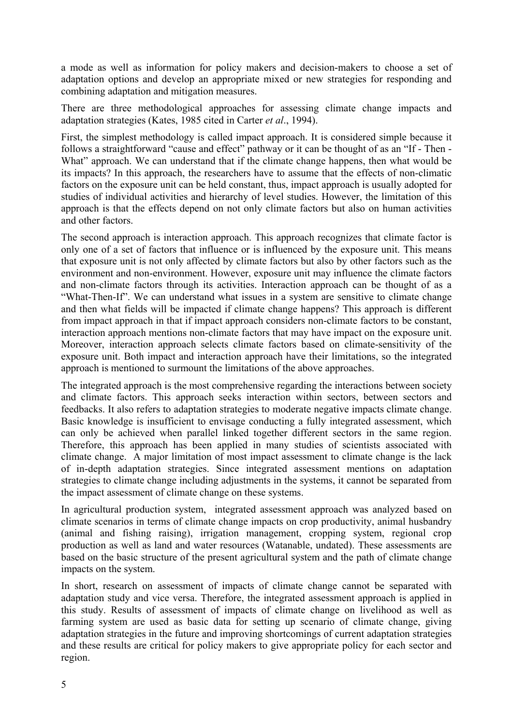a mode as well as information for policy makers and decision-makers to choose a set of adaptation options and develop an appropriate mixed or new strategies for responding and combining adaptation and mitigation measures.

There are three methodological approaches for assessing climate change impacts and adaptation strategies (Kates, 1985 cited in Carter *et al*., 1994).

First, the simplest methodology is called impact approach. It is considered simple because it follows a straightforward "cause and effect" pathway or it can be thought of as an "If - Then - What" approach. We can understand that if the climate change happens, then what would be its impacts? In this approach, the researchers have to assume that the effects of non-climatic factors on the exposure unit can be held constant, thus, impact approach is usually adopted for studies of individual activities and hierarchy of level studies. However, the limitation of this approach is that the effects depend on not only climate factors but also on human activities and other factors.

The second approach is interaction approach. This approach recognizes that climate factor is only one of a set of factors that influence or is influenced by the exposure unit. This means that exposure unit is not only affected by climate factors but also by other factors such as the environment and non-environment. However, exposure unit may influence the climate factors and non-climate factors through its activities. Interaction approach can be thought of as a "What-Then-If". We can understand what issues in a system are sensitive to climate change and then what fields will be impacted if climate change happens? This approach is different from impact approach in that if impact approach considers non-climate factors to be constant, interaction approach mentions non-climate factors that may have impact on the exposure unit. Moreover, interaction approach selects climate factors based on climate-sensitivity of the exposure unit. Both impact and interaction approach have their limitations, so the integrated approach is mentioned to surmount the limitations of the above approaches.

The integrated approach is the most comprehensive regarding the interactions between society and climate factors. This approach seeks interaction within sectors, between sectors and feedbacks. It also refers to adaptation strategies to moderate negative impacts climate change. Basic knowledge is insufficient to envisage conducting a fully integrated assessment, which can only be achieved when parallel linked together different sectors in the same region. Therefore, this approach has been applied in many studies of scientists associated with climate change. A major limitation of most impact assessment to climate change is the lack of in-depth adaptation strategies. Since integrated assessment mentions on adaptation strategies to climate change including adjustments in the systems, it cannot be separated from the impact assessment of climate change on these systems.

In agricultural production system, integrated assessment approach was analyzed based on climate scenarios in terms of climate change impacts on crop productivity, animal husbandry (animal and fishing raising), irrigation management, cropping system, regional crop production as well as land and water resources (Watanable, undated). These assessments are based on the basic structure of the present agricultural system and the path of climate change impacts on the system.

In short, research on assessment of impacts of climate change cannot be separated with adaptation study and vice versa. Therefore, the integrated assessment approach is applied in this study. Results of assessment of impacts of climate change on livelihood as well as farming system are used as basic data for setting up scenario of climate change, giving adaptation strategies in the future and improving shortcomings of current adaptation strategies and these results are critical for policy makers to give appropriate policy for each sector and region.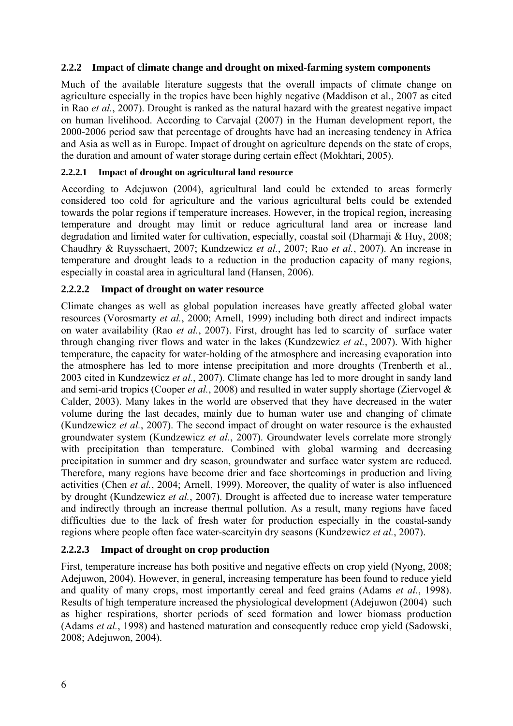#### <span id="page-14-0"></span>**2.2.2 Impact of climate change and drought on mixed-farming system components**

Much of the available literature suggests that the overall impacts of climate change on agriculture especially in the tropics have been highly negative (Maddison et al., 2007 as cited in Rao *et al.*, 2007). Drought is ranked as the natural hazard with the greatest negative impact on human livelihood. According to Carvajal (2007) in the Human development report, the 2000-2006 period saw that percentage of droughts have had an increasing tendency in Africa and Asia as well as in Europe. Impact of drought on agriculture depends on the state of crops, the duration and amount of water storage during certain effect (Mokhtari, 2005).

#### **2.2.2.1 Impact of drought on agricultural land resource**

According to Adejuwon (2004), agricultural land could be extended to areas formerly considered too cold for agriculture and the various agricultural belts could be extended towards the polar regions if temperature increases. However, in the tropical region, increasing temperature and drought may limit or reduce agricultural land area or increase land degradation and limited water for cultivation, especially, coastal soil (Dharmaji & Huy, 2008; Chaudhry & Ruysschaert, 2007; Kundzewicz *et al.*, 2007; Rao *et al.*, 2007). An increase in temperature and drought leads to a reduction in the production capacity of many regions, especially in coastal area in agricultural land (Hansen, 2006).

#### **2.2.2.2 Impact of drought on water resource**

Climate changes as well as global population increases have greatly affected global water resources (Vorosmarty *et al.*, 2000; Arnell, 1999) including both direct and indirect impacts on water availability (Rao *et al.*, 2007). First, drought has led to scarcity of surface water through changing river flows and water in the lakes (Kundzewicz *et al.*, 2007). With higher temperature, the capacity for water-holding of the atmosphere and increasing evaporation into the atmosphere has led to more intense precipitation and more droughts (Trenberth et al., 2003 cited in Kundzewicz *et al.*, 2007). Climate change has led to more drought in sandy land and semi-arid tropics (Cooper *et al.*, 2008) and resulted in water supply shortage (Ziervogel & Calder, 2003). Many lakes in the world are observed that they have decreased in the water volume during the last decades, mainly due to human water use and changing of climate (Kundzewicz *et al.*, 2007). The second impact of drought on water resource is the exhausted groundwater system (Kundzewicz *et al.*, 2007). Groundwater levels correlate more strongly with precipitation than temperature. Combined with global warming and decreasing precipitation in summer and dry season, groundwater and surface water system are reduced. Therefore, many regions have become drier and face shortcomings in production and living activities (Chen *et al.*, 2004; Arnell, 1999). Moreover, the quality of water is also influenced by drought (Kundzewicz *et al.*, 2007). Drought is affected due to increase water temperature and indirectly through an increase thermal pollution. As a result, many regions have faced difficulties due to the lack of fresh water for production especially in the coastal-sandy regions where people often face water-scarcityin dry seasons (Kundzewicz *et al.*, 2007).

#### **2.2.2.3 Impact of drought on crop production**

First, temperature increase has both positive and negative effects on crop yield (Nyong, 2008; Adejuwon, 2004). However, in general, increasing temperature has been found to reduce yield and quality of many crops, most importantly cereal and feed grains (Adams *et al.*, 1998). Results of high temperature increased the physiological development (Adejuwon (2004) such as higher respirations, shorter periods of seed formation and lower biomass production (Adams *et al.*, 1998) and hastened maturation and consequently reduce crop yield (Sadowski, 2008; Adejuwon, 2004).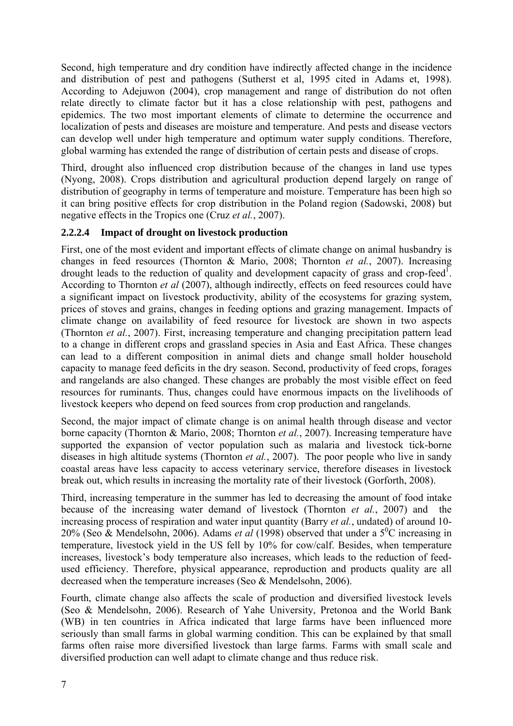Second, high temperature and dry condition have indirectly affected change in the incidence and distribution of pest and pathogens (Sutherst et al, 1995 cited in Adams et, 1998). According to Adejuwon (2004), crop management and range of distribution do not often relate directly to climate factor but it has a close relationship with pest, pathogens and epidemics. The two most important elements of climate to determine the occurrence and localization of pests and diseases are moisture and temperature. And pests and disease vectors can develop well under high temperature and optimum water supply conditions. Therefore, global warming has extended the range of distribution of certain pests and disease of crops.

Third, drought also influenced crop distribution because of the changes in land use types (Nyong, 2008). Crops distribution and agricultural production depend largely on range of distribution of geography in terms of temperature and moisture. Temperature has been high so it can bring positive effects for crop distribution in the Poland region (Sadowski, 2008) but negative effects in the Tropics one (Cruz *et al.*, 2007).

## **2.2.2.4 Impact of drought on livestock production**

First, one of the most evident and important effects of climate change on animal husbandry is changes in feed resources (Thornton & Mario, 2008; Thornton *et al.*, 2007). Increasing drought leads to the reduction of quality and development capacity of grass and crop-feed<sup>1</sup>. According to Thornton *et al* (2007), although indirectly, effects on feed resources could have a significant impact on livestock productivity, ability of the ecosystems for grazing system, prices of stoves and grains, changes in feeding options and grazing management. Impacts of climate change on availability of feed resource for livestock are shown in two aspects (Thornton *et al.*, 2007). First, increasing temperature and changing precipitation pattern lead to a change in different crops and grassland species in Asia and East Africa. These changes can lead to a different composition in animal diets and change small holder household capacity to manage feed deficits in the dry season. Second, productivity of feed crops, forages and rangelands are also changed. These changes are probably the most visible effect on feed resources for ruminants. Thus, changes could have enormous impacts on the livelihoods of livestock keepers who depend on feed sources from crop production and rangelands.

Second, the major impact of climate change is on animal health through disease and vector borne capacity (Thornton & Mario, 2008; Thornton *et al.*, 2007). Increasing temperature have supported the expansion of vector population such as malaria and livestock tick-borne diseases in high altitude systems (Thornton *et al.*, 2007). The poor people who live in sandy coastal areas have less capacity to access veterinary service, therefore diseases in livestock break out, which results in increasing the mortality rate of their livestock (Gorforth, 2008).

Third, increasing temperature in the summer has led to decreasing the amount of food intake because of the increasing water demand of livestock (Thornton *et al.*, 2007) and the increasing process of respiration and water input quantity (Barry *et al.*, undated) of around 10- 20% (Seo & Mendelsohn, 2006). Adams *et al* (1998) observed that under a  $5^{\circ}$ C increasing in temperature, livestock yield in the US fell by 10% for cow/calf. Besides, when temperature increases, livestock's body temperature also increases, which leads to the reduction of feedused efficiency. Therefore, physical appearance, reproduction and products quality are all decreased when the temperature increases (Seo & Mendelsohn, 2006).

Fourth, climate change also affects the scale of production and diversified livestock levels (Seo & Mendelsohn, 2006). Research of Yahe University, Pretonoa and the World Bank (WB) in ten countries in Africa indicated that large farms have been influenced more seriously than small farms in global warming condition. This can be explained by that small farms often raise more diversified livestock than large farms. Farms with small scale and diversified production can well adapt to climate change and thus reduce risk.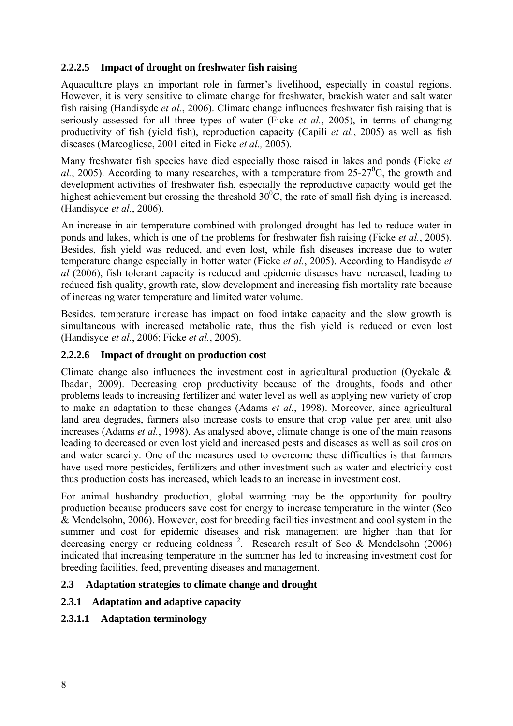## <span id="page-16-0"></span>**2.2.2.5 Impact of drought on freshwater fish raising**

Aquaculture plays an important role in farmer's livelihood, especially in coastal regions. However, it is very sensitive to climate change for freshwater, brackish water and salt water fish raising (Handisyde *et al.*, 2006). Climate change influences freshwater fish raising that is seriously assessed for all three types of water (Ficke *et al.*, 2005), in terms of changing productivity of fish (yield fish), reproduction capacity (Capili *et al.*, 2005) as well as fish diseases (Marcogliese, 2001 cited in Ficke *et al.,* 2005).

Many freshwater fish species have died especially those raised in lakes and ponds (Ficke *et*   $al.$ , 2005). According to many researches, with a temperature from 25-27<sup>°</sup>C, the growth and development activities of freshwater fish, especially the reproductive capacity would get the highest achievement but crossing the threshold  $30^{\circ}$ C, the rate of small fish dying is increased. (Handisyde *et al.*, 2006).

An increase in air temperature combined with prolonged drought has led to reduce water in ponds and lakes, which is one of the problems for freshwater fish raising (Ficke *et al.*, 2005). Besides, fish yield was reduced, and even lost, while fish diseases increase due to water temperature change especially in hotter water (Ficke *et al.*, 2005). According to Handisyde *et al* (2006), fish tolerant capacity is reduced and epidemic diseases have increased, leading to reduced fish quality, growth rate, slow development and increasing fish mortality rate because of increasing water temperature and limited water volume.

Besides, temperature increase has impact on food intake capacity and the slow growth is simultaneous with increased metabolic rate, thus the fish yield is reduced or even lost (Handisyde *et al.*, 2006; Ficke *et al.*, 2005).

## **2.2.2.6 Impact of drought on production cost**

Climate change also influences the investment cost in agricultural production (Oyekale & Ibadan, 2009). Decreasing crop productivity because of the droughts, foods and other problems leads to increasing fertilizer and water level as well as applying new variety of crop to make an adaptation to these changes (Adams *et al.*, 1998). Moreover, since agricultural land area degrades, farmers also increase costs to ensure that crop value per area unit also increases (Adams *et al.*, 1998). As analysed above, climate change is one of the main reasons leading to decreased or even lost yield and increased pests and diseases as well as soil erosion and water scarcity. One of the measures used to overcome these difficulties is that farmers have used more pesticides, fertilizers and other investment such as water and electricity cost thus production costs has increased, which leads to an increase in investment cost.

For animal husbandry production, global warming may be the opportunity for poultry production because producers save cost for energy to increase temperature in the winter (Seo & Mendelsohn, 2006). However, cost for breeding facilities investment and cool system in the summer and cost for epidemic diseases and risk management are higher than that for decreasing energy or reducing coldness<sup>2</sup>. Research result of Seo & Mendelsohn (2006) indicated that increasing temperature in the summer has led to increasing investment cost for breeding facilities, feed, preventing diseases and management.

#### **2.3 Adaptation strategies to climate change and drought**

## **2.3.1 Adaptation and adaptive capacity**

#### **2.3.1.1 Adaptation terminology**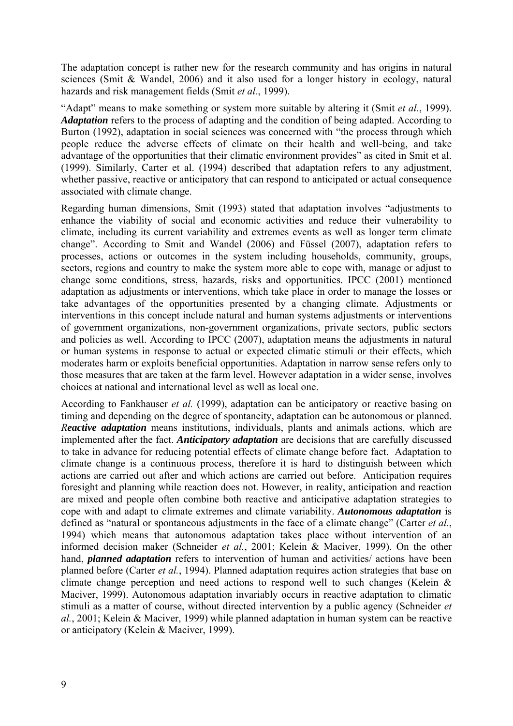The adaptation concept is rather new for the research community and has origins in natural sciences (Smit & Wandel, 2006) and it also used for a longer history in ecology, natural hazards and risk management fields (Smit *et al.*, 1999).

"Adapt" means to make something or system more suitable by altering it (Smit *et al.*, 1999). *Adaptation* refers to the process of adapting and the condition of being adapted. According to Burton (1992), adaptation in social sciences was concerned with "the process through which people reduce the adverse effects of climate on their health and well-being, and take advantage of the opportunities that their climatic environment provides" as cited in Smit et al. (1999). Similarly, Carter et al. (1994) described that adaptation refers to any adjustment, whether passive, reactive or anticipatory that can respond to anticipated or actual consequence associated with climate change.

Regarding human dimensions, Smit (1993) stated that adaptation involves "adjustments to enhance the viability of social and economic activities and reduce their vulnerability to climate, including its current variability and extremes events as well as longer term climate change". According to Smit and Wandel (2006) and Füssel (2007), adaptation refers to processes, actions or outcomes in the system including households, community, groups, sectors, regions and country to make the system more able to cope with, manage or adjust to change some conditions, stress, hazards, risks and opportunities. IPCC (2001) mentioned adaptation as adjustments or interventions, which take place in order to manage the losses or take advantages of the opportunities presented by a changing climate. Adjustments or interventions in this concept include natural and human systems adjustments or interventions of government organizations, non-government organizations, private sectors, public sectors and policies as well. According to IPCC (2007), adaptation means the adjustments in natural or human systems in response to actual or expected climatic stimuli or their effects, which moderates harm or exploits beneficial opportunities. Adaptation in narrow sense refers only to those measures that are taken at the farm level. However adaptation in a wider sense, involves choices at national and international level as well as local one.

According to Fankhauser *et al.* (1999), adaptation can be anticipatory or reactive basing on timing and depending on the degree of spontaneity, adaptation can be autonomous or planned. *Reactive adaptation* means institutions, individuals, plants and animals actions, which are implemented after the fact. *Anticipatory adaptation* are decisions that are carefully discussed to take in advance for reducing potential effects of climate change before fact. Adaptation to climate change is a continuous process, therefore it is hard to distinguish between which actions are carried out after and which actions are carried out before. Anticipation requires foresight and planning while reaction does not. However, in reality, anticipation and reaction are mixed and people often combine both reactive and anticipative adaptation strategies to cope with and adapt to climate extremes and climate variability. *Autonomous adaptation* is defined as "natural or spontaneous adjustments in the face of a climate change" (Carter *et al.*, 1994) which means that autonomous adaptation takes place without intervention of an informed decision maker (Schneider *et al.*, 2001; Kelein & Maciver, 1999). On the other hand, *planned adaptation* refers to intervention of human and activities/ actions have been planned before (Carter *et al.*, 1994). Planned adaptation requires action strategies that base on climate change perception and need actions to respond well to such changes (Kelein & Maciver, 1999). Autonomous adaptation invariably occurs in reactive adaptation to climatic stimuli as a matter of course, without directed intervention by a public agency (Schneider *et al.*, 2001; Kelein & Maciver, 1999) while planned adaptation in human system can be reactive or anticipatory (Kelein & Maciver, 1999).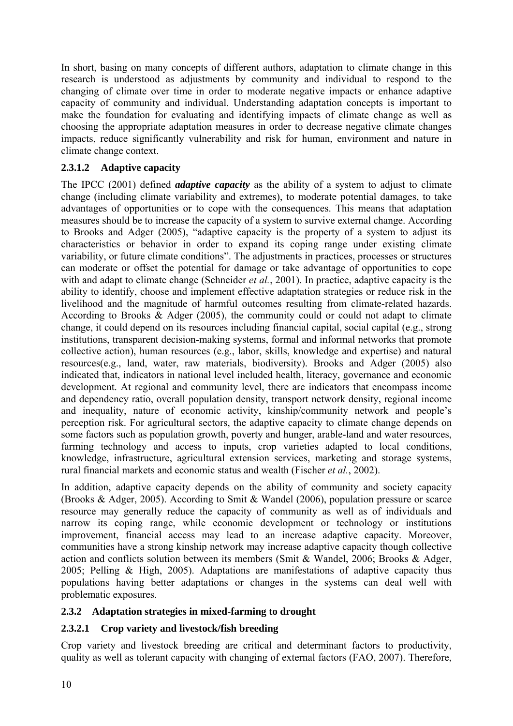<span id="page-18-0"></span>In short, basing on many concepts of different authors, adaptation to climate change in this research is understood as adjustments by community and individual to respond to the changing of climate over time in order to moderate negative impacts or enhance adaptive capacity of community and individual. Understanding adaptation concepts is important to make the foundation for evaluating and identifying impacts of climate change as well as choosing the appropriate adaptation measures in order to decrease negative climate changes impacts, reduce significantly vulnerability and risk for human, environment and nature in climate change context.

## **2.3.1.2 Adaptive capacity**

The IPCC (2001) defined *adaptive capacity* as the ability of a system to adjust to climate change (including climate variability and extremes), to moderate potential damages, to take advantages of opportunities or to cope with the consequences. This means that adaptation measures should be to increase the capacity of a system to survive external change. According to Brooks and Adger (2005), "adaptive capacity is the property of a system to adjust its characteristics or behavior in order to expand its coping range under existing climate variability, or future climate conditions". The adjustments in practices, processes or structures can moderate or offset the potential for damage or take advantage of opportunities to cope with and adapt to climate change (Schneider *et al.*, 2001). In practice, adaptive capacity is the ability to identify, choose and implement effective adaptation strategies or reduce risk in the livelihood and the magnitude of harmful outcomes resulting from climate-related hazards. According to Brooks & Adger (2005), the community could or could not adapt to climate change, it could depend on its resources including financial capital, social capital (e.g., strong institutions, transparent decision-making systems, formal and informal networks that promote collective action), human resources (e.g., labor, skills, knowledge and expertise) and natural resources(e.g., land, water, raw materials, biodiversity). Brooks and Adger (2005) also indicated that, indicators in national level included health, literacy, governance and economic development. At regional and community level, there are indicators that encompass income and dependency ratio, overall population density, transport network density, regional income and inequality, nature of economic activity, kinship/community network and people's perception risk. For agricultural sectors, the adaptive capacity to climate change depends on some factors such as population growth, poverty and hunger, arable-land and water resources, farming technology and access to inputs, crop varieties adapted to local conditions, knowledge, infrastructure, agricultural extension services, marketing and storage systems, rural financial markets and economic status and wealth (Fischer *et al.*, 2002).

In addition, adaptive capacity depends on the ability of community and society capacity (Brooks & Adger, 2005). According to Smit & Wandel (2006), population pressure or scarce resource may generally reduce the capacity of community as well as of individuals and narrow its coping range, while economic development or technology or institutions improvement, financial access may lead to an increase adaptive capacity. Moreover, communities have a strong kinship network may increase adaptive capacity though collective action and conflicts solution between its members (Smit & Wandel, 2006; Brooks & Adger, 2005; Pelling & High, 2005). Adaptations are manifestations of adaptive capacity thus populations having better adaptations or changes in the systems can deal well with problematic exposures.

## **2.3.2 Adaptation strategies in mixed-farming to drought**

## **2.3.2.1 Crop variety and livestock/fish breeding**

Crop variety and livestock breeding are critical and determinant factors to productivity, quality as well as tolerant capacity with changing of external factors (FAO, 2007). Therefore,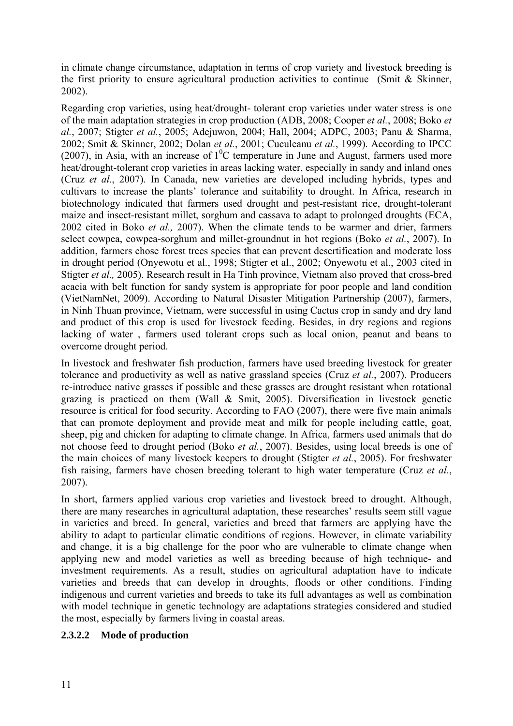in climate change circumstance, adaptation in terms of crop variety and livestock breeding is the first priority to ensure agricultural production activities to continue (Smit & Skinner, 2002).

Regarding crop varieties, using heat/drought- tolerant crop varieties under water stress is one of the main adaptation strategies in crop production (ADB, 2008; Cooper *et al.*, 2008; Boko *et al.*, 2007; Stigter *et al.*, 2005; Adejuwon, 2004; Hall, 2004; ADPC, 2003; Panu & Sharma, 2002; Smit & Skinner, 2002; Dolan *et al.*, 2001; Cuculeanu *et al.*, 1999). According to IPCC (2007), in Asia, with an increase of  $1^0C$  temperature in June and August, farmers used more heat/drought-tolerant crop varieties in areas lacking water, especially in sandy and inland ones (Cruz *et al.*, 2007). In Canada, new varieties are developed including hybrids, types and cultivars to increase the plants' tolerance and suitability to drought. In Africa, research in biotechnology indicated that farmers used drought and pest-resistant rice, drought-tolerant maize and insect-resistant millet, sorghum and cassava to adapt to prolonged droughts (ECA, 2002 cited in Boko *et al.,* 2007). When the climate tends to be warmer and drier, farmers select cowpea, cowpea-sorghum and millet-groundnut in hot regions (Boko *et al.*, 2007). In addition, farmers chose forest trees species that can prevent desertification and moderate loss in drought period (Onyewotu et al., 1998; Stigter et al., 2002; Onyewotu et al., 2003 cited in Stigter *et al.,* 2005). Research result in Ha Tinh province, Vietnam also proved that cross-bred acacia with belt function for sandy system is appropriate for poor people and land condition (VietNamNet, 2009). According to Natural Disaster Mitigation Partnership (2007), farmers, in Ninh Thuan province, Vietnam, were successful in using Cactus crop in sandy and dry land and product of this crop is used for livestock feeding. Besides, in dry regions and regions lacking of water , farmers used tolerant crops such as local onion, peanut and beans to overcome drought period.

In livestock and freshwater fish production, farmers have used breeding livestock for greater tolerance and productivity as well as native grassland species (Cruz *et al.*, 2007). Producers re-introduce native grasses if possible and these grasses are drought resistant when rotational grazing is practiced on them (Wall & Smit, 2005). Diversification in livestock genetic resource is critical for food security. According to FAO (2007), there were five main animals that can promote deployment and provide meat and milk for people including cattle, goat, sheep, pig and chicken for adapting to climate change. In Africa, farmers used animals that do not choose feed to drought period (Boko *et al.*, 2007). Besides, using local breeds is one of the main choices of many livestock keepers to drought (Stigter *et al.*, 2005). For freshwater fish raising, farmers have chosen breeding tolerant to high water temperature (Cruz *et al.*, 2007).

In short, farmers applied various crop varieties and livestock breed to drought. Although, there are many researches in agricultural adaptation, these researches' results seem still vague in varieties and breed. In general, varieties and breed that farmers are applying have the ability to adapt to particular climatic conditions of regions. However, in climate variability and change, it is a big challenge for the poor who are vulnerable to climate change when applying new and model varieties as well as breeding because of high technique- and investment requirements. As a result, studies on agricultural adaptation have to indicate varieties and breeds that can develop in droughts, floods or other conditions. Finding indigenous and current varieties and breeds to take its full advantages as well as combination with model technique in genetic technology are adaptations strategies considered and studied the most, especially by farmers living in coastal areas.

## **2.3.2.2 Mode of production**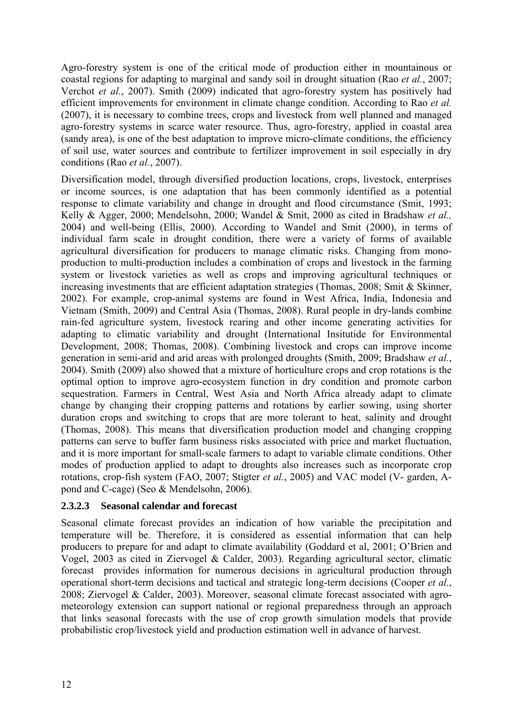Agro-forestry system is one of the critical mode of production either in mountainous or coastal regions for adapting to marginal and sandy soil in drought situation (Rao *et al.*, 2007; Verchot *et al.*, 2007). Smith (2009) indicated that agro-forestry system has positively had efficient improvements for environment in climate change condition. According to Rao *et al.*  (2007), it is necessary to combine trees, crops and livestock from well planned and managed agro-forestry systems in scarce water resource. Thus, agro-forestry, applied in coastal area (sandy area), is one of the best adaptation to improve micro-climate conditions, the efficiency of soil use, water sources and contribute to fertilizer improvement in soil especially in dry conditions (Rao *et al.*, 2007).

Diversification model, through diversified production locations, crops, livestock, enterprises or income sources, is one adaptation that has been commonly identified as a potential response to climate variability and change in drought and flood circumstance (Smit, 1993; Kelly & Agger, 2000; Mendelsohn, 2000; Wandel & Smit, 2000 as cited in Bradshaw *et al.,*  2004) and well-being (Ellis, 2000). According to Wandel and Smit (2000), in terms of individual farm scale in drought condition, there were a variety of forms of available agricultural diversification for producers to manage climatic risks. Changing from monoproduction to multi-production includes a combination of crops and livestock in the farming system or livestock varieties as well as crops and improving agricultural techniques or increasing investments that are efficient adaptation strategies (Thomas, 2008; Smit & Skinner, 2002). For example, crop-animal systems are found in West Africa, India, Indonesia and Vietnam (Smith, 2009) and Central Asia (Thomas, 2008). Rural people in dry-lands combine rain-fed agriculture system, livestock rearing and other income generating activities for adapting to climatic variability and drought (International Insitutide for Environmental Development, 2008; Thomas, 2008). Combining livestock and crops can improve income generation in semi-arid and arid areas with prolonged droughts (Smith, 2009; Bradshaw *et al.*, 2004). Smith (2009) also showed that a mixture of horticulture crops and crop rotations is the optimal option to improve agro-ecosystem function in dry condition and promote carbon sequestration. Farmers in Central, West Asia and North Africa already adapt to climate change by changing their cropping patterns and rotations by earlier sowing, using shorter duration crops and switching to crops that are more tolerant to heat, salinity and drought (Thomas, 2008). This means that diversification production model and changing cropping patterns can serve to buffer farm business risks associated with price and market fluctuation, and it is more important for small-scale farmers to adapt to variable climate conditions. Other modes of production applied to adapt to droughts also increases such as incorporate crop rotations, crop-fish system (FAO, 2007; Stigter *et al.*, 2005) and VAC model (V- garden, Apond and C-cage) (Seo & Mendelsohn, 2006).

#### **2.3.2.3 Seasonal calendar and forecast**

Seasonal climate forecast provides an indication of how variable the precipitation and temperature will be. Therefore, it is considered as essential information that can help producers to prepare for and adapt to climate availability (Goddard et al, 2001; O'Brien and Vogel, 2003 as cited in Ziervogel & Calder, 2003). Regarding agricultural sector, climatic forecast provides information for numerous decisions in agricultural production through operational short-term decisions and tactical and strategic long-term decisions (Cooper *et al.*, 2008; Ziervogel & Calder, 2003). Moreover, seasonal climate forecast associated with agrometeorology extension can support national or regional preparedness through an approach that links seasonal forecasts with the use of crop growth simulation models that provide probabilistic crop/livestock yield and production estimation well in advance of harvest.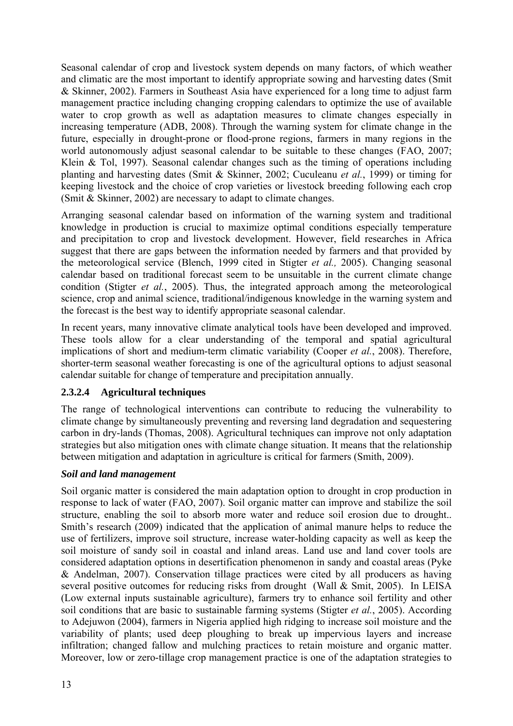Seasonal calendar of crop and livestock system depends on many factors, of which weather and climatic are the most important to identify appropriate sowing and harvesting dates (Smit & Skinner, 2002). Farmers in Southeast Asia have experienced for a long time to adjust farm management practice including changing cropping calendars to optimize the use of available water to crop growth as well as adaptation measures to climate changes especially in increasing temperature (ADB, 2008). Through the warning system for climate change in the future, especially in drought-prone or flood-prone regions, farmers in many regions in the world autonomously adjust seasonal calendar to be suitable to these changes (FAO, 2007; Klein & Tol, 1997). Seasonal calendar changes such as the timing of operations including planting and harvesting dates (Smit & Skinner, 2002; Cuculeanu *et al.*, 1999) or timing for keeping livestock and the choice of crop varieties or livestock breeding following each crop (Smit & Skinner, 2002) are necessary to adapt to climate changes.

Arranging seasonal calendar based on information of the warning system and traditional knowledge in production is crucial to maximize optimal conditions especially temperature and precipitation to crop and livestock development. However, field researches in Africa suggest that there are gaps between the information needed by farmers and that provided by the meteorological service (Blench, 1999 cited in Stigter *et al.,* 2005). Changing seasonal calendar based on traditional forecast seem to be unsuitable in the current climate change condition (Stigter *et al.*, 2005). Thus, the integrated approach among the meteorological science, crop and animal science, traditional/indigenous knowledge in the warning system and the forecast is the best way to identify appropriate seasonal calendar.

In recent years, many innovative climate analytical tools have been developed and improved. These tools allow for a clear understanding of the temporal and spatial agricultural implications of short and medium-term climatic variability (Cooper *et al.*, 2008). Therefore, shorter-term seasonal weather forecasting is one of the agricultural options to adjust seasonal calendar suitable for change of temperature and precipitation annually.

## **2.3.2.4 Agricultural techniques**

The range of technological interventions can contribute to reducing the vulnerability to climate change by simultaneously preventing and reversing land degradation and sequestering carbon in dry-lands (Thomas, 2008). Agricultural techniques can improve not only adaptation strategies but also mitigation ones with climate change situation. It means that the relationship between mitigation and adaptation in agriculture is critical for farmers (Smith, 2009).

#### *Soil and land management*

Soil organic matter is considered the main adaptation option to drought in crop production in response to lack of water (FAO, 2007). Soil organic matter can improve and stabilize the soil structure, enabling the soil to absorb more water and reduce soil erosion due to drought.. Smith's research (2009) indicated that the application of animal manure helps to reduce the use of fertilizers, improve soil structure, increase water-holding capacity as well as keep the soil moisture of sandy soil in coastal and inland areas. Land use and land cover tools are considered adaptation options in desertification phenomenon in sandy and coastal areas (Pyke & Andelman, 2007). Conservation tillage practices were cited by all producers as having several positive outcomes for reducing risks from drought (Wall & Smit, 2005). In LEISA (Low external inputs sustainable agriculture), farmers try to enhance soil fertility and other soil conditions that are basic to sustainable farming systems (Stigter *et al.*, 2005). According to Adejuwon (2004), farmers in Nigeria applied high ridging to increase soil moisture and the variability of plants; used deep ploughing to break up impervious layers and increase infiltration; changed fallow and mulching practices to retain moisture and organic matter. Moreover, low or zero-tillage crop management practice is one of the adaptation strategies to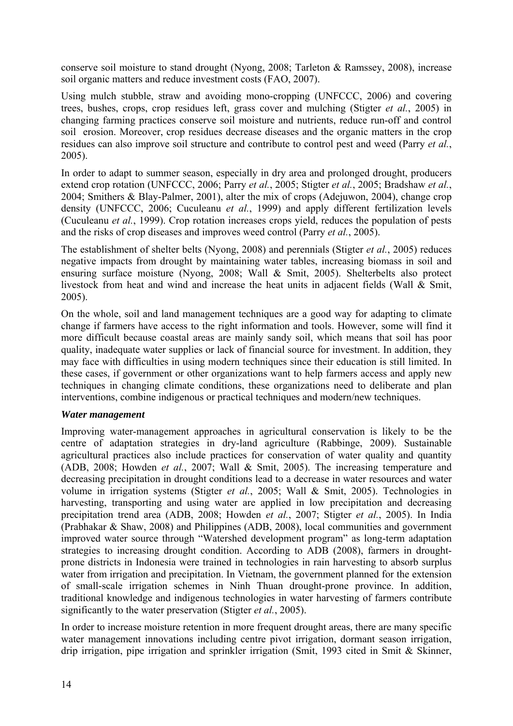conserve soil moisture to stand drought (Nyong, 2008; Tarleton & Ramssey, 2008), increase soil organic matters and reduce investment costs (FAO, 2007).

Using mulch stubble, straw and avoiding mono-cropping (UNFCCC, 2006) and covering trees, bushes, crops, crop residues left, grass cover and mulching (Stigter *et al.*, 2005) in changing farming practices conserve soil moisture and nutrients, reduce run-off and control soil erosion. Moreover, crop residues decrease diseases and the organic matters in the crop residues can also improve soil structure and contribute to control pest and weed (Parry *et al.*, 2005).

In order to adapt to summer season, especially in dry area and prolonged drought, producers extend crop rotation (UNFCCC, 2006; Parry *et al.*, 2005; Stigter *et al.*, 2005; Bradshaw *et al.*, 2004; Smithers & Blay-Palmer, 2001), alter the mix of crops (Adejuwon, 2004), change crop density (UNFCCC, 2006; Cuculeanu *et al.*, 1999) and apply different fertilization levels (Cuculeanu *et al.*, 1999). Crop rotation increases crops yield, reduces the population of pests and the risks of crop diseases and improves weed control (Parry *et al.*, 2005).

The establishment of shelter belts (Nyong, 2008) and perennials (Stigter *et al.*, 2005) reduces negative impacts from drought by maintaining water tables, increasing biomass in soil and ensuring surface moisture (Nyong, 2008; Wall & Smit, 2005). Shelterbelts also protect livestock from heat and wind and increase the heat units in adjacent fields (Wall & Smit, 2005).

On the whole, soil and land management techniques are a good way for adapting to climate change if farmers have access to the right information and tools. However, some will find it more difficult because coastal areas are mainly sandy soil, which means that soil has poor quality, inadequate water supplies or lack of financial source for investment. In addition, they may face with difficulties in using modern techniques since their education is still limited. In these cases, if government or other organizations want to help farmers access and apply new techniques in changing climate conditions, these organizations need to deliberate and plan interventions, combine indigenous or practical techniques and modern/new techniques.

#### *Water management*

Improving water-management approaches in agricultural conservation is likely to be the centre of adaptation strategies in dry-land agriculture (Rabbinge, 2009). Sustainable agricultural practices also include practices for conservation of water quality and quantity (ADB, 2008; Howden *et al.*, 2007; Wall & Smit, 2005). The increasing temperature and decreasing precipitation in drought conditions lead to a decrease in water resources and water volume in irrigation systems (Stigter *et al.*, 2005; Wall & Smit, 2005). Technologies in harvesting, transporting and using water are applied in low precipitation and decreasing precipitation trend area (ADB, 2008; Howden *et al.*, 2007; Stigter *et al.*, 2005). In India (Prabhakar & Shaw, 2008) and Philippines (ADB, 2008), local communities and government improved water source through "Watershed development program" as long-term adaptation strategies to increasing drought condition. According to ADB (2008), farmers in droughtprone districts in Indonesia were trained in technologies in rain harvesting to absorb surplus water from irrigation and precipitation. In Vietnam, the government planned for the extension of small-scale irrigation schemes in Ninh Thuan drought-prone province. In addition, traditional knowledge and indigenous technologies in water harvesting of farmers contribute significantly to the water preservation (Stigter *et al.*, 2005).

In order to increase moisture retention in more frequent drought areas, there are many specific water management innovations including centre pivot irrigation, dormant season irrigation, drip irrigation, pipe irrigation and sprinkler irrigation (Smit, 1993 cited in Smit & Skinner,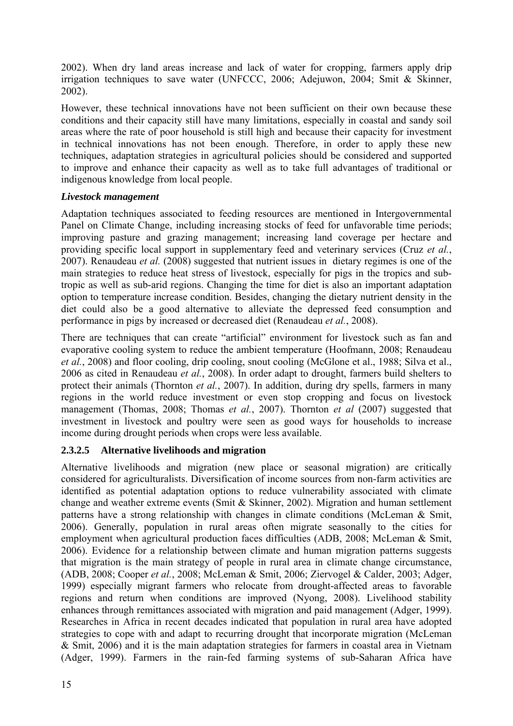2002). When dry land areas increase and lack of water for cropping, farmers apply drip irrigation techniques to save water (UNFCCC, 2006; Adejuwon, 2004; Smit & Skinner, 2002).

However, these technical innovations have not been sufficient on their own because these conditions and their capacity still have many limitations, especially in coastal and sandy soil areas where the rate of poor household is still high and because their capacity for investment in technical innovations has not been enough. Therefore, in order to apply these new techniques, adaptation strategies in agricultural policies should be considered and supported to improve and enhance their capacity as well as to take full advantages of traditional or indigenous knowledge from local people.

## *Livestock management*

Adaptation techniques associated to feeding resources are mentioned in Intergovernmental Panel on Climate Change, including increasing stocks of feed for unfavorable time periods; improving pasture and grazing management; increasing land coverage per hectare and providing specific local support in supplementary feed and veterinary services (Cruz *et al.*, 2007). Renaudeau *et al.* (2008) suggested that nutrient issues in dietary regimes is one of the main strategies to reduce heat stress of livestock, especially for pigs in the tropics and subtropic as well as sub-arid regions. Changing the time for diet is also an important adaptation option to temperature increase condition. Besides, changing the dietary nutrient density in the diet could also be a good alternative to alleviate the depressed feed consumption and performance in pigs by increased or decreased diet (Renaudeau *et al.*, 2008).

There are techniques that can create "artificial" environment for livestock such as fan and evaporative cooling system to reduce the ambient temperature (Hoofmann, 2008; Renaudeau *et al.*, 2008) and floor cooling, drip cooling, snout cooling (McGlone et al., 1988; Silva et al., 2006 as cited in Renaudeau *et al.*, 2008). In order adapt to drought, farmers build shelters to protect their animals (Thornton *et al.*, 2007). In addition, during dry spells, farmers in many regions in the world reduce investment or even stop cropping and focus on livestock management (Thomas, 2008; Thomas *et al.*, 2007). Thornton *et al* (2007) suggested that investment in livestock and poultry were seen as good ways for households to increase income during drought periods when crops were less available.

## **2.3.2.5 Alternative livelihoods and migration**

Alternative livelihoods and migration (new place or seasonal migration) are critically considered for agriculturalists. Diversification of income sources from non-farm activities are identified as potential adaptation options to reduce vulnerability associated with climate change and weather extreme events (Smit & Skinner, 2002). Migration and human settlement patterns have a strong relationship with changes in climate conditions (McLeman & Smit, 2006). Generally, population in rural areas often migrate seasonally to the cities for employment when agricultural production faces difficulties (ADB, 2008; McLeman & Smit, 2006). Evidence for a relationship between climate and human migration patterns suggests that migration is the main strategy of people in rural area in climate change circumstance, (ADB, 2008; Cooper *et al.*, 2008; McLeman & Smit, 2006; Ziervogel & Calder, 2003; Adger, 1999) especially migrant farmers who relocate from drought-affected areas to favorable regions and return when conditions are improved (Nyong, 2008). Livelihood stability enhances through remittances associated with migration and paid management (Adger, 1999). Researches in Africa in recent decades indicated that population in rural area have adopted strategies to cope with and adapt to recurring drought that incorporate migration (McLeman & Smit, 2006) and it is the main adaptation strategies for farmers in coastal area in Vietnam (Adger, 1999). Farmers in the rain-fed farming systems of sub-Saharan Africa have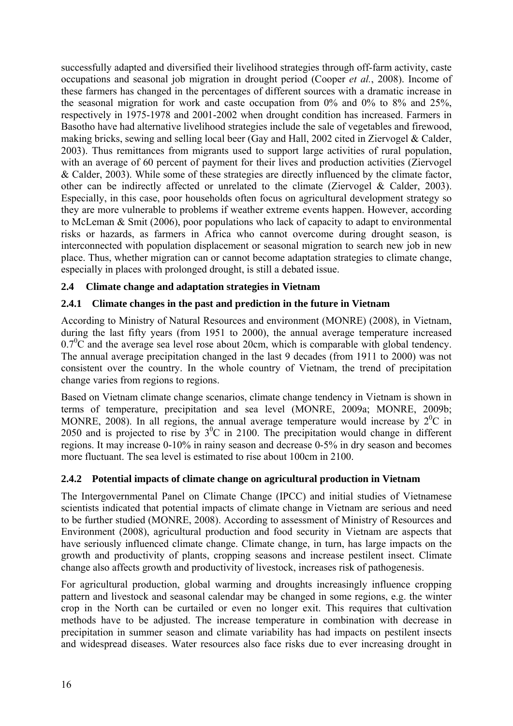<span id="page-24-0"></span>successfully adapted and diversified their livelihood strategies through off-farm activity, caste occupations and seasonal job migration in drought period (Cooper *et al.*, 2008). Income of these farmers has changed in the percentages of different sources with a dramatic increase in the seasonal migration for work and caste occupation from  $0\%$  and  $0\%$  to  $8\%$  and  $25\%$ , respectively in 1975-1978 and 2001-2002 when drought condition has increased. Farmers in Basotho have had alternative livelihood strategies include the sale of vegetables and firewood, making bricks, sewing and selling local beer (Gay and Hall, 2002 cited in Ziervogel & Calder, 2003). Thus remittances from migrants used to support large activities of rural population, with an average of 60 percent of payment for their lives and production activities (Ziervogel & Calder, 2003). While some of these strategies are directly influenced by the climate factor, other can be indirectly affected or unrelated to the climate (Ziervogel & Calder, 2003). Especially, in this case, poor households often focus on agricultural development strategy so they are more vulnerable to problems if weather extreme events happen. However, according to McLeman & Smit (2006), poor populations who lack of capacity to adapt to environmental risks or hazards, as farmers in Africa who cannot overcome during drought season, is interconnected with population displacement or seasonal migration to search new job in new place. Thus, whether migration can or cannot become adaptation strategies to climate change, especially in places with prolonged drought, is still a debated issue.

## **2.4 Climate change and adaptation strategies in Vietnam**

## **2.4.1 Climate changes in the past and prediction in the future in Vietnam**

According to Ministry of Natural Resources and environment (MONRE) (2008), in Vietnam, during the last fifty years (from 1951 to 2000), the annual average temperature increased  $0.7\degree$ C and the average sea level rose about 20cm, which is comparable with global tendency. The annual average precipitation changed in the last 9 decades (from 1911 to 2000) was not consistent over the country. In the whole country of Vietnam, the trend of precipitation change varies from regions to regions.

Based on Vietnam climate change scenarios, climate change tendency in Vietnam is shown in terms of temperature, precipitation and sea level (MONRE, 2009a; MONRE, 2009b; MONRE, 2008). In all regions, the annual average temperature would increase by  $2^{0}C$  in 2050 and is projected to rise by  $3^0C$  in 2100. The precipitation would change in different regions. It may increase 0-10% in rainy season and decrease 0-5% in dry season and becomes more fluctuant. The sea level is estimated to rise about 100cm in 2100.

## **2.4.2 Potential impacts of climate change on agricultural production in Vietnam**

The Intergovernmental Panel on Climate Change (IPCC) and initial studies of Vietnamese scientists indicated that potential impacts of climate change in Vietnam are serious and need to be further studied (MONRE, 2008). According to assessment of Ministry of Resources and Environment (2008), agricultural production and food security in Vietnam are aspects that have seriously influenced climate change. Climate change, in turn, has large impacts on the growth and productivity of plants, cropping seasons and increase pestilent insect. Climate change also affects growth and productivity of livestock, increases risk of pathogenesis.

For agricultural production, global warming and droughts increasingly influence cropping pattern and livestock and seasonal calendar may be changed in some regions, e.g. the winter crop in the North can be curtailed or even no longer exit. This requires that cultivation methods have to be adjusted. The increase temperature in combination with decrease in precipitation in summer season and climate variability has had impacts on pestilent insects and widespread diseases. Water resources also face risks due to ever increasing drought in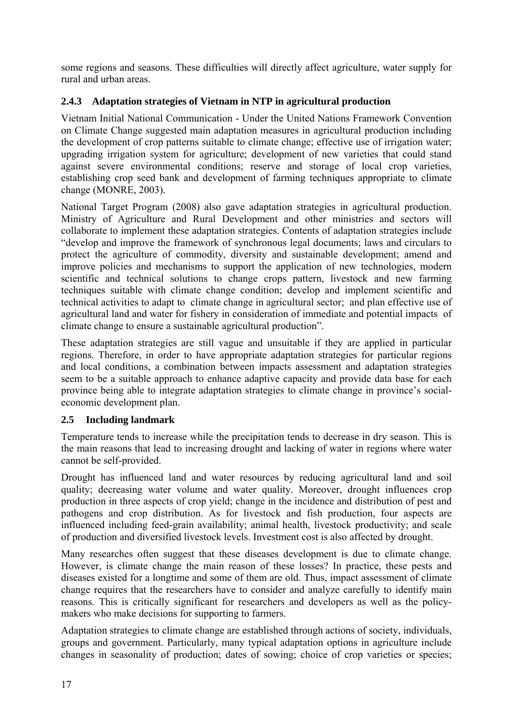some regions and seasons. These difficulties will directly affect agriculture, water supply for rural and urban areas.

## **2.4.3 Adaptation strategies of Vietnam in NTP in agricultural production**

Vietnam Initial National Communication - Under the United Nations Framework Convention on Climate Change suggested main adaptation measures in agricultural production including the development of crop patterns suitable to climate change; effective use of irrigation water; upgrading irrigation system for agriculture; development of new varieties that could stand against severe environmental conditions; reserve and storage of local crop varieties, establishing crop seed bank and development of farming techniques appropriate to climate change (MONRE, 2003).

National Target Program (2008) also gave adaptation strategies in agricultural production. Ministry of Agriculture and Rural Development and other ministries and sectors will collaborate to implement these adaptation strategies. Contents of adaptation strategies include "develop and improve the framework of synchronous legal documents; laws and circulars to protect the agriculture of commodity, diversity and sustainable development; amend and improve policies and mechanisms to support the application of new technologies, modern scientific and technical solutions to change crops pattern, livestock and new farming techniques suitable with climate change condition; develop and implement scientific and technical activities to adapt to climate change in agricultural sector; and plan effective use of agricultural land and water for fishery in consideration of immediate and potential impacts of climate change to ensure a sustainable agricultural production".

These adaptation strategies are still vague and unsuitable if they are applied in particular regions. Therefore, in order to have appropriate adaptation strategies for particular regions and local conditions, a combination between impacts assessment and adaptation strategies seem to be a suitable approach to enhance adaptive capacity and provide data base for each province being able to integrate adaptation strategies to climate change in province's socialeconomic development plan.

## **2.5 Including landmark**

Temperature tends to increase while the precipitation tends to decrease in dry season. This is the main reasons that lead to increasing drought and lacking of water in regions where water cannot be self-provided.

Drought has influenced land and water resources by reducing agricultural land and soil quality; decreasing water volume and water quality. Moreover, drought influences crop production in three aspects of crop yield; change in the incidence and distribution of pest and pathogens and crop distribution. As for livestock and fish production, four aspects are influenced including feed-grain availability; animal health, livestock productivity; and scale of production and diversified livestock levels. Investment cost is also affected by drought.

Many researches often suggest that these diseases development is due to climate change. However, is climate change the main reason of these losses? In practice, these pests and diseases existed for a longtime and some of them are old. Thus, impact assessment of climate change requires that the researchers have to consider and analyze carefully to identify main reasons. This is critically significant for researchers and developers as well as the policymakers who make decisions for supporting to farmers.

Adaptation strategies to climate change are established through actions of society, individuals, groups and government. Particularly, many typical adaptation options in agriculture include changes in seasonality of production; dates of sowing; choice of crop varieties or species;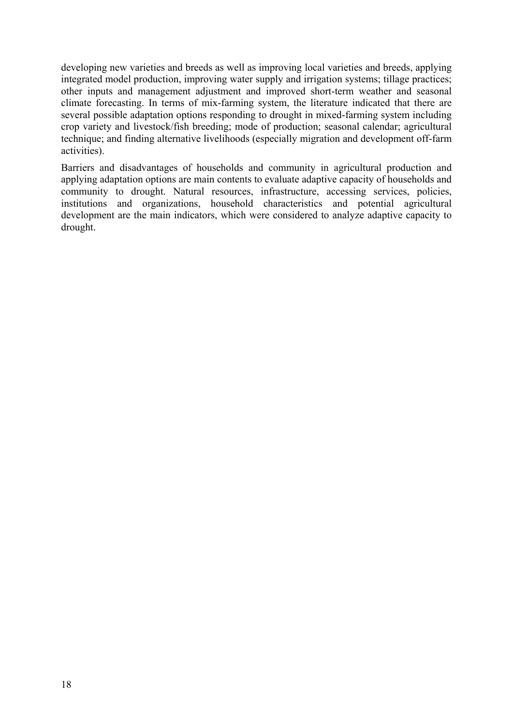developing new varieties and breeds as well as improving local varieties and breeds, applying integrated model production, improving water supply and irrigation systems; tillage practices; other inputs and management adjustment and improved short-term weather and seasonal climate forecasting. In terms of mix-farming system, the literature indicated that there are several possible adaptation options responding to drought in mixed-farming system including crop variety and livestock/fish breeding; mode of production; seasonal calendar; agricultural technique; and finding alternative livelihoods (especially migration and development off-farm activities).

Barriers and disadvantages of households and community in agricultural production and applying adaptation options are main contents to evaluate adaptive capacity of households and community to drought. Natural resources, infrastructure, accessing services, policies, institutions and organizations, household characteristics and potential agricultural development are the main indicators, which were considered to analyze adaptive capacity to drought.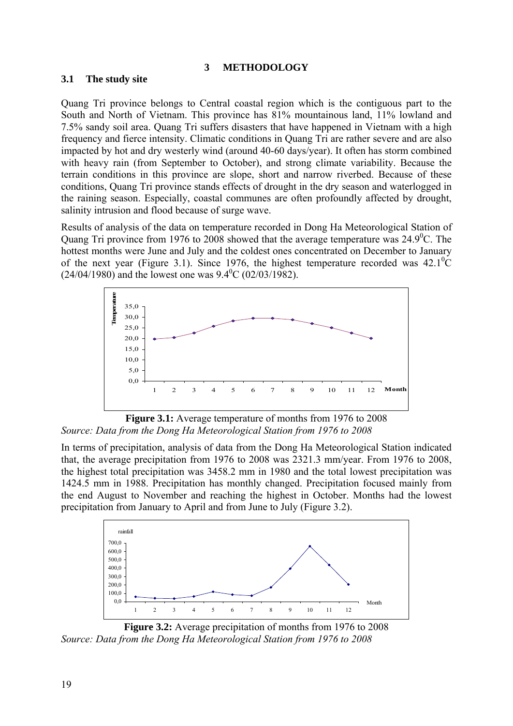#### **3 METHODOLOGY**

#### **3.1 The study site**

Quang Tri province belongs to Central coastal region which is the contiguous part to the South and North of Vietnam. This province has 81% mountainous land, 11% lowland and 7.5% sandy soil area. Quang Tri suffers disasters that have happened in Vietnam with a high frequency and fierce intensity. Climatic conditions in Quang Tri are rather severe and are also impacted by hot and dry westerly wind (around 40-60 days/year). It often has storm combined with heavy rain (from September to October), and strong climate variability. Because the terrain conditions in this province are slope, short and narrow riverbed. Because of these conditions, Quang Tri province stands effects of drought in the dry season and waterlogged in the raining season. Especially, coastal communes are often profoundly affected by drought, salinity intrusion and flood because of surge wave.

Results of analysis of the data on temperature recorded in Dong Ha Meteorological Station of Quang Tri province from 1976 to 2008 showed that the average temperature was  $24.9^{\circ}$ C. The hottest months were June and July and the coldest ones concentrated on December to January of the next year (Figure 3.1). Since 1976, the highest temperature recorded was  $42.1^{\circ}$ C  $(24/04/1980)$  and the lowest one was  $9.4^{\circ}$ C (02/03/1982).



Figure 3.1: Average temperature of months from 1976 to 2008 *Source: Data from the Dong Ha Meteorological Station from 1976 to 2008* 

In terms of precipitation, analysis of data from the Dong Ha Meteorological Station indicated that, the average precipitation from 1976 to 2008 was 2321.3 mm/year. From 1976 to 2008, the highest total precipitation was 3458.2 mm in 1980 and the total lowest precipitation was 1424.5 mm in 1988. Precipitation has monthly changed. Precipitation focused mainly from the end August to November and reaching the highest in October. Months had the lowest precipitation from January to April and from June to July (Figure 3.2).



**Figure 3.2:** Average precipitation of months from 1976 to 2008 *Source: Data from the Dong Ha Meteorological Station from 1976 to 2008*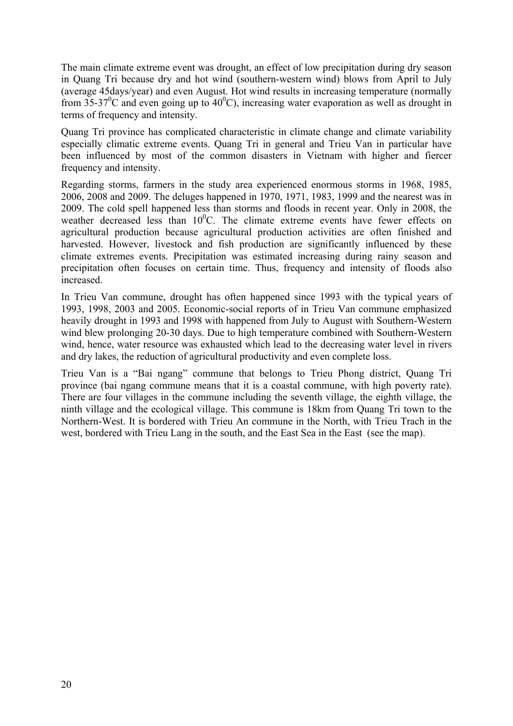The main climate extreme event was drought, an effect of low precipitation during dry season in Quang Tri because dry and hot wind (southern-western wind) blows from April to July (average 45days/year) and even August. Hot wind results in increasing temperature (normally from 35-37<sup>0</sup>C and even going up to  $40^{\circ}$ C), increasing water evaporation as well as drought in terms of frequency and intensity.

Quang Tri province has complicated characteristic in climate change and climate variability especially climatic extreme events. Quang Tri in general and Trieu Van in particular have been influenced by most of the common disasters in Vietnam with higher and fiercer frequency and intensity.

Regarding storms, farmers in the study area experienced enormous storms in 1968, 1985, 2006, 2008 and 2009. The deluges happened in 1970, 1971, 1983, 1999 and the nearest was in 2009. The cold spell happened less than storms and floods in recent year. Only in 2008, the weather decreased less than  $10^{0}$ C. The climate extreme events have fewer effects on agricultural production because agricultural production activities are often finished and harvested. However, livestock and fish production are significantly influenced by these climate extremes events. Precipitation was estimated increasing during rainy season and precipitation often focuses on certain time. Thus, frequency and intensity of floods also increased.

In Trieu Van commune, drought has often happened since 1993 with the typical years of 1993, 1998, 2003 and 2005. Economic-social reports of in Trieu Van commune emphasized heavily drought in 1993 and 1998 with happened from July to August with Southern-Western wind blew prolonging 20-30 days. Due to high temperature combined with Southern-Western wind, hence, water resource was exhausted which lead to the decreasing water level in rivers and dry lakes, the reduction of agricultural productivity and even complete loss.

Trieu Van is a "Bai ngang" commune that belongs to Trieu Phong district, Quang Tri province (bai ngang commune means that it is a coastal commune, with high poverty rate). There are four villages in the commune including the seventh village, the eighth village, the ninth village and the ecological village. This commune is 18km from Quang Tri town to the Northern-West. It is bordered with Trieu An commune in the North, with Trieu Trach in the west, bordered with Trieu Lang in the south, and the East Sea in the East (see the map).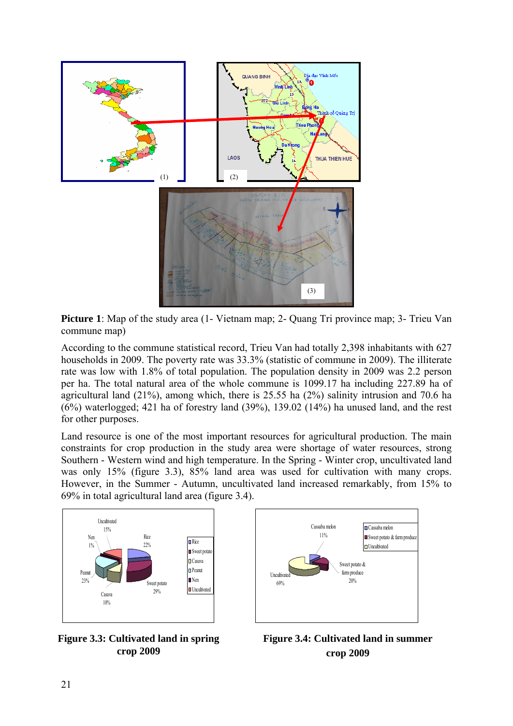

**Picture 1**: Map of the study area (1- Vietnam map; 2- Quang Tri province map; 3- Trieu Van commune map)

According to the commune statistical record, Trieu Van had totally 2,398 inhabitants with 627 households in 2009. The poverty rate was 33.3% (statistic of commune in 2009). The illiterate rate was low with 1.8% of total population. The population density in 2009 was 2.2 person per ha. The total natural area of the whole commune is 1099.17 ha including 227.89 ha of agricultural land (21%), among which, there is 25.55 ha (2%) salinity intrusion and 70.6 ha (6%) waterlogged; 421 ha of forestry land (39%), 139.02 (14%) ha unused land, and the rest for other purposes.

Land resource is one of the most important resources for agricultural production. The main constraints for crop production in the study area were shortage of water resources, strong Southern - Western wind and high temperature. In the Spring - Winter crop, uncultivated land was only 15% (figure 3.3), 85% land area was used for cultivation with many crops. However, in the Summer - Autumn, uncultivated land increased remarkably, from 15% to 69% in total agricultural land area (figure 3.4).





**Figure 3.3: Cultivated land in spring crop 2009**

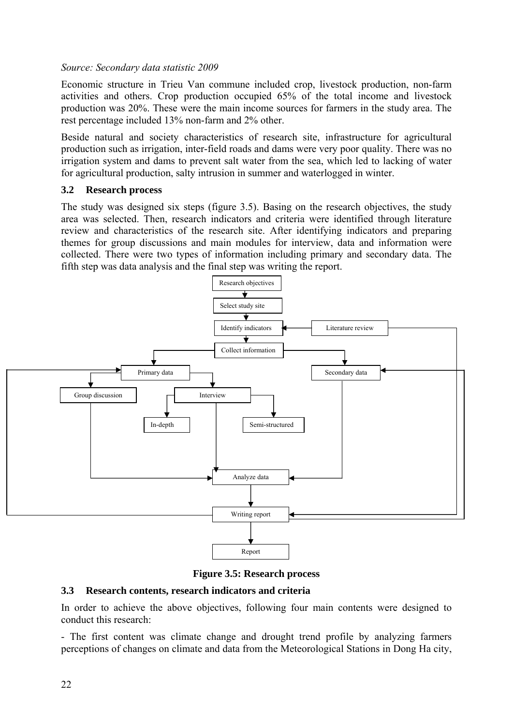#### *Source: Secondary data statistic 2009*

Economic structure in Trieu Van commune included crop, livestock production, non-farm activities and others. Crop production occupied 65% of the total income and livestock production was 20%. These were the main income sources for farmers in the study area. The rest percentage included 13% non-farm and 2% other.

Beside natural and society characteristics of research site, infrastructure for agricultural production such as irrigation, inter-field roads and dams were very poor quality. There was no irrigation system and dams to prevent salt water from the sea, which led to lacking of water for agricultural production, salty intrusion in summer and waterlogged in winter.

#### **3.2 Research process**

The study was designed six steps (figure 3.5). Basing on the research objectives, the study area was selected. Then, research indicators and criteria were identified through literature review and characteristics of the research site. After identifying indicators and preparing themes for group discussions and main modules for interview, data and information were collected. There were two types of information including primary and secondary data. The fifth step was data analysis and the final step was writing the report.



**Figure 3.5: Research process** 

#### **3.3 Research contents, research indicators and criteria**

In order to achieve the above objectives, following four main contents were designed to conduct this research:

- The first content was climate change and drought trend profile by analyzing farmers perceptions of changes on climate and data from the Meteorological Stations in Dong Ha city,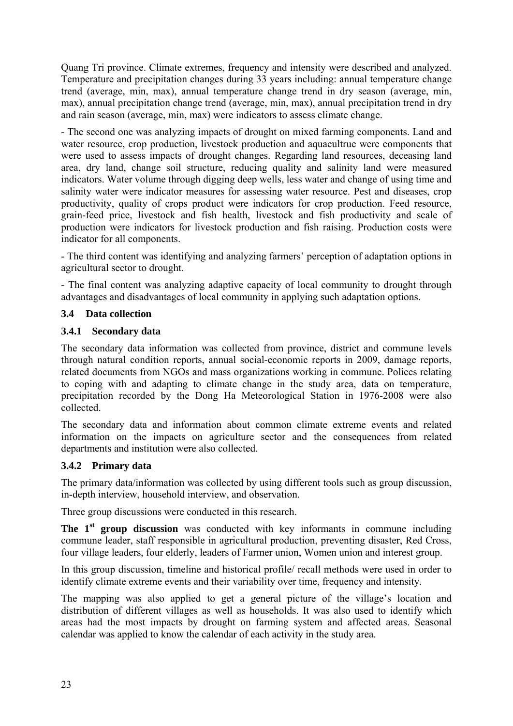Quang Tri province. Climate extremes, frequency and intensity were described and analyzed. Temperature and precipitation changes during 33 years including: annual temperature change trend (average, min, max), annual temperature change trend in dry season (average, min, max), annual precipitation change trend (average, min, max), annual precipitation trend in dry and rain season (average, min, max) were indicators to assess climate change.

- The second one was analyzing impacts of drought on mixed farming components. Land and water resource, crop production, livestock production and aquacultrue were components that were used to assess impacts of drought changes. Regarding land resources, deceasing land area, dry land, change soil structure, reducing quality and salinity land were measured indicators. Water volume through digging deep wells, less water and change of using time and salinity water were indicator measures for assessing water resource. Pest and diseases, crop productivity, quality of crops product were indicators for crop production. Feed resource, grain-feed price, livestock and fish health, livestock and fish productivity and scale of production were indicators for livestock production and fish raising. Production costs were indicator for all components.

- The third content was identifying and analyzing farmers' perception of adaptation options in agricultural sector to drought.

- The final content was analyzing adaptive capacity of local community to drought through advantages and disadvantages of local community in applying such adaptation options.

#### **3.4 Data collection**

#### **3.4.1 Secondary data**

The secondary data information was collected from province, district and commune levels through natural condition reports, annual social-economic reports in 2009, damage reports, related documents from NGOs and mass organizations working in commune. Polices relating to coping with and adapting to climate change in the study area, data on temperature, precipitation recorded by the Dong Ha Meteorological Station in 1976-2008 were also collected.

The secondary data and information about common climate extreme events and related information on the impacts on agriculture sector and the consequences from related departments and institution were also collected.

## **3.4.2 Primary data**

The primary data/information was collected by using different tools such as group discussion, in-depth interview, household interview, and observation.

Three group discussions were conducted in this research.

The 1<sup>st</sup> group discussion was conducted with key informants in commune including commune leader, staff responsible in agricultural production, preventing disaster, Red Cross, four village leaders, four elderly, leaders of Farmer union, Women union and interest group.

In this group discussion, timeline and historical profile/ recall methods were used in order to identify climate extreme events and their variability over time, frequency and intensity.

The mapping was also applied to get a general picture of the village's location and distribution of different villages as well as households. It was also used to identify which areas had the most impacts by drought on farming system and affected areas. Seasonal calendar was applied to know the calendar of each activity in the study area.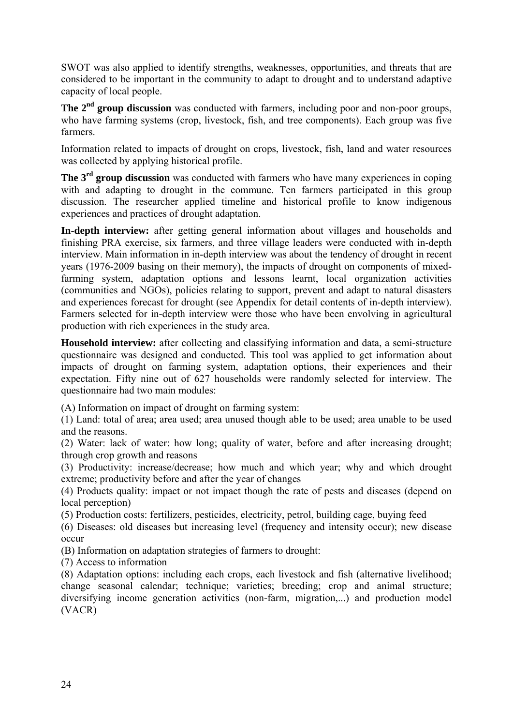SWOT was also applied to identify strengths, weaknesses, opportunities, and threats that are considered to be important in the community to adapt to drought and to understand adaptive capacity of local people.

The 2<sup>nd</sup> group discussion was conducted with farmers, including poor and non-poor groups, who have farming systems (crop, livestock, fish, and tree components). Each group was five farmers.

Information related to impacts of drought on crops, livestock, fish, land and water resources was collected by applying historical profile.

**The 3<sup>rd</sup> group discussion** was conducted with farmers who have many experiences in coping with and adapting to drought in the commune. Ten farmers participated in this group discussion. The researcher applied timeline and historical profile to know indigenous experiences and practices of drought adaptation.

**In-depth interview:** after getting general information about villages and households and finishing PRA exercise, six farmers, and three village leaders were conducted with in-depth interview. Main information in in-depth interview was about the tendency of drought in recent years (1976-2009 basing on their memory), the impacts of drought on components of mixedfarming system, adaptation options and lessons learnt, local organization activities (communities and NGOs), policies relating to support, prevent and adapt to natural disasters and experiences forecast for drought (see Appendix for detail contents of in-depth interview). Farmers selected for in-depth interview were those who have been envolving in agricultural production with rich experiences in the study area.

**Household interview:** after collecting and classifying information and data, a semi-structure questionnaire was designed and conducted. This tool was applied to get information about impacts of drought on farming system, adaptation options, their experiences and their expectation. Fifty nine out of 627 households were randomly selected for interview. The questionnaire had two main modules:

(A) Information on impact of drought on farming system:

(1) Land: total of area; area used; area unused though able to be used; area unable to be used and the reasons.

(2) Water: lack of water: how long; quality of water, before and after increasing drought; through crop growth and reasons

(3) Productivity: increase/decrease; how much and which year; why and which drought extreme; productivity before and after the year of changes

(4) Products quality: impact or not impact though the rate of pests and diseases (depend on local perception)

(5) Production costs: fertilizers, pesticides, electricity, petrol, building cage, buying feed

(6) Diseases: old diseases but increasing level (frequency and intensity occur); new disease occur

(B) Information on adaptation strategies of farmers to drought:

(7) Access to information

(8) Adaptation options: including each crops, each livestock and fish (alternative livelihood; change seasonal calendar; technique; varieties; breeding; crop and animal structure; diversifying income generation activities (non-farm, migration,...) and production model (VACR)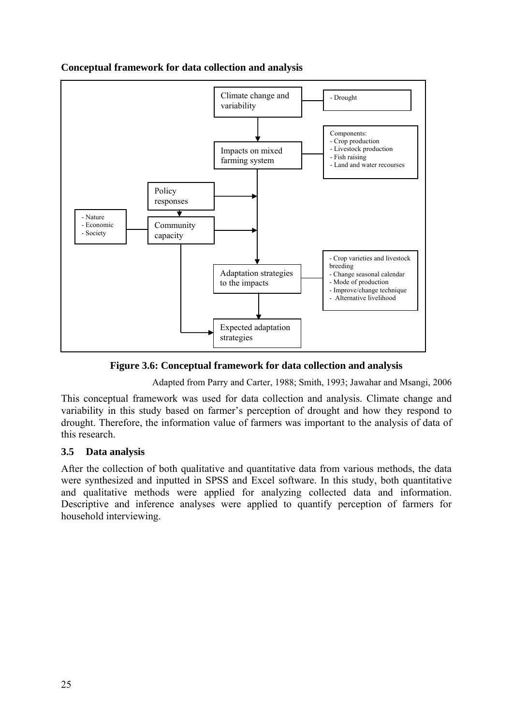



**Figure 3.6: Conceptual framework for data collection and analysis** 

Adapted from Parry and Carter, 1988; Smith, 1993; Jawahar and Msangi, 2006

This conceptual framework was used for data collection and analysis. Climate change and variability in this study based on farmer's perception of drought and how they respond to drought. Therefore, the information value of farmers was important to the analysis of data of this research.

## **3.5 Data analysis**

After the collection of both qualitative and quantitative data from various methods, the data were synthesized and inputted in SPSS and Excel software. In this study, both quantitative and qualitative methods were applied for analyzing collected data and information. Descriptive and inference analyses were applied to quantify perception of farmers for household interviewing.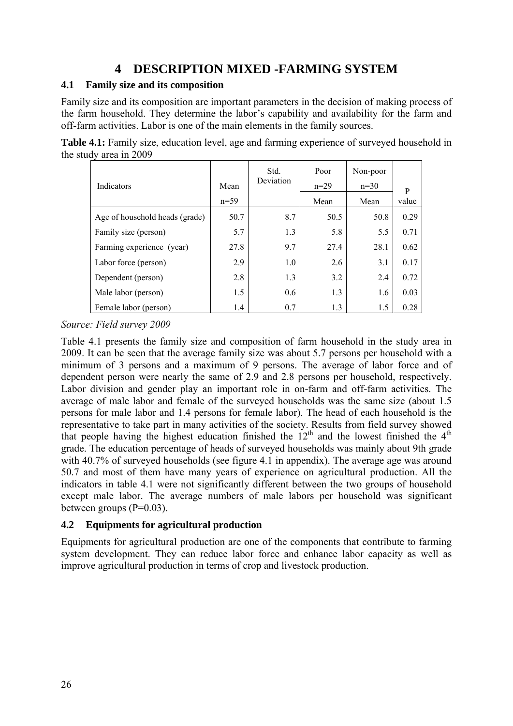## **4 DESCRIPTION MIXED -FARMING SYSTEM**

## **4.1 Family size and its composition**

Family size and its composition are important parameters in the decision of making process of the farm household. They determine the labor's capability and availability for the farm and off-farm activities. Labor is one of the main elements in the family sources.

| Indicators                     | Mean   | Std.<br>Deviation | Poor<br>$n=29$ | Non-poor<br>$n=30$ | P     |
|--------------------------------|--------|-------------------|----------------|--------------------|-------|
|                                | $n=59$ |                   | Mean           | Mean               | value |
| Age of household heads (grade) | 50.7   | 8.7               | 50.5           | 50.8               | 0.29  |
| Family size (person)           | 5.7    | 1.3               | 5.8            | 5.5                | 0.71  |
| Farming experience (year)      | 27.8   | 9.7               | 27.4           | 28.1               | 0.62  |
| Labor force (person)           | 2.9    | 1.0               | 2.6            | 3.1                | 0.17  |
| Dependent (person)             | 2.8    | 1.3               | 3.2            | 2.4                | 0.72  |
| Male labor (person)            | 1.5    | 0.6               | 1.3            | 1.6                | 0.03  |
| Female labor (person)          | 1.4    | 0.7               | 1.3            | 1.5                | 0.28  |

**Table 4.1:** Family size, education level, age and farming experience of surveyed household in the study area in 2009

## *Source: Field survey 2009*

Table 4.1 presents the family size and composition of farm household in the study area in 2009. It can be seen that the average family size was about 5.7 persons per household with a minimum of 3 persons and a maximum of 9 persons. The average of labor force and of dependent person were nearly the same of 2.9 and 2.8 persons per household, respectively. Labor division and gender play an important role in on-farm and off-farm activities. The average of male labor and female of the surveyed households was the same size (about 1.5 persons for male labor and 1.4 persons for female labor). The head of each household is the representative to take part in many activities of the society. Results from field survey showed that people having the highest education finished the  $12<sup>th</sup>$  and the lowest finished the  $4<sup>th</sup>$ grade. The education percentage of heads of surveyed households was mainly about 9th grade with 40.7% of surveyed households (see figure 4.1 in appendix). The average age was around 50.7 and most of them have many years of experience on agricultural production. All the indicators in table 4.1 were not significantly different between the two groups of household except male labor. The average numbers of male labors per household was significant between groups  $(P=0.03)$ .

#### **4.2 Equipments for agricultural production**

Equipments for agricultural production are one of the components that contribute to farming system development. They can reduce labor force and enhance labor capacity as well as improve agricultural production in terms of crop and livestock production.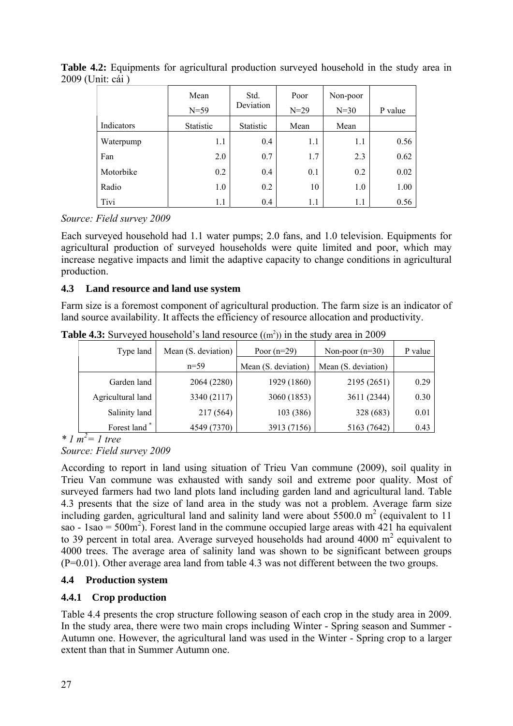|            | Mean<br>$N=59$ | Std.<br>Deviation | Poor<br>$N = 29$ | Non-poor<br>$N=30$ | P value |
|------------|----------------|-------------------|------------------|--------------------|---------|
| Indicators | Statistic      | Statistic         | Mean             | Mean               |         |
| Waterpump  | 1.1            | 0.4               | 1.1              | 1.1                | 0.56    |
| Fan        | 2.0            | 0.7               | 1.7              | 2.3                | 0.62    |
| Motorbike  | 0.2            | 0.4               | 0.1              | 0.2                | 0.02    |
| Radio      | 1.0            | 0.2               | 10               | 1.0                | 1.00    |
| Tivi       | 1.1            | 0.4               | 1.1              | 1.1                | 0.56    |

**Table 4.2:** Equipments for agricultural production surveyed household in the study area in 2009 (Unit: cái )

*Source: Field survey 2009* 

Each surveyed household had 1.1 water pumps; 2.0 fans, and 1.0 television. Equipments for agricultural production of surveyed households were quite limited and poor, which may increase negative impacts and limit the adaptive capacity to change conditions in agricultural production.

#### **4.3 Land resource and land use system**

Farm size is a foremost component of agricultural production. The farm size is an indicator of land source availability. It affects the efficiency of resource allocation and productivity.

| Type land         | Mean $(S.$ deviation) | Poor $(n=29)$       | Non-poor $(n=30)$   | P value |
|-------------------|-----------------------|---------------------|---------------------|---------|
|                   | $n=59$                | Mean (S. deviation) | Mean (S. deviation) |         |
| Garden land       | 2064 (2280)           | 1929 (1860)         | 2195 (2651)         | 0.29    |
| Agricultural land | 3340 (2117)           | 3060 (1853)         | 3611 (2344)         | 0.30    |
| Salinity land     | 217(564)              | 103(386)            | 328 (683)           | 0.01    |
| Forest land*      | 4549 (7370)           | 3913 (7156)         | 5163 (7642)         | 0.43    |

**Table 4.3:** Surveyed household's land resource  $((m^2))$  in the study area in 2009

 $*$  *l*  $m^2 = 1$  tree *Source: Field survey 2009* 

According to report in land using situation of Trieu Van commune (2009), soil quality in Trieu Van commune was exhausted with sandy soil and extreme poor quality. Most of surveyed farmers had two land plots land including garden land and agricultural land. Table 4.3 presents that the size of land area in the study was not a problem. Average farm size including garden, agricultural land and salinity land were about  $5500.0 \text{ m}^2$  (equivalent to 11 sao - 1sao = 500 $\text{m}^2$ ). Forest land in the commune occupied large areas with 421 ha equivalent to 39 percent in total area. Average surveyed households had around 4000  $m^2$  equivalent to 4000 trees. The average area of salinity land was shown to be significant between groups (P=0.01). Other average area land from table 4.3 was not different between the two groups.

## **4.4 Production system**

## **4.4.1 Crop production**

Table 4.4 presents the crop structure following season of each crop in the study area in 2009. In the study area, there were two main crops including Winter - Spring season and Summer - Autumn one. However, the agricultural land was used in the Winter - Spring crop to a larger extent than that in Summer Autumn one.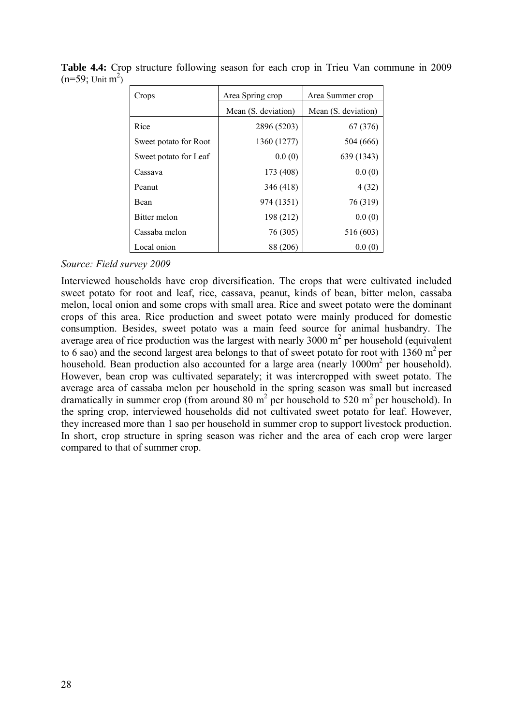| Crops                 | Area Spring crop    | Area Summer crop    |
|-----------------------|---------------------|---------------------|
|                       | Mean (S. deviation) | Mean (S. deviation) |
| Rice                  | 2896 (5203)         | 67 (376)            |
| Sweet potato for Root | 1360 (1277)         | 504 (666)           |
| Sweet potato for Leaf | 0.0(0)              | 639 (1343)          |
| Cassava               | 173 (408)           | 0.0(0)              |
| Peanut                | 346 (418)           | 4(32)               |
| Bean                  | 974 (1351)          | 76 (319)            |
| Bitter melon          | 198 (212)           | 0.0(0)              |
| Cassaba melon         | 76 (305)            | 516 (603)           |
| Local onion           | 88 (206)            | 0.0(0)              |

**Table 4.4:** Crop structure following season for each crop in Trieu Van commune in 2009  $(n=59; \text{Unit m}^2)$ 

Interviewed households have crop diversification. The crops that were cultivated included sweet potato for root and leaf, rice, cassava, peanut, kinds of bean, bitter melon, cassaba melon, local onion and some crops with small area. Rice and sweet potato were the dominant crops of this area. Rice production and sweet potato were mainly produced for domestic consumption. Besides, sweet potato was a main feed source for animal husbandry. The average area of rice production was the largest with nearly 3000  $m<sup>2</sup>$  per household (equivalent to 6 sao) and the second largest area belongs to that of sweet potato for root with 1360  $m^2$  per household. Bean production also accounted for a large area (nearly 1000m<sup>2</sup> per household). However, bean crop was cultivated separately; it was intercropped with sweet potato. The average area of cassaba melon per household in the spring season was small but increased dramatically in summer crop (from around 80  $m^2$  per household to 520  $m^2$  per household). In the spring crop, interviewed households did not cultivated sweet potato for leaf. However, they increased more than 1 sao per household in summer crop to support livestock production. In short, crop structure in spring season was richer and the area of each crop were larger compared to that of summer crop.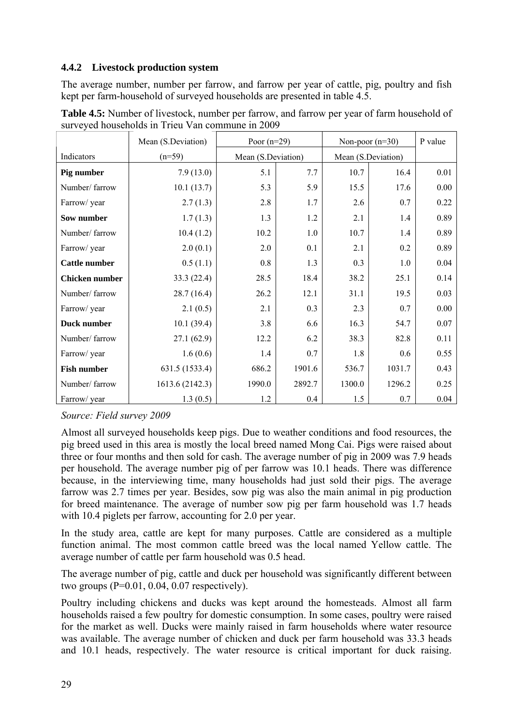#### **4.4.2 Livestock production system**

The average number, number per farrow, and farrow per year of cattle, pig, poultry and fish kept per farm-household of surveyed households are presented in table 4.5.

|                       | Mean (S.Deviation) | Poor $(n=29)$      |        |        | Non-poor $(n=30)$  | P value |
|-----------------------|--------------------|--------------------|--------|--------|--------------------|---------|
| Indicators            | $(n=59)$           | Mean (S.Deviation) |        |        | Mean (S.Deviation) |         |
| Pig number            | 7.9(13.0)          | 5.1                | 7.7    | 10.7   | 16.4               | 0.01    |
| Number/ farrow        | 10.1(13.7)         | 5.3                | 5.9    | 15.5   | 17.6               | 0.00    |
| Farrow/ year          | 2.7(1.3)           | 2.8                | 1.7    | 2.6    | 0.7                | 0.22    |
| Sow number            | 1.7(1.3)           | 1.3                | 1.2    | 2.1    | 1.4                | 0.89    |
| Number/ farrow        | 10.4(1.2)          | 10.2               | 1.0    | 10.7   | 1.4                | 0.89    |
| Farrow/ year          | 2.0(0.1)           | 2.0                | 0.1    | 2.1    | 0.2                | 0.89    |
| <b>Cattle number</b>  | 0.5(1.1)           | 0.8                | 1.3    | 0.3    | 1.0                | 0.04    |
| <b>Chicken</b> number | 33.3(22.4)         | 28.5               | 18.4   | 38.2   | 25.1               | 0.14    |
| Number/ farrow        | 28.7(16.4)         | 26.2               | 12.1   | 31.1   | 19.5               | 0.03    |
| Farrow/ year          | 2.1(0.5)           | 2.1                | 0.3    | 2.3    | 0.7                | 0.00    |
| Duck number           | 10.1(39.4)         | 3.8                | 6.6    | 16.3   | 54.7               | 0.07    |
| Number/ farrow        | 27.1(62.9)         | 12.2               | 6.2    | 38.3   | 82.8               | 0.11    |
| Farrow/ year          | 1.6(0.6)           | 1.4                | 0.7    | 1.8    | 0.6                | 0.55    |
| <b>Fish number</b>    | 631.5 (1533.4)     | 686.2              | 1901.6 | 536.7  | 1031.7             | 0.43    |
| Number/ farrow        | 1613.6 (2142.3)    | 1990.0             | 2892.7 | 1300.0 | 1296.2             | 0.25    |
| Farrow/ year          | 1.3(0.5)           | 1.2                | 0.4    | 1.5    | 0.7                | 0.04    |

**Table 4.5:** Number of livestock, number per farrow, and farrow per year of farm household of surveyed households in Trieu Van commune in 2009

*Source: Field survey 2009* 

Almost all surveyed households keep pigs. Due to weather conditions and food resources, the pig breed used in this area is mostly the local breed named Mong Cai. Pigs were raised about three or four months and then sold for cash. The average number of pig in 2009 was 7.9 heads per household. The average number pig of per farrow was 10.1 heads. There was difference because, in the interviewing time, many households had just sold their pigs. The average farrow was 2.7 times per year. Besides, sow pig was also the main animal in pig production for breed maintenance. The average of number sow pig per farm household was 1.7 heads with 10.4 piglets per farrow, accounting for 2.0 per year.

In the study area, cattle are kept for many purposes. Cattle are considered as a multiple function animal. The most common cattle breed was the local named Yellow cattle. The average number of cattle per farm household was 0.5 head.

The average number of pig, cattle and duck per household was significantly different between two groups  $(P=0.01, 0.04, 0.07$  respectively).

Poultry including chickens and ducks was kept around the homesteads. Almost all farm households raised a few poultry for domestic consumption. In some cases, poultry were raised for the market as well. Ducks were mainly raised in farm households where water resource was available. The average number of chicken and duck per farm household was 33.3 heads and 10.1 heads, respectively. The water resource is critical important for duck raising.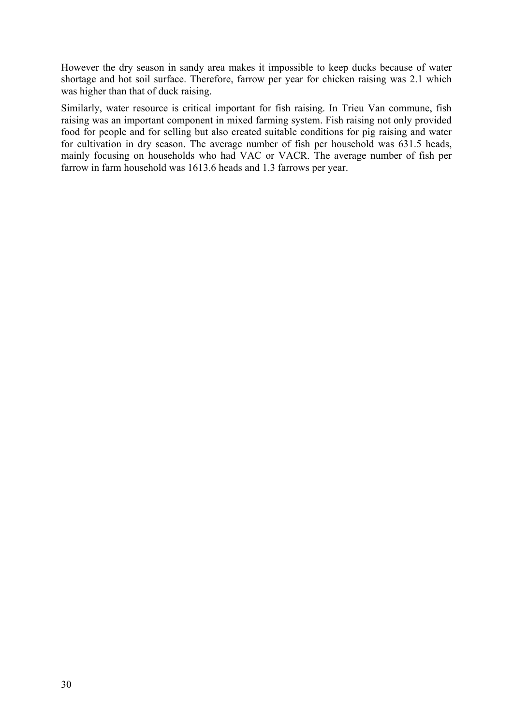However the dry season in sandy area makes it impossible to keep ducks because of water shortage and hot soil surface. Therefore, farrow per year for chicken raising was 2.1 which was higher than that of duck raising.

Similarly, water resource is critical important for fish raising. In Trieu Van commune, fish raising was an important component in mixed farming system. Fish raising not only provided food for people and for selling but also created suitable conditions for pig raising and water for cultivation in dry season. The average number of fish per household was 631.5 heads, mainly focusing on households who had VAC or VACR. The average number of fish per farrow in farm household was 1613.6 heads and 1.3 farrows per year.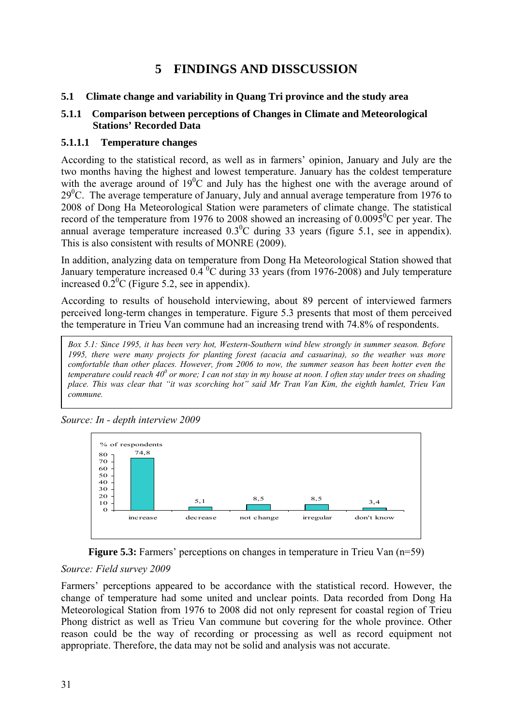# **5 FINDINGS AND DISSCUSSION**

#### **5.1 Climate change and variability in Quang Tri province and the study area**

#### **5.1.1 Comparison between perceptions of Changes in Climate and Meteorological Stations' Recorded Data**

#### **5.1.1.1 Temperature changes**

According to the statistical record, as well as in farmers' opinion, January and July are the two months having the highest and lowest temperature. January has the coldest temperature with the average around of  $19^{\circ}$ C and July has the highest one with the average around of  $29^{\circ}$ C. The average temperature of January, July and annual average temperature from 1976 to 2008 of Dong Ha Meteorological Station were parameters of climate change. The statistical record of the temperature from 1976 to 2008 showed an increasing of  $0.0095^{\circ}$ C per year. The annual average temperature increased  $0.3<sup>0</sup>C$  during 33 years (figure 5.1, see in appendix). This is also consistent with results of MONRE (2009).

In addition, analyzing data on temperature from Dong Ha Meteorological Station showed that January temperature increased  $0.4^{\degree}$ C during 33 years (from 1976-2008) and July temperature increased  $0.\overline{2}^0C$  (Figure 5.2, see in appendix).

According to results of household interviewing, about 89 percent of interviewed farmers perceived long-term changes in temperature. Figure 5.3 presents that most of them perceived the temperature in Trieu Van commune had an increasing trend with 74.8% of respondents.

*Box 5.1: Since 1995, it has been very hot, Western-Southern wind blew strongly in summer season. Before 1995, there were many projects for planting forest (acacia and casuarina), so the weather was more comfortable than other places. However, from 2006 to now, the summer season has been hotter even the*  temperature could reach 40<sup>0</sup> or more; I can not stay in my house at noon. I often stay under trees on shading *place. This was clear that "it was scorching hot" said Mr Tran Van Kim, the eighth hamlet, Trieu Van commune.* 



*Source: In - depth interview 2009* 



#### *Source: Field survey 2009*

Farmers' perceptions appeared to be accordance with the statistical record. However, the change of temperature had some united and unclear points. Data recorded from Dong Ha Meteorological Station from 1976 to 2008 did not only represent for coastal region of Trieu Phong district as well as Trieu Van commune but covering for the whole province. Other reason could be the way of recording or processing as well as record equipment not appropriate. Therefore, the data may not be solid and analysis was not accurate.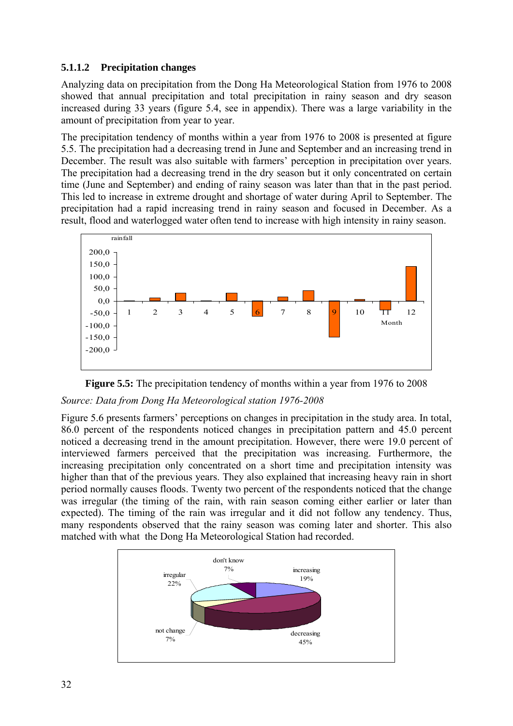#### **5.1.1.2 Precipitation changes**

Analyzing data on precipitation from the Dong Ha Meteorological Station from 1976 to 2008 showed that annual precipitation and total precipitation in rainy season and dry season increased during 33 years (figure 5.4, see in appendix). There was a large variability in the amount of precipitation from year to year.

The precipitation tendency of months within a year from 1976 to 2008 is presented at figure 5.5. The precipitation had a decreasing trend in June and September and an increasing trend in December. The result was also suitable with farmers' perception in precipitation over years. The precipitation had a decreasing trend in the dry season but it only concentrated on certain time (June and September) and ending of rainy season was later than that in the past period. This led to increase in extreme drought and shortage of water during April to September. The precipitation had a rapid increasing trend in rainy season and focused in December. As a result, flood and waterlogged water often tend to increase with high intensity in rainy season.





#### *Source: Data from Dong Ha Meteorological station 1976-2008*

Figure 5.6 presents farmers' perceptions on changes in precipitation in the study area. In total, 86.0 percent of the respondents noticed changes in precipitation pattern and 45.0 percent noticed a decreasing trend in the amount precipitation. However, there were 19.0 percent of interviewed farmers perceived that the precipitation was increasing. Furthermore, the increasing precipitation only concentrated on a short time and precipitation intensity was higher than that of the previous years. They also explained that increasing heavy rain in short period normally causes floods. Twenty two percent of the respondents noticed that the change was irregular (the timing of the rain, with rain season coming either earlier or later than expected). The timing of the rain was irregular and it did not follow any tendency. Thus, many respondents observed that the rainy season was coming later and shorter. This also matched with what the Dong Ha Meteorological Station had recorded.

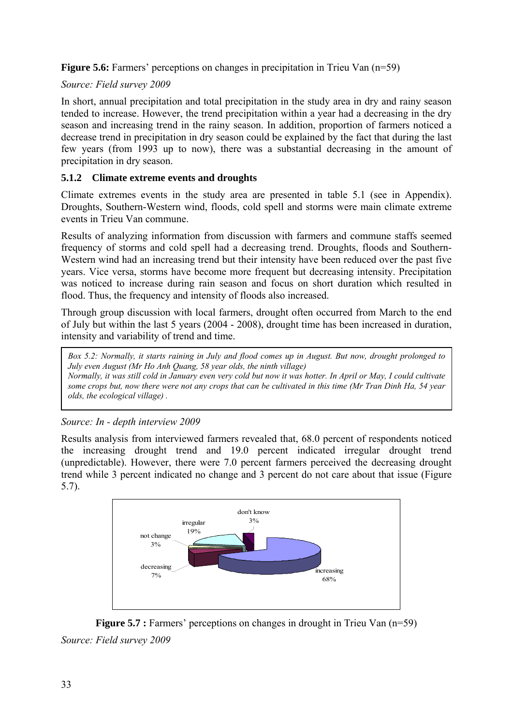**Figure 5.6:** Farmers' perceptions on changes in precipitation in Trieu Van (n=59)

## *Source: Field survey 2009*

In short, annual precipitation and total precipitation in the study area in dry and rainy season tended to increase. However, the trend precipitation within a year had a decreasing in the dry season and increasing trend in the rainy season. In addition, proportion of farmers noticed a decrease trend in precipitation in dry season could be explained by the fact that during the last few years (from 1993 up to now), there was a substantial decreasing in the amount of precipitation in dry season.

## **5.1.2 Climate extreme events and droughts**

Climate extremes events in the study area are presented in table 5.1 (see in Appendix). Droughts, Southern-Western wind, floods, cold spell and storms were main climate extreme events in Trieu Van commune.

Results of analyzing information from discussion with farmers and commune staffs seemed frequency of storms and cold spell had a decreasing trend. Droughts, floods and Southern-Western wind had an increasing trend but their intensity have been reduced over the past five years. Vice versa, storms have become more frequent but decreasing intensity. Precipitation was noticed to increase during rain season and focus on short duration which resulted in flood. Thus, the frequency and intensity of floods also increased.

Through group discussion with local farmers, drought often occurred from March to the end of July but within the last 5 years (2004 - 2008), drought time has been increased in duration, intensity and variability of trend and time.

*Box 5.2: Normally, it starts raining in July and flood comes up in August. But now, drought prolonged to July even August (Mr Ho Anh Quang, 58 year olds, the ninth village) Normally, it was still cold in January even very cold but now it was hotter. In April or May, I could cultivate some crops but, now there were not any crops that can be cultivated in this time (Mr Tran Dinh Ha, 54 year olds, the ecological village) .* 

*Source: In - depth interview 2009* 

Results analysis from interviewed farmers revealed that, 68.0 percent of respondents noticed the increasing drought trend and 19.0 percent indicated irregular drought trend (unpredictable). However, there were 7.0 percent farmers perceived the decreasing drought trend while 3 percent indicated no change and 3 percent do not care about that issue (Figure 5.7).



**Figure 5.7 :** Farmers' perceptions on changes in drought in Trieu Van (n=59) *Source: Field survey 2009*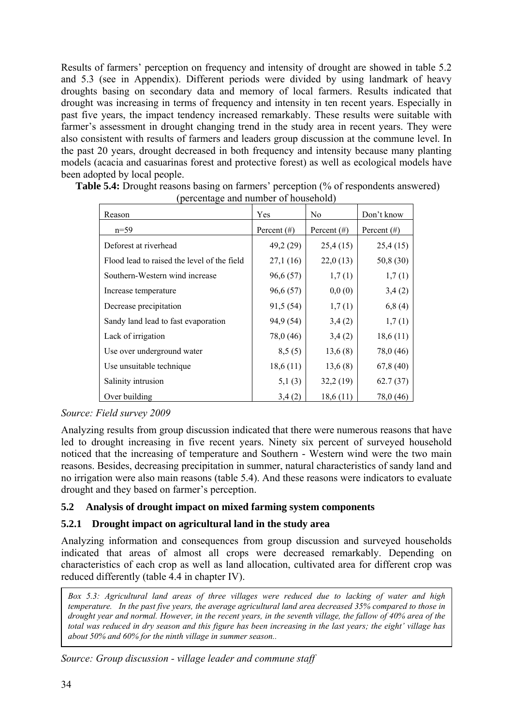Results of farmers' perception on frequency and intensity of drought are showed in table 5.2 and 5.3 (see in Appendix). Different periods were divided by using landmark of heavy droughts basing on secondary data and memory of local farmers. Results indicated that drought was increasing in terms of frequency and intensity in ten recent years. Especially in past five years, the impact tendency increased remarkably. These results were suitable with farmer's assessment in drought changing trend in the study area in recent years. They were also consistent with results of farmers and leaders group discussion at the commune level. In the past 20 years, drought decreased in both frequency and intensity because many planting models (acacia and casuarinas forest and protective forest) as well as ecological models have been adopted by local people.

| Reason                                      | Yes            | No.            | Don't know     |
|---------------------------------------------|----------------|----------------|----------------|
| $n=59$                                      | Percent $(\#)$ | Percent $(\#)$ | Percent $(\#)$ |
| Deforest at riverhead                       | 49,2 (29)      | 25,4(15)       | 25,4(15)       |
| Flood lead to raised the level of the field | 27,1(16)       | 22,0(13)       | 50,8 (30)      |
| Southern-Western wind increase              | 96,6 (57)      | 1,7(1)         | 1,7(1)         |
| Increase temperature                        | 96,6 (57)      | 0,0(0)         | 3,4(2)         |
| Decrease precipitation                      | 91,5 (54)      | 1,7(1)         | 6,8(4)         |
| Sandy land lead to fast evaporation         | 94,9 (54)      | 3,4(2)         | 1,7(1)         |
| Lack of irrigation                          | 78,0 (46)      | 3,4(2)         | 18,6(11)       |
| Use over underground water                  | 8,5(5)         | 13,6(8)        | 78,0 (46)      |
| Use unsuitable technique                    | 18,6(11)       | 13,6(8)        | 67,8(40)       |
| Salinity intrusion                          | 5,1(3)         | 32,2(19)       | 62.7(37)       |
| Over building                               | 3,4(2)         | 18,6(11)       | 78,0 (46)      |

**Table 5.4:** Drought reasons basing on farmers' perception (% of respondents answered) (percentage and number of household)

#### *Source: Field survey 2009*

Analyzing results from group discussion indicated that there were numerous reasons that have led to drought increasing in five recent years. Ninety six percent of surveyed household noticed that the increasing of temperature and Southern - Western wind were the two main reasons. Besides, decreasing precipitation in summer, natural characteristics of sandy land and no irrigation were also main reasons (table 5.4). And these reasons were indicators to evaluate drought and they based on farmer's perception.

## **5.2 Analysis of drought impact on mixed farming system components**

## **5.2.1 Drought impact on agricultural land in the study area**

Analyzing information and consequences from group discussion and surveyed households indicated that areas of almost all crops were decreased remarkably. Depending on characteristics of each crop as well as land allocation, cultivated area for different crop was reduced differently (table 4.4 in chapter IV).

*Box 5.3: Agricultural land areas of three villages were reduced due to lacking of water and high temperature. In the past five years, the average agricultural land area decreased 35% compared to those in drought year and normal. However, in the recent years, in the seventh village, the fallow of 40% area of the total was reduced in dry season and this figure has been increasing in the last years; the eight' village has about 50% and 60% for the ninth village in summer season..* 

*Source: Group discussion - village leader and commune staff*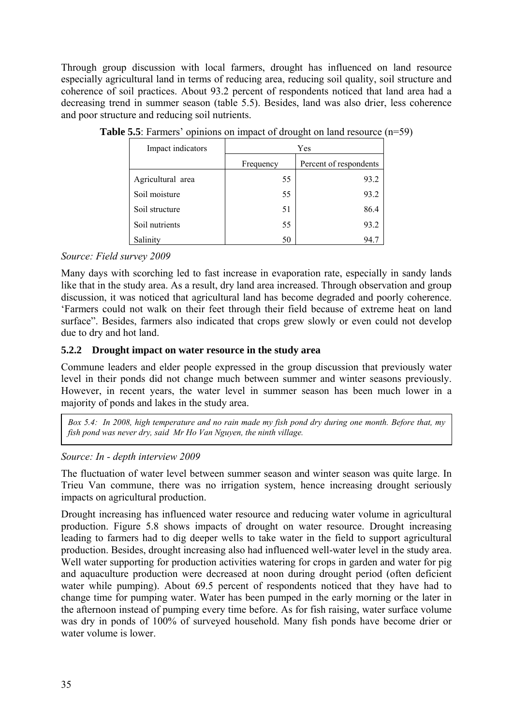Through group discussion with local farmers, drought has influenced on land resource especially agricultural land in terms of reducing area, reducing soil quality, soil structure and coherence of soil practices. About 93.2 percent of respondents noticed that land area had a decreasing trend in summer season (table 5.5). Besides, land was also drier, less coherence and poor structure and reducing soil nutrients.

| Impact indicators | Yes       |                        |  |
|-------------------|-----------|------------------------|--|
|                   | Frequency | Percent of respondents |  |
| Agricultural area | 55        | 93.2                   |  |
| Soil moisture     | 55        | 93.2                   |  |
| Soil structure    | 51        | 86.4                   |  |
| Soil nutrients    | 55        | 93.2                   |  |
| Salinity          | 50        | 94.7                   |  |

**Table 5.5**: Farmers' opinions on impact of drought on land resource (n=59)

#### *Source: Field survey 2009*

Many days with scorching led to fast increase in evaporation rate, especially in sandy lands like that in the study area. As a result, dry land area increased. Through observation and group discussion, it was noticed that agricultural land has become degraded and poorly coherence. 'Farmers could not walk on their feet through their field because of extreme heat on land surface". Besides, farmers also indicated that crops grew slowly or even could not develop due to dry and hot land.

#### **5.2.2 Drought impact on water resource in the study area**

Commune leaders and elder people expressed in the group discussion that previously water level in their ponds did not change much between summer and winter seasons previously. However, in recent years, the water level in summer season has been much lower in a majority of ponds and lakes in the study area.

*Box 5.4: In 2008, high temperature and no rain made my fish pond dry during one month. Before that, my fish pond was never dry, said Mr Ho Van Nguyen, the ninth village.* 

#### *Source: In - depth interview 2009*

The fluctuation of water level between summer season and winter season was quite large. In Trieu Van commune, there was no irrigation system, hence increasing drought seriously impacts on agricultural production.

Drought increasing has influenced water resource and reducing water volume in agricultural production. Figure 5.8 shows impacts of drought on water resource. Drought increasing leading to farmers had to dig deeper wells to take water in the field to support agricultural production. Besides, drought increasing also had influenced well-water level in the study area. Well water supporting for production activities watering for crops in garden and water for pig and aquaculture production were decreased at noon during drought period (often deficient water while pumping). About 69.5 percent of respondents noticed that they have had to change time for pumping water. Water has been pumped in the early morning or the later in the afternoon instead of pumping every time before. As for fish raising, water surface volume was dry in ponds of 100% of surveyed household. Many fish ponds have become drier or water volume is lower.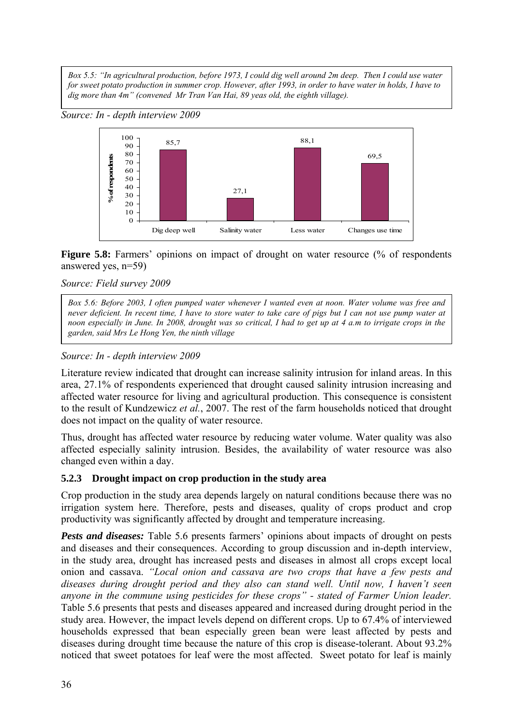*Box 5.5: "In agricultural production, before 1973, I could dig well around 2m deep. Then I could use water for sweet potato production in summer crop. However, after 1993, in order to have water in holds, I have to dig more than 4m" (convened Mr Tran Van Hai, 89 yeas old, the eighth village).* 





Figure 5.8: Farmers' opinions on impact of drought on water resource (% of respondents answered yes, n=59)

#### *Source: Field survey 2009*

*Box 5.6: Before 2003, I often pumped water whenever I wanted even at noon. Water volume was free and never deficient. In recent time, I have to store water to take care of pigs but I can not use pump water at noon especially in June. In 2008, drought was so critical, I had to get up at 4 a.m to irrigate crops in the garden, said Mrs Le Hong Yen, the ninth village*

## *Source: In - depth interview 2009*

Literature review indicated that drought can increase salinity intrusion for inland areas. In this area, 27.1% of respondents experienced that drought caused salinity intrusion increasing and affected water resource for living and agricultural production. This consequence is consistent to the result of Kundzewicz *et al.*, 2007. The rest of the farm households noticed that drought does not impact on the quality of water resource.

Thus, drought has affected water resource by reducing water volume. Water quality was also affected especially salinity intrusion. Besides, the availability of water resource was also changed even within a day.

#### **5.2.3 Drought impact on crop production in the study area**

Crop production in the study area depends largely on natural conditions because there was no irrigation system here. Therefore, pests and diseases, quality of crops product and crop productivity was significantly affected by drought and temperature increasing.

*Pests and diseases:* Table 5.6 presents farmers' opinions about impacts of drought on pests and diseases and their consequences. According to group discussion and in-depth interview, in the study area, drought has increased pests and diseases in almost all crops except local onion and cassava. *"Local onion and cassava are two crops that have a few pests and diseases during drought period and they also can stand well. Until now, I haven't seen anyone in the commune using pesticides for these crops" - stated of Farmer Union leader.*  Table 5.6 presents that pests and diseases appeared and increased during drought period in the study area. However, the impact levels depend on different crops. Up to 67.4% of interviewed households expressed that bean especially green bean were least affected by pests and diseases during drought time because the nature of this crop is disease-tolerant. About 93.2% noticed that sweet potatoes for leaf were the most affected. Sweet potato for leaf is mainly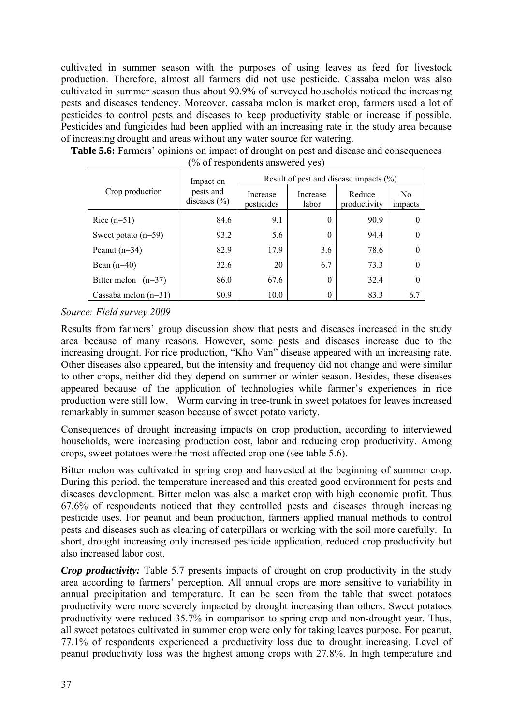cultivated in summer season with the purposes of using leaves as feed for livestock production. Therefore, almost all farmers did not use pesticide. Cassaba melon was also cultivated in summer season thus about 90.9% of surveyed households noticed the increasing pests and diseases tendency. Moreover, cassaba melon is market crop, farmers used a lot of pesticides to control pests and diseases to keep productivity stable or increase if possible. Pesticides and fungicides had been applied with an increasing rate in the study area because of increasing drought and areas without any water source for watering.

|                        | Impact on                     | Result of pest and disease impacts $(\% )$ |                   |                        |                           |
|------------------------|-------------------------------|--------------------------------------------|-------------------|------------------------|---------------------------|
| Crop production        | pests and<br>diseases $(\% )$ | Increase<br>pesticides                     | Increase<br>labor | Reduce<br>productivity | N <sub>0</sub><br>impacts |
| Rice $(n=51)$          | 84.6                          | 9.1                                        | $\Omega$          | 90.9                   | $\theta$                  |
| Sweet potato $(n=59)$  | 93.2                          | 5.6                                        | $\Omega$          | 94.4                   | $\theta$                  |
| Peanut $(n=34)$        | 82.9                          | 17.9                                       | 3.6               | 78.6                   | $\Omega$                  |
| Bean $(n=40)$          | 32.6                          | 20                                         | 6.7               | 73.3                   |                           |
| Bitter melon $(n=37)$  | 86.0                          | 67.6                                       | $\Omega$          | 32.4                   | $\Omega$                  |
| Cassaba melon $(n=31)$ | 90.9                          | 10.0                                       |                   | 83.3                   | 6.7                       |

Table 5.6: Farmers' opinions on impact of drought on pest and disease and consequences (% of respondents answered yes)

#### *Source: Field survey 2009*

Results from farmers' group discussion show that pests and diseases increased in the study area because of many reasons. However, some pests and diseases increase due to the increasing drought. For rice production, "Kho Van" disease appeared with an increasing rate. Other diseases also appeared, but the intensity and frequency did not change and were similar to other crops, neither did they depend on summer or winter season. Besides, these diseases appeared because of the application of technologies while farmer's experiences in rice production were still low. Worm carving in tree-trunk in sweet potatoes for leaves increased remarkably in summer season because of sweet potato variety.

Consequences of drought increasing impacts on crop production, according to interviewed households, were increasing production cost, labor and reducing crop productivity. Among crops, sweet potatoes were the most affected crop one (see table 5.6).

Bitter melon was cultivated in spring crop and harvested at the beginning of summer crop. During this period, the temperature increased and this created good environment for pests and diseases development. Bitter melon was also a market crop with high economic profit. Thus 67.6% of respondents noticed that they controlled pests and diseases through increasing pesticide uses. For peanut and bean production, farmers applied manual methods to control pests and diseases such as clearing of caterpillars or working with the soil more carefully. In short, drought increasing only increased pesticide application, reduced crop productivity but also increased labor cost.

*Crop productivity:* Table 5.7 presents impacts of drought on crop productivity in the study area according to farmers' perception. All annual crops are more sensitive to variability in annual precipitation and temperature. It can be seen from the table that sweet potatoes productivity were more severely impacted by drought increasing than others. Sweet potatoes productivity were reduced 35.7% in comparison to spring crop and non-drought year. Thus, all sweet potatoes cultivated in summer crop were only for taking leaves purpose. For peanut, 77.1% of respondents experienced a productivity loss due to drought increasing. Level of peanut productivity loss was the highest among crops with 27.8%. In high temperature and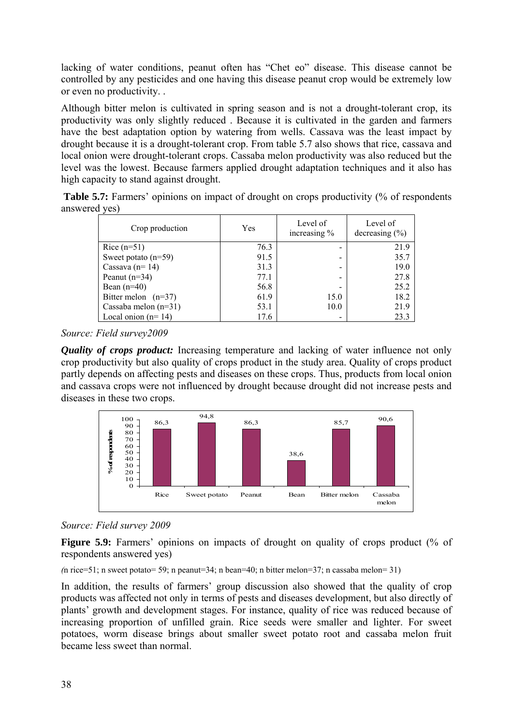lacking of water conditions, peanut often has "Chet eo" disease. This disease cannot be controlled by any pesticides and one having this disease peanut crop would be extremely low or even no productivity. .

Although bitter melon is cultivated in spring season and is not a drought-tolerant crop, its productivity was only slightly reduced . Because it is cultivated in the garden and farmers have the best adaptation option by watering from wells. Cassava was the least impact by drought because it is a drought-tolerant crop. From table 5.7 also shows that rice, cassava and local onion were drought-tolerant crops. Cassaba melon productivity was also reduced but the level was the lowest. Because farmers applied drought adaptation techniques and it also has high capacity to stand against drought.

| Table 5.7: Farmers' opinions on impact of drought on crops productivity (% of respondents |  |  |  |  |
|-------------------------------------------------------------------------------------------|--|--|--|--|
| answered yes)                                                                             |  |  |  |  |

| Crop production        | Yes  | Level of<br>increasing % | Level of<br>decreasing $(\% )$ |
|------------------------|------|--------------------------|--------------------------------|
| Rice $(n=51)$          | 76.3 |                          | 21.9                           |
| Sweet potato $(n=59)$  | 91.5 |                          | 35.7                           |
| Cassava ( $n=14$ )     | 31.3 |                          | 19.0                           |
| Peanut $(n=34)$        | 77.1 |                          | 27.8                           |
| Bean $(n=40)$          | 56.8 |                          | 25.2                           |
| Bitter melon $(n=37)$  | 61.9 | 15.0                     | 18.2                           |
| Cassaba melon $(n=31)$ | 53.1 | 10.0                     | 21.9                           |
| Local onion $(n=14)$   | 17.6 |                          | 23.3                           |

*Source: Field survey2009* 

*Quality of crops product:* Increasing temperature and lacking of water influence not only crop productivity but also quality of crops product in the study area. Quality of crops product partly depends on affecting pests and diseases on these crops. Thus, products from local onion and cassava crops were not influenced by drought because drought did not increase pests and diseases in these two crops.



## *Source: Field survey 2009*

**Figure 5.9:** Farmers' opinions on impacts of drought on quality of crops product (% of respondents answered yes)

*(*n rice=51; n sweet potato= 59; n peanut=34; n bean=40; n bitter melon=37; n cassaba melon= 31)

In addition, the results of farmers' group discussion also showed that the quality of crop products was affected not only in terms of pests and diseases development, but also directly of plants' growth and development stages. For instance, quality of rice was reduced because of increasing proportion of unfilled grain. Rice seeds were smaller and lighter. For sweet potatoes, worm disease brings about smaller sweet potato root and cassaba melon fruit became less sweet than normal.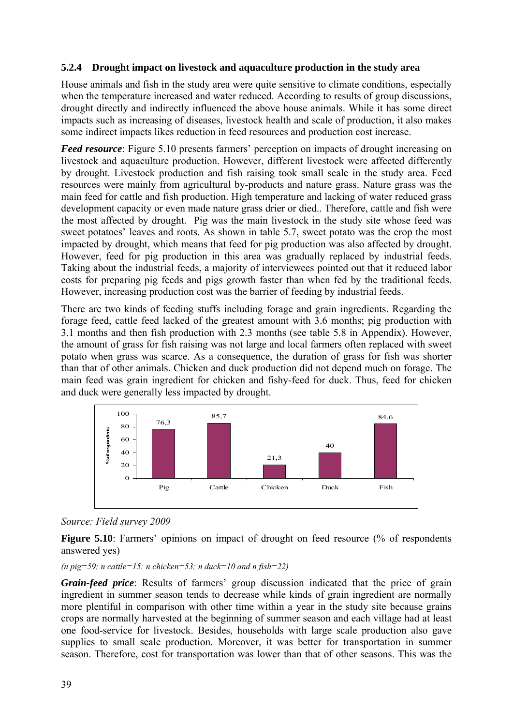#### **5.2.4 Drought impact on livestock and aquaculture production in the study area**

House animals and fish in the study area were quite sensitive to climate conditions, especially when the temperature increased and water reduced. According to results of group discussions, drought directly and indirectly influenced the above house animals. While it has some direct impacts such as increasing of diseases, livestock health and scale of production, it also makes some indirect impacts likes reduction in feed resources and production cost increase.

*Feed resource*: Figure 5.10 presents farmers' perception on impacts of drought increasing on livestock and aquaculture production. However, different livestock were affected differently by drought. Livestock production and fish raising took small scale in the study area. Feed resources were mainly from agricultural by-products and nature grass. Nature grass was the main feed for cattle and fish production. High temperature and lacking of water reduced grass development capacity or even made nature grass drier or died.. Therefore, cattle and fish were the most affected by drought. Pig was the main livestock in the study site whose feed was sweet potatoes' leaves and roots. As shown in table 5.7, sweet potato was the crop the most impacted by drought, which means that feed for pig production was also affected by drought. However, feed for pig production in this area was gradually replaced by industrial feeds. Taking about the industrial feeds, a majority of interviewees pointed out that it reduced labor costs for preparing pig feeds and pigs growth faster than when fed by the traditional feeds. However, increasing production cost was the barrier of feeding by industrial feeds.

There are two kinds of feeding stuffs including forage and grain ingredients. Regarding the forage feed, cattle feed lacked of the greatest amount with 3.6 months; pig production with 3.1 months and then fish production with 2.3 months (see table 5.8 in Appendix). However, the amount of grass for fish raising was not large and local farmers often replaced with sweet potato when grass was scarce. As a consequence, the duration of grass for fish was shorter than that of other animals. Chicken and duck production did not depend much on forage. The main feed was grain ingredient for chicken and fishy-feed for duck. Thus, feed for chicken and duck were generally less impacted by drought.



#### *Source: Field survey 2009*

Figure 5.10: Farmers' opinions on impact of drought on feed resource (% of respondents answered yes)

(*n*  $pig=59$ ; *n* cattle=15; *n* chicken=53; *n* duck=10 and *n* fish=22)

*Grain-feed price*: Results of farmers' group discussion indicated that the price of grain ingredient in summer season tends to decrease while kinds of grain ingredient are normally more plentiful in comparison with other time within a year in the study site because grains crops are normally harvested at the beginning of summer season and each village had at least one food-service for livestock. Besides, households with large scale production also gave supplies to small scale production. Moreover, it was better for transportation in summer season. Therefore, cost for transportation was lower than that of other seasons. This was the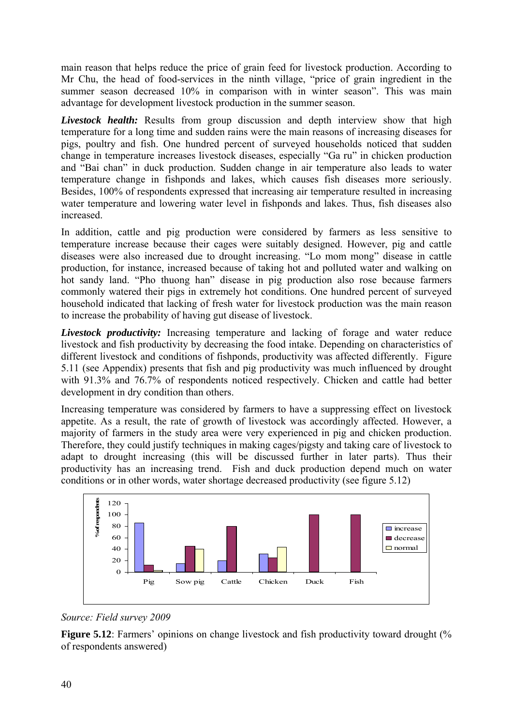main reason that helps reduce the price of grain feed for livestock production. According to Mr Chu, the head of food-services in the ninth village, "price of grain ingredient in the summer season decreased 10% in comparison with in winter season". This was main advantage for development livestock production in the summer season.

*Livestock health:* Results from group discussion and depth interview show that high temperature for a long time and sudden rains were the main reasons of increasing diseases for pigs, poultry and fish. One hundred percent of surveyed households noticed that sudden change in temperature increases livestock diseases, especially "Ga ru" in chicken production and "Bai chan" in duck production. Sudden change in air temperature also leads to water temperature change in fishponds and lakes, which causes fish diseases more seriously. Besides, 100% of respondents expressed that increasing air temperature resulted in increasing water temperature and lowering water level in fishponds and lakes. Thus, fish diseases also increased.

In addition, cattle and pig production were considered by farmers as less sensitive to temperature increase because their cages were suitably designed. However, pig and cattle diseases were also increased due to drought increasing. "Lo mom mong" disease in cattle production, for instance, increased because of taking hot and polluted water and walking on hot sandy land. "Pho thuong han" disease in pig production also rose because farmers commonly watered their pigs in extremely hot conditions. One hundred percent of surveyed household indicated that lacking of fresh water for livestock production was the main reason to increase the probability of having gut disease of livestock.

*Livestock productivity:* Increasing temperature and lacking of forage and water reduce livestock and fish productivity by decreasing the food intake. Depending on characteristics of different livestock and conditions of fishponds, productivity was affected differently. Figure 5.11 (see Appendix) presents that fish and pig productivity was much influenced by drought with 91.3% and 76.7% of respondents noticed respectively. Chicken and cattle had better development in dry condition than others.

Increasing temperature was considered by farmers to have a suppressing effect on livestock appetite. As a result, the rate of growth of livestock was accordingly affected. However, a majority of farmers in the study area were very experienced in pig and chicken production. Therefore, they could justify techniques in making cages/pigsty and taking care of livestock to adapt to drought increasing (this will be discussed further in later parts). Thus their productivity has an increasing trend. Fish and duck production depend much on water conditions or in other words, water shortage decreased productivity (see figure 5.12)



*Source: Field survey 2009* 

**Figure 5.12**: Farmers' opinions on change livestock and fish productivity toward drought (%) of respondents answered)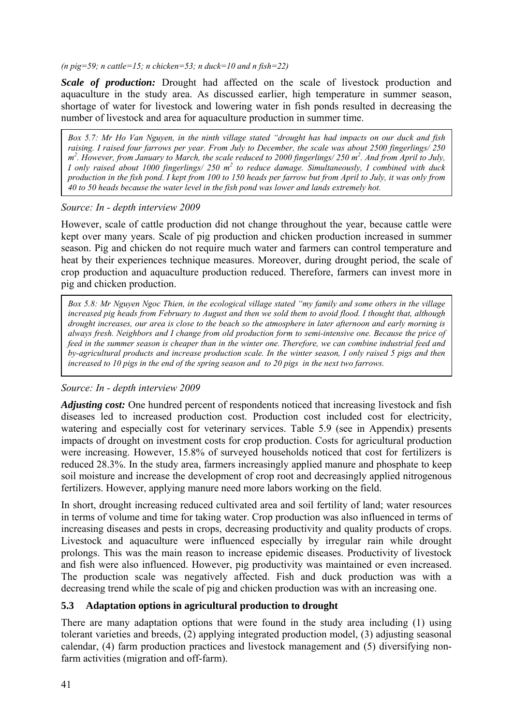*(n pig=59; n cattle=15; n chicken=53; n duck=10 and n fish=22)* 

*Scale of production:* Drought had affected on the scale of livestock production and aquaculture in the study area. As discussed earlier, high temperature in summer season, shortage of water for livestock and lowering water in fish ponds resulted in decreasing the number of livestock and area for aquaculture production in summer time.

*Box 5.7: Mr Ho Van Nguyen, in the ninth village stated "drought has had impacts on our duck and fish raising. I raised four farrows per year. From July to December, the scale was about 2500 fingerlings/ 250 m2 . However, from January to March, the scale reduced to 2000 fingerlings/ 250 m<sup>2</sup> . And from April to July, I* only raised about 1000 fingerlings/ 250 m<sup>2</sup> to reduce damage. Simultaneously, I combined with duck *production in the fish pond. I kept from 100 to 150 heads per farrow but from April to July, it was only from 40 to 50 heads because the water level in the fish pond was lower and lands extremely hot.* 

#### *Source: In - depth interview 2009*

However, scale of cattle production did not change throughout the year, because cattle were kept over many years. Scale of pig production and chicken production increased in summer season. Pig and chicken do not require much water and farmers can control temperature and heat by their experiences technique measures. Moreover, during drought period, the scale of crop production and aquaculture production reduced. Therefore, farmers can invest more in pig and chicken production.

*Box 5.8: Mr Nguyen Ngoc Thien, in the ecological village stated "my family and some others in the village increased pig heads from February to August and then we sold them to avoid flood. I thought that, although drought increases, our area is close to the beach so the atmosphere in later afternoon and early morning is always fresh. Neighbors and I change from old production form to semi-intensive one. Because the price of feed in the summer season is cheaper than in the winter one. Therefore, we can combine industrial feed and by-agricultural products and increase production scale. In the winter season, I only raised 5 pigs and then increased to 10 pigs in the end of the spring season and to 20 pigs in the next two farrows.* 

## *Source: In - depth interview 2009*

*Adjusting cost:* One hundred percent of respondents noticed that increasing livestock and fish diseases led to increased production cost. Production cost included cost for electricity, watering and especially cost for veterinary services. Table 5.9 (see in Appendix) presents impacts of drought on investment costs for crop production. Costs for agricultural production were increasing. However, 15.8% of surveyed households noticed that cost for fertilizers is reduced 28.3%. In the study area, farmers increasingly applied manure and phosphate to keep soil moisture and increase the development of crop root and decreasingly applied nitrogenous fertilizers. However, applying manure need more labors working on the field.

In short, drought increasing reduced cultivated area and soil fertility of land; water resources in terms of volume and time for taking water. Crop production was also influenced in terms of increasing diseases and pests in crops, decreasing productivity and quality products of crops. Livestock and aquaculture were influenced especially by irregular rain while drought prolongs. This was the main reason to increase epidemic diseases. Productivity of livestock and fish were also influenced. However, pig productivity was maintained or even increased. The production scale was negatively affected. Fish and duck production was with a decreasing trend while the scale of pig and chicken production was with an increasing one.

#### **5.3 Adaptation options in agricultural production to drought**

There are many adaptation options that were found in the study area including (1) using tolerant varieties and breeds, (2) applying integrated production model, (3) adjusting seasonal calendar, (4) farm production practices and livestock management and (5) diversifying nonfarm activities (migration and off-farm).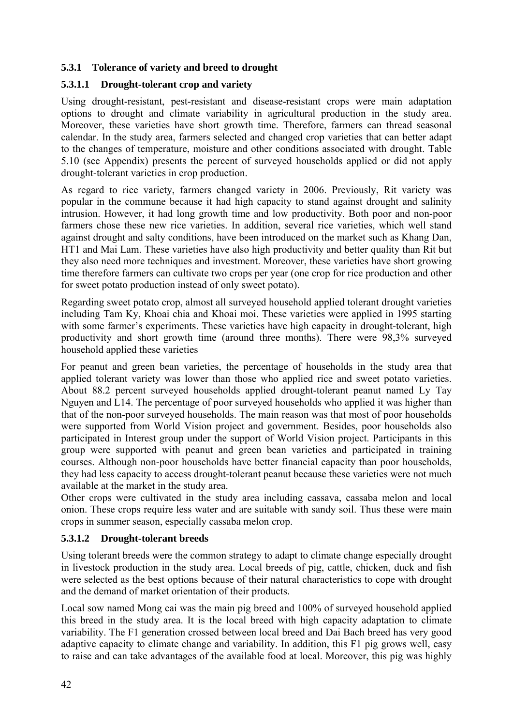#### **5.3.1 Tolerance of variety and breed to drought**

#### **5.3.1.1 Drought-tolerant crop and variety**

Using drought-resistant, pest-resistant and disease-resistant crops were main adaptation options to drought and climate variability in agricultural production in the study area. Moreover, these varieties have short growth time. Therefore, farmers can thread seasonal calendar. In the study area, farmers selected and changed crop varieties that can better adapt to the changes of temperature, moisture and other conditions associated with drought. Table 5.10 (see Appendix) presents the percent of surveyed households applied or did not apply drought-tolerant varieties in crop production.

As regard to rice variety, farmers changed variety in 2006. Previously, Rit variety was popular in the commune because it had high capacity to stand against drought and salinity intrusion. However, it had long growth time and low productivity. Both poor and non-poor farmers chose these new rice varieties. In addition, several rice varieties, which well stand against drought and salty conditions, have been introduced on the market such as Khang Dan, HT1 and Mai Lam. These varieties have also high productivity and better quality than Rit but they also need more techniques and investment. Moreover, these varieties have short growing time therefore farmers can cultivate two crops per year (one crop for rice production and other for sweet potato production instead of only sweet potato).

Regarding sweet potato crop, almost all surveyed household applied tolerant drought varieties including Tam Ky, Khoai chia and Khoai moi. These varieties were applied in 1995 starting with some farmer's experiments. These varieties have high capacity in drought-tolerant, high productivity and short growth time (around three months). There were 98,3% surveyed household applied these varieties

For peanut and green bean varieties, the percentage of households in the study area that applied tolerant variety was lower than those who applied rice and sweet potato varieties. About 88.2 percent surveyed households applied drought-tolerant peanut named Ly Tay Nguyen and L14. The percentage of poor surveyed households who applied it was higher than that of the non-poor surveyed households. The main reason was that most of poor households were supported from World Vision project and government. Besides, poor households also participated in Interest group under the support of World Vision project. Participants in this group were supported with peanut and green bean varieties and participated in training courses. Although non-poor households have better financial capacity than poor households, they had less capacity to access drought-tolerant peanut because these varieties were not much available at the market in the study area.

Other crops were cultivated in the study area including cassava, cassaba melon and local onion. These crops require less water and are suitable with sandy soil. Thus these were main crops in summer season, especially cassaba melon crop.

#### **5.3.1.2 Drought-tolerant breeds**

Using tolerant breeds were the common strategy to adapt to climate change especially drought in livestock production in the study area. Local breeds of pig, cattle, chicken, duck and fish were selected as the best options because of their natural characteristics to cope with drought and the demand of market orientation of their products.

Local sow named Mong cai was the main pig breed and 100% of surveyed household applied this breed in the study area. It is the local breed with high capacity adaptation to climate variability. The F1 generation crossed between local breed and Dai Bach breed has very good adaptive capacity to climate change and variability. In addition, this F1 pig grows well, easy to raise and can take advantages of the available food at local. Moreover, this pig was highly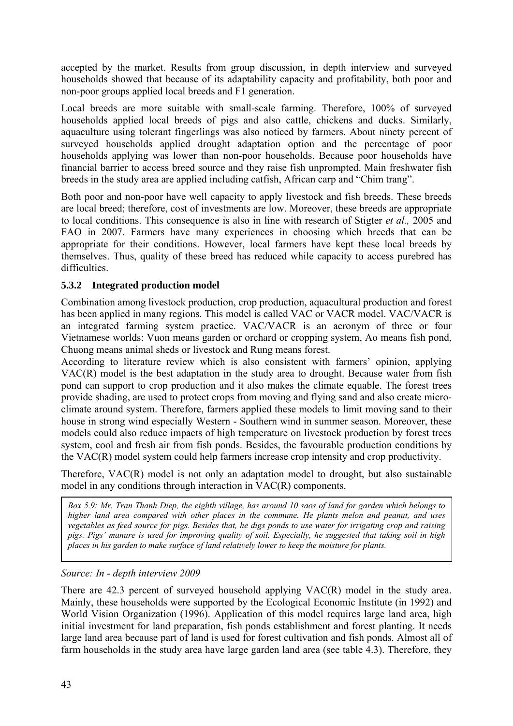accepted by the market. Results from group discussion, in depth interview and surveyed households showed that because of its adaptability capacity and profitability, both poor and non-poor groups applied local breeds and F1 generation.

Local breeds are more suitable with small-scale farming. Therefore, 100% of surveyed households applied local breeds of pigs and also cattle, chickens and ducks. Similarly, aquaculture using tolerant fingerlings was also noticed by farmers. About ninety percent of surveyed households applied drought adaptation option and the percentage of poor households applying was lower than non-poor households. Because poor households have financial barrier to access breed source and they raise fish unprompted. Main freshwater fish breeds in the study area are applied including catfish, African carp and "Chim trang".

Both poor and non-poor have well capacity to apply livestock and fish breeds. These breeds are local breed; therefore, cost of investments are low. Moreover, these breeds are appropriate to local conditions. This consequence is also in line with research of Stigter *et al.,* 2005 and FAO in 2007. Farmers have many experiences in choosing which breeds that can be appropriate for their conditions. However, local farmers have kept these local breeds by themselves. Thus, quality of these breed has reduced while capacity to access purebred has difficulties.

## **5.3.2 Integrated production model**

Combination among livestock production, crop production, aquacultural production and forest has been applied in many regions. This model is called VAC or VACR model. VAC/VACR is an integrated farming system practice. VAC/VACR is an acronym of three or four Vietnamese worlds: Vuon means garden or orchard or cropping system, Ao means fish pond, Chuong means animal sheds or livestock and Rung means forest.

According to literature review which is also consistent with farmers' opinion, applying VAC(R) model is the best adaptation in the study area to drought. Because water from fish pond can support to crop production and it also makes the climate equable. The forest trees provide shading, are used to protect crops from moving and flying sand and also create microclimate around system. Therefore, farmers applied these models to limit moving sand to their house in strong wind especially Western - Southern wind in summer season. Moreover, these models could also reduce impacts of high temperature on livestock production by forest trees system, cool and fresh air from fish ponds. Besides, the favourable production conditions by the VAC(R) model system could help farmers increase crop intensity and crop productivity.

Therefore, VAC(R) model is not only an adaptation model to drought, but also sustainable model in any conditions through interaction in VAC(R) components.

*Box 5.9: Mr. Tran Thanh Diep, the eighth village, has around 10 saos of land for garden which belongs to higher land area compared with other places in the commune. He plants melon and peanut, and uses vegetables as feed source for pigs. Besides that, he digs ponds to use water for irrigating crop and raising pigs. Pigs' manure is used for improving quality of soil. Especially, he suggested that taking soil in high places in his garden to make surface of land relatively lower to keep the moisture for plants.* 

*Source: In - depth interview 2009* 

There are 42.3 percent of surveyed household applying VAC(R) model in the study area. Mainly, these households were supported by the Ecological Economic Institute (in 1992) and World Vision Organization (1996). Application of this model requires large land area, high initial investment for land preparation, fish ponds establishment and forest planting. It needs large land area because part of land is used for forest cultivation and fish ponds. Almost all of farm households in the study area have large garden land area (see table 4.3). Therefore, they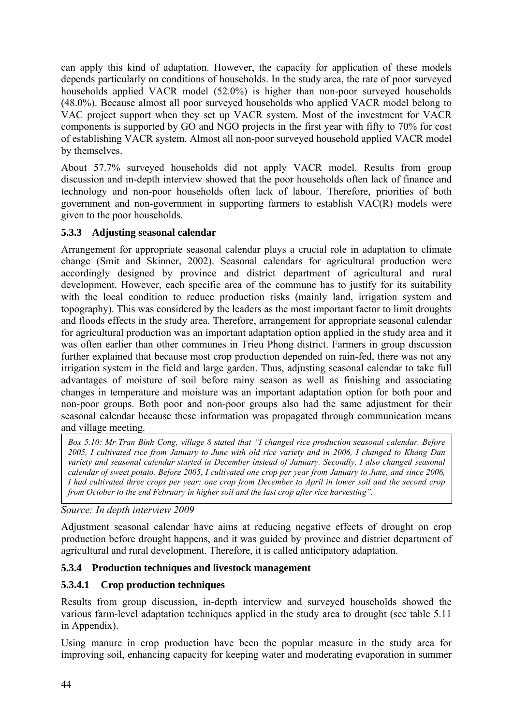can apply this kind of adaptation. However, the capacity for application of these models depends particularly on conditions of households. In the study area, the rate of poor surveyed households applied VACR model (52.0%) is higher than non-poor surveyed households (48.0%). Because almost all poor surveyed households who applied VACR model belong to VAC project support when they set up VACR system. Most of the investment for VACR components is supported by GO and NGO projects in the first year with fifty to 70% for cost of establishing VACR system. Almost all non-poor surveyed household applied VACR model by themselves.

About 57.7% surveyed households did not apply VACR model. Results from group discussion and in-depth interview showed that the poor households often lack of finance and technology and non-poor households often lack of labour. Therefore, priorities of both government and non-government in supporting farmers to establish VAC(R) models were given to the poor households.

## **5.3.3 Adjusting seasonal calendar**

Arrangement for appropriate seasonal calendar plays a crucial role in adaptation to climate change (Smit and Skinner, 2002). Seasonal calendars for agricultural production were accordingly designed by province and district department of agricultural and rural development. However, each specific area of the commune has to justify for its suitability with the local condition to reduce production risks (mainly land, irrigation system and topography). This was considered by the leaders as the most important factor to limit droughts and floods effects in the study area. Therefore, arrangement for appropriate seasonal calendar for agricultural production was an important adaptation option applied in the study area and it was often earlier than other communes in Trieu Phong district. Farmers in group discussion further explained that because most crop production depended on rain-fed, there was not any irrigation system in the field and large garden. Thus, adjusting seasonal calendar to take full advantages of moisture of soil before rainy season as well as finishing and associating changes in temperature and moisture was an important adaptation option for both poor and non-poor groups. Both poor and non-poor groups also had the same adjustment for their seasonal calendar because these information was propagated through communication means and village meeting.

*Box 5.10: Mr Tran Binh Cong, village 8 stated that "I changed rice production seasonal calendar. Before 2005, I cultivated rice from January to June with old rice variety and in 2006, I changed to Khang Dan variety and seasonal calendar started in December instead of January. Secondly, I also changed seasonal calendar of sweet potato. Before 2005, I cultivated one crop per year from January to June, and since 2006, I had cultivated three crops per year: one crop from December to April in lower soil and the second crop from October to the end February in higher soil and the last crop after rice harvesting".* 

*Source: In depth interview 2009* 

Adjustment seasonal calendar have aims at reducing negative effects of drought on crop production before drought happens, and it was guided by province and district department of agricultural and rural development. Therefore, it is called anticipatory adaptation.

## **5.3.4 Production techniques and livestock management**

## **5.3.4.1 Crop production techniques**

Results from group discussion, in-depth interview and surveyed households showed the various farm-level adaptation techniques applied in the study area to drought (see table 5.11 in Appendix).

Using manure in crop production have been the popular measure in the study area for improving soil, enhancing capacity for keeping water and moderating evaporation in summer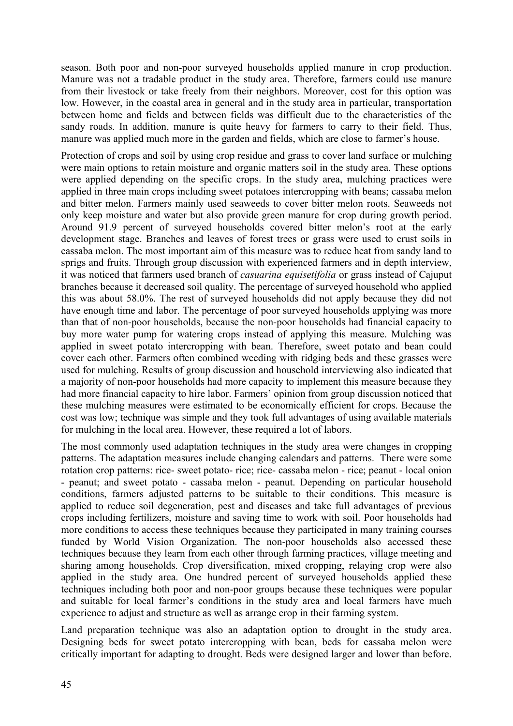season. Both poor and non-poor surveyed households applied manure in crop production. Manure was not a tradable product in the study area. Therefore, farmers could use manure from their livestock or take freely from their neighbors. Moreover, cost for this option was low. However, in the coastal area in general and in the study area in particular, transportation between home and fields and between fields was difficult due to the characteristics of the sandy roads. In addition, manure is quite heavy for farmers to carry to their field. Thus, manure was applied much more in the garden and fields, which are close to farmer's house.

Protection of crops and soil by using crop residue and grass to cover land surface or mulching were main options to retain moisture and organic matters soil in the study area. These options were applied depending on the specific crops. In the study area, mulching practices were applied in three main crops including sweet potatoes intercropping with beans; cassaba melon and bitter melon. Farmers mainly used seaweeds to cover bitter melon roots. Seaweeds not only keep moisture and water but also provide green manure for crop during growth period. Around 91.9 percent of surveyed households covered bitter melon's root at the early development stage. Branches and leaves of forest trees or grass were used to crust soils in cassaba melon. The most important aim of this measure was to reduce heat from sandy land to sprigs and fruits. Through group discussion with experienced farmers and in depth interview, it was noticed that farmers used branch of *casuarina equisetifolia* or grass instead of Cajuput branches because it decreased soil quality. The percentage of surveyed household who applied this was about 58.0%. The rest of surveyed households did not apply because they did not have enough time and labor. The percentage of poor surveyed households applying was more than that of non-poor households, because the non-poor households had financial capacity to buy more water pump for watering crops instead of applying this measure. Mulching was applied in sweet potato intercropping with bean. Therefore, sweet potato and bean could cover each other. Farmers often combined weeding with ridging beds and these grasses were used for mulching. Results of group discussion and household interviewing also indicated that a majority of non-poor households had more capacity to implement this measure because they had more financial capacity to hire labor. Farmers' opinion from group discussion noticed that these mulching measures were estimated to be economically efficient for crops. Because the cost was low; technique was simple and they took full advantages of using available materials for mulching in the local area. However, these required a lot of labors.

The most commonly used adaptation techniques in the study area were changes in cropping patterns. The adaptation measures include changing calendars and patterns. There were some rotation crop patterns: rice- sweet potato- rice; rice- cassaba melon - rice; peanut - local onion - peanut; and sweet potato - cassaba melon - peanut. Depending on particular household conditions, farmers adjusted patterns to be suitable to their conditions. This measure is applied to reduce soil degeneration, pest and diseases and take full advantages of previous crops including fertilizers, moisture and saving time to work with soil. Poor households had more conditions to access these techniques because they participated in many training courses funded by World Vision Organization. The non-poor households also accessed these techniques because they learn from each other through farming practices, village meeting and sharing among households. Crop diversification, mixed cropping, relaying crop were also applied in the study area. One hundred percent of surveyed households applied these techniques including both poor and non-poor groups because these techniques were popular and suitable for local farmer's conditions in the study area and local farmers have much experience to adjust and structure as well as arrange crop in their farming system.

Land preparation technique was also an adaptation option to drought in the study area. Designing beds for sweet potato intercropping with bean, beds for cassaba melon were critically important for adapting to drought. Beds were designed larger and lower than before.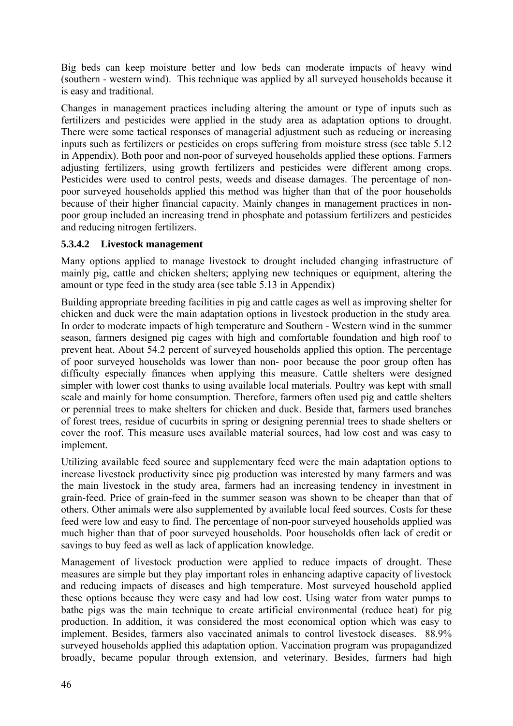Big beds can keep moisture better and low beds can moderate impacts of heavy wind (southern - western wind). This technique was applied by all surveyed households because it is easy and traditional.

Changes in management practices including altering the amount or type of inputs such as fertilizers and pesticides were applied in the study area as adaptation options to drought. There were some tactical responses of managerial adjustment such as reducing or increasing inputs such as fertilizers or pesticides on crops suffering from moisture stress (see table 5.12 in Appendix). Both poor and non-poor of surveyed households applied these options. Farmers adjusting fertilizers, using growth fertilizers and pesticides were different among crops. Pesticides were used to control pests, weeds and disease damages. The percentage of nonpoor surveyed households applied this method was higher than that of the poor households because of their higher financial capacity. Mainly changes in management practices in nonpoor group included an increasing trend in phosphate and potassium fertilizers and pesticides and reducing nitrogen fertilizers.

#### **5.3.4.2 Livestock management**

Many options applied to manage livestock to drought included changing infrastructure of mainly pig, cattle and chicken shelters; applying new techniques or equipment, altering the amount or type feed in the study area (see table 5.13 in Appendix)

Building appropriate breeding facilities in pig and cattle cages as well as improving shelter for chicken and duck were the main adaptation options in livestock production in the study area*.* In order to moderate impacts of high temperature and Southern - Western wind in the summer season, farmers designed pig cages with high and comfortable foundation and high roof to prevent heat. About 54.2 percent of surveyed households applied this option. The percentage of poor surveyed households was lower than non- poor because the poor group often has difficulty especially finances when applying this measure. Cattle shelters were designed simpler with lower cost thanks to using available local materials. Poultry was kept with small scale and mainly for home consumption. Therefore, farmers often used pig and cattle shelters or perennial trees to make shelters for chicken and duck. Beside that, farmers used branches of forest trees, residue of cucurbits in spring or designing perennial trees to shade shelters or cover the roof. This measure uses available material sources, had low cost and was easy to implement.

Utilizing available feed source and supplementary feed were the main adaptation options to increase livestock productivity since pig production was interested by many farmers and was the main livestock in the study area, farmers had an increasing tendency in investment in grain-feed. Price of grain-feed in the summer season was shown to be cheaper than that of others. Other animals were also supplemented by available local feed sources. Costs for these feed were low and easy to find. The percentage of non-poor surveyed households applied was much higher than that of poor surveyed households. Poor households often lack of credit or savings to buy feed as well as lack of application knowledge.

Management of livestock production were applied to reduce impacts of drought. These measures are simple but they play important roles in enhancing adaptive capacity of livestock and reducing impacts of diseases and high temperature. Most surveyed household applied these options because they were easy and had low cost. Using water from water pumps to bathe pigs was the main technique to create artificial environmental (reduce heat) for pig production. In addition, it was considered the most economical option which was easy to implement. Besides, farmers also vaccinated animals to control livestock diseases. 88.9% surveyed households applied this adaptation option. Vaccination program was propagandized broadly, became popular through extension, and veterinary. Besides, farmers had high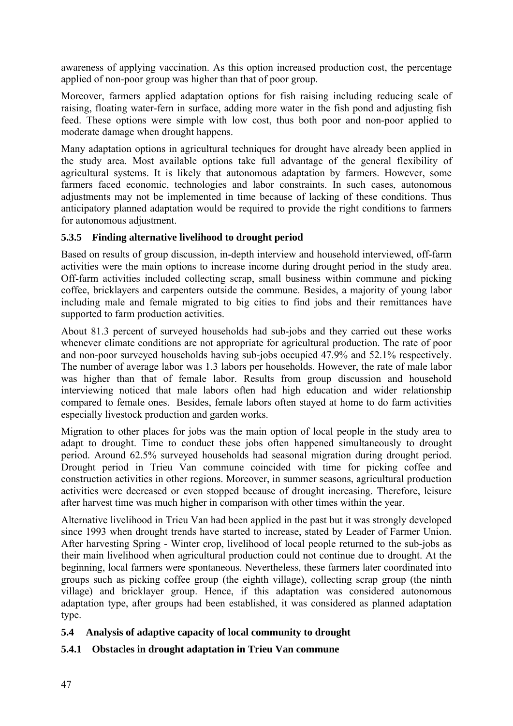awareness of applying vaccination. As this option increased production cost, the percentage applied of non-poor group was higher than that of poor group.

Moreover, farmers applied adaptation options for fish raising including reducing scale of raising, floating water-fern in surface, adding more water in the fish pond and adjusting fish feed. These options were simple with low cost, thus both poor and non-poor applied to moderate damage when drought happens.

Many adaptation options in agricultural techniques for drought have already been applied in the study area. Most available options take full advantage of the general flexibility of agricultural systems. It is likely that autonomous adaptation by farmers. However, some farmers faced economic, technologies and labor constraints. In such cases, autonomous adjustments may not be implemented in time because of lacking of these conditions. Thus anticipatory planned adaptation would be required to provide the right conditions to farmers for autonomous adjustment.

#### **5.3.5 Finding alternative livelihood to drought period**

Based on results of group discussion, in-depth interview and household interviewed, off-farm activities were the main options to increase income during drought period in the study area. Off-farm activities included collecting scrap, small business within commune and picking coffee, bricklayers and carpenters outside the commune. Besides, a majority of young labor including male and female migrated to big cities to find jobs and their remittances have supported to farm production activities.

About 81.3 percent of surveyed households had sub-jobs and they carried out these works whenever climate conditions are not appropriate for agricultural production. The rate of poor and non-poor surveyed households having sub-jobs occupied 47.9% and 52.1% respectively. The number of average labor was 1.3 labors per households. However, the rate of male labor was higher than that of female labor. Results from group discussion and household interviewing noticed that male labors often had high education and wider relationship compared to female ones. Besides, female labors often stayed at home to do farm activities especially livestock production and garden works.

Migration to other places for jobs was the main option of local people in the study area to adapt to drought. Time to conduct these jobs often happened simultaneously to drought period. Around 62.5% surveyed households had seasonal migration during drought period. Drought period in Trieu Van commune coincided with time for picking coffee and construction activities in other regions. Moreover, in summer seasons, agricultural production activities were decreased or even stopped because of drought increasing. Therefore, leisure after harvest time was much higher in comparison with other times within the year.

Alternative livelihood in Trieu Van had been applied in the past but it was strongly developed since 1993 when drought trends have started to increase, stated by Leader of Farmer Union. After harvesting Spring - Winter crop, livelihood of local people returned to the sub-jobs as their main livelihood when agricultural production could not continue due to drought. At the beginning, local farmers were spontaneous. Nevertheless, these farmers later coordinated into groups such as picking coffee group (the eighth village), collecting scrap group (the ninth village) and bricklayer group. Hence, if this adaptation was considered autonomous adaptation type, after groups had been established, it was considered as planned adaptation type.

#### **5.4 Analysis of adaptive capacity of local community to drought**

## **5.4.1 Obstacles in drought adaptation in Trieu Van commune**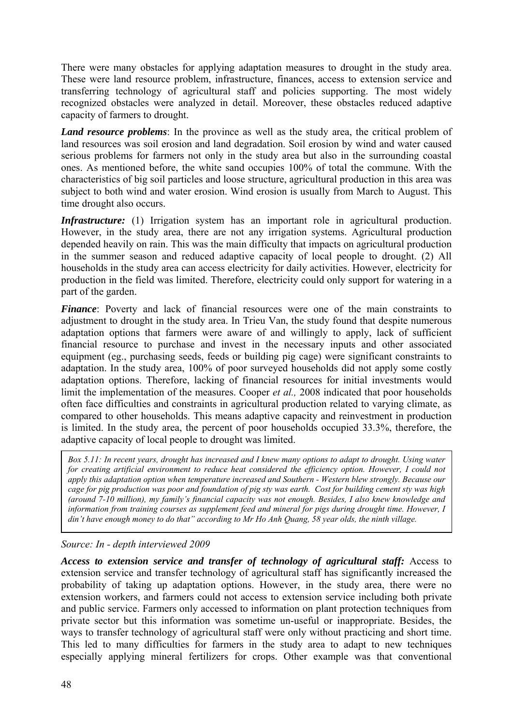There were many obstacles for applying adaptation measures to drought in the study area. These were land resource problem, infrastructure, finances, access to extension service and transferring technology of agricultural staff and policies supporting. The most widely recognized obstacles were analyzed in detail. Moreover, these obstacles reduced adaptive capacity of farmers to drought.

*Land resource problems*: In the province as well as the study area, the critical problem of land resources was soil erosion and land degradation. Soil erosion by wind and water caused serious problems for farmers not only in the study area but also in the surrounding coastal ones. As mentioned before, the white sand occupies 100% of total the commune. With the characteristics of big soil particles and loose structure, agricultural production in this area was subject to both wind and water erosion. Wind erosion is usually from March to August. This time drought also occurs.

*Infrastructure:* (1) Irrigation system has an important role in agricultural production. However, in the study area, there are not any irrigation systems. Agricultural production depended heavily on rain. This was the main difficulty that impacts on agricultural production in the summer season and reduced adaptive capacity of local people to drought. (2) All households in the study area can access electricity for daily activities. However, electricity for production in the field was limited. Therefore, electricity could only support for watering in a part of the garden.

*Finance*: Poverty and lack of financial resources were one of the main constraints to adjustment to drought in the study area. In Trieu Van, the study found that despite numerous adaptation options that farmers were aware of and willingly to apply, lack of sufficient financial resource to purchase and invest in the necessary inputs and other associated equipment (eg., purchasing seeds, feeds or building pig cage) were significant constraints to adaptation. In the study area, 100% of poor surveyed households did not apply some costly adaptation options. Therefore, lacking of financial resources for initial investments would limit the implementation of the measures. Cooper *et al.,* 2008 indicated that poor households often face difficulties and constraints in agricultural production related to varying climate, as compared to other households. This means adaptive capacity and reinvestment in production is limited. In the study area, the percent of poor households occupied 33.3%, therefore, the adaptive capacity of local people to drought was limited.

*Box 5.11: In recent years, drought has increased and I knew many options to adapt to drought. Using water for creating artificial environment to reduce heat considered the efficiency option. However, I could not apply this adaptation option when temperature increased and Southern - Western blew strongly. Because our cage for pig production was poor and foundation of pig sty was earth. Cost for building cement sty was high (around 7-10 million), my family's financial capacity was not enough. Besides, I also knew knowledge and*  information from training courses as supplement feed and mineral for pigs during drought time. However, I *din't have enough money to do that" according to Mr Ho Anh Quang, 58 year olds, the ninth village.* 

#### *Source: In - depth interviewed 2009*

*Access to extension service and transfer of technology of agricultural staff:* Access to extension service and transfer technology of agricultural staff has significantly increased the probability of taking up adaptation options. However, in the study area, there were no extension workers, and farmers could not access to extension service including both private and public service. Farmers only accessed to information on plant protection techniques from private sector but this information was sometime un-useful or inappropriate. Besides, the ways to transfer technology of agricultural staff were only without practicing and short time. This led to many difficulties for farmers in the study area to adapt to new techniques especially applying mineral fertilizers for crops. Other example was that conventional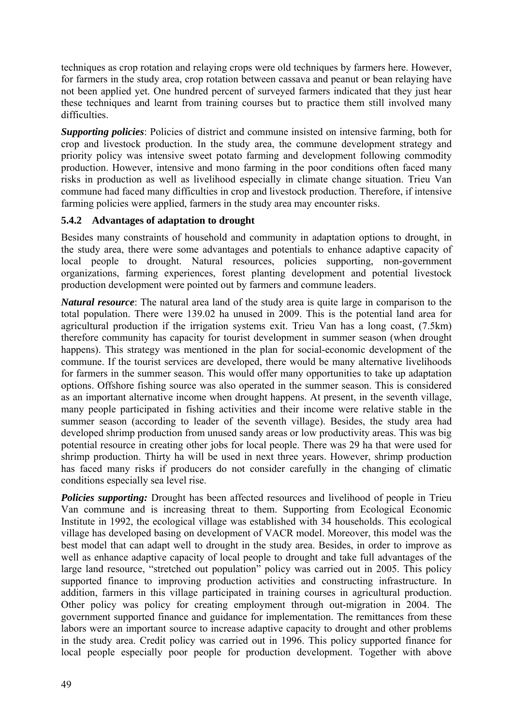techniques as crop rotation and relaying crops were old techniques by farmers here. However, for farmers in the study area, crop rotation between cassava and peanut or bean relaying have not been applied yet. One hundred percent of surveyed farmers indicated that they just hear these techniques and learnt from training courses but to practice them still involved many difficulties.

*Supporting policies*: Policies of district and commune insisted on intensive farming, both for crop and livestock production. In the study area, the commune development strategy and priority policy was intensive sweet potato farming and development following commodity production. However, intensive and mono farming in the poor conditions often faced many risks in production as well as livelihood especially in climate change situation. Trieu Van commune had faced many difficulties in crop and livestock production. Therefore, if intensive farming policies were applied, farmers in the study area may encounter risks.

## **5.4.2 Advantages of adaptation to drought**

Besides many constraints of household and community in adaptation options to drought, in the study area, there were some advantages and potentials to enhance adaptive capacity of local people to drought. Natural resources, policies supporting, non-government organizations, farming experiences, forest planting development and potential livestock production development were pointed out by farmers and commune leaders.

*Natural resource*: The natural area land of the study area is quite large in comparison to the total population. There were 139.02 ha unused in 2009. This is the potential land area for agricultural production if the irrigation systems exit. Trieu Van has a long coast, (7.5km) therefore community has capacity for tourist development in summer season (when drought happens). This strategy was mentioned in the plan for social-economic development of the commune. If the tourist services are developed, there would be many alternative livelihoods for farmers in the summer season. This would offer many opportunities to take up adaptation options. Offshore fishing source was also operated in the summer season. This is considered as an important alternative income when drought happens. At present, in the seventh village, many people participated in fishing activities and their income were relative stable in the summer season (according to leader of the seventh village). Besides, the study area had developed shrimp production from unused sandy areas or low productivity areas. This was big potential resource in creating other jobs for local people. There was 29 ha that were used for shrimp production. Thirty ha will be used in next three years. However, shrimp production has faced many risks if producers do not consider carefully in the changing of climatic conditions especially sea level rise.

*Policies supporting:* Drought has been affected resources and livelihood of people in Trieu Van commune and is increasing threat to them. Supporting from Ecological Economic Institute in 1992, the ecological village was established with 34 households. This ecological village has developed basing on development of VACR model. Moreover, this model was the best model that can adapt well to drought in the study area. Besides, in order to improve as well as enhance adaptive capacity of local people to drought and take full advantages of the large land resource, "stretched out population" policy was carried out in 2005. This policy supported finance to improving production activities and constructing infrastructure. In addition, farmers in this village participated in training courses in agricultural production. Other policy was policy for creating employment through out-migration in 2004. The government supported finance and guidance for implementation. The remittances from these labors were an important source to increase adaptive capacity to drought and other problems in the study area. Credit policy was carried out in 1996. This policy supported finance for local people especially poor people for production development. Together with above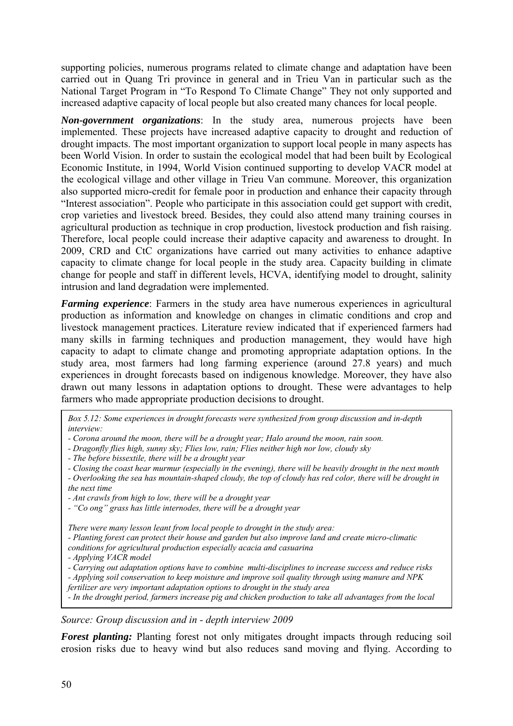supporting policies, numerous programs related to climate change and adaptation have been carried out in Quang Tri province in general and in Trieu Van in particular such as the National Target Program in "To Respond To Climate Change" They not only supported and increased adaptive capacity of local people but also created many chances for local people.

*Non-government organizations*: In the study area, numerous projects have been implemented. These projects have increased adaptive capacity to drought and reduction of drought impacts. The most important organization to support local people in many aspects has been World Vision. In order to sustain the ecological model that had been built by Ecological Economic Institute, in 1994, World Vision continued supporting to develop VACR model at the ecological village and other village in Trieu Van commune. Moreover, this organization also supported micro-credit for female poor in production and enhance their capacity through "Interest association". People who participate in this association could get support with credit, crop varieties and livestock breed. Besides, they could also attend many training courses in agricultural production as technique in crop production, livestock production and fish raising. Therefore, local people could increase their adaptive capacity and awareness to drought. In 2009, CRD and CtC organizations have carried out many activities to enhance adaptive capacity to climate change for local people in the study area. Capacity building in climate change for people and staff in different levels, HCVA, identifying model to drought, salinity intrusion and land degradation were implemented.

*Farming experience*: Farmers in the study area have numerous experiences in agricultural production as information and knowledge on changes in climatic conditions and crop and livestock management practices. Literature review indicated that if experienced farmers had many skills in farming techniques and production management, they would have high capacity to adapt to climate change and promoting appropriate adaptation options. In the study area, most farmers had long farming experience (around 27.8 years) and much experiences in drought forecasts based on indigenous knowledge. Moreover, they have also drawn out many lessons in adaptation options to drought. These were advantages to help farmers who made appropriate production decisions to drought.

*Box 5.12: Some experiences in drought forecasts were synthesized from group discussion and in-depth interview:* 

- *Corona around the moon, there will be a drought year; Halo around the moon, rain soon.*
- *Dragonfly flies high, sunny sky; Flies low, rain; Flies neither high nor low, cloudy sky*
- *The before bissextile, there will be a drought year*

*- Closing the coast hear murmur (especially in the evening), there will be heavily drought in the next month* 

*- Overlooking the sea has mountain-shaped cloudy, the top of cloudy has red color, there will be drought in the next time* 

*- Ant crawls from high to low, there will be a drought year* 

*- "Co ong" grass has little internodes, there will be a drought year* 

*There were many lesson leant from local people to drought in the study area:* 

*- Planting forest can protect their house and garden but also improve land and create micro-climatic* 

*conditions for agricultural production especially acacia and casuarina* 

*- Applying VACR model* 

*- Carrying out adaptation options have to combine multi-disciplines to increase success and reduce risks - Applying soil conservation to keep moisture and improve soil quality through using manure and NPK* 

*fertilizer are very important adaptation options to drought in the study area* 

*- In the drought period, farmers increase pig and chicken production to take all advantages from the local* 

*Source: Group discussion and in - depth interview 2009*

*Forest planting:* Planting forest not only mitigates drought impacts through reducing soil erosion risks due to heavy wind but also reduces sand moving and flying. According to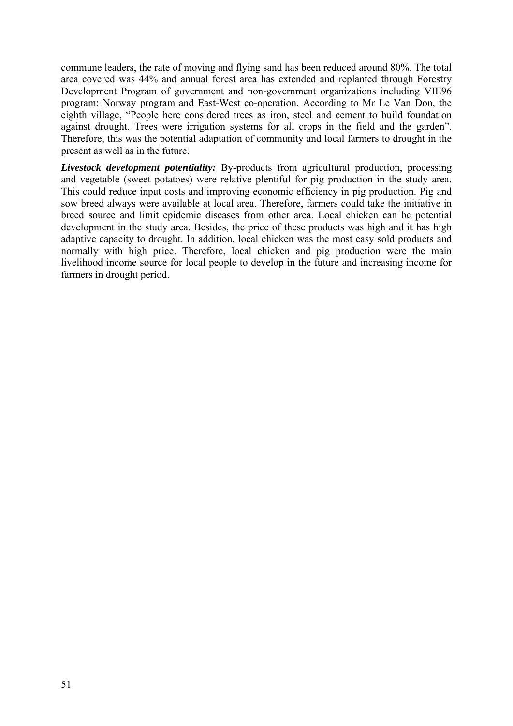commune leaders, the rate of moving and flying sand has been reduced around 80%. The total area covered was 44% and annual forest area has extended and replanted through Forestry Development Program of government and non-government organizations including VIE96 program; Norway program and East-West co-operation. According to Mr Le Van Don, the eighth village, "People here considered trees as iron, steel and cement to build foundation against drought. Trees were irrigation systems for all crops in the field and the garden". Therefore, this was the potential adaptation of community and local farmers to drought in the present as well as in the future.

*Livestock development potentiality:* By-products from agricultural production, processing and vegetable (sweet potatoes) were relative plentiful for pig production in the study area. This could reduce input costs and improving economic efficiency in pig production. Pig and sow breed always were available at local area. Therefore, farmers could take the initiative in breed source and limit epidemic diseases from other area. Local chicken can be potential development in the study area. Besides, the price of these products was high and it has high adaptive capacity to drought. In addition, local chicken was the most easy sold products and normally with high price. Therefore, local chicken and pig production were the main livelihood income source for local people to develop in the future and increasing income for farmers in drought period.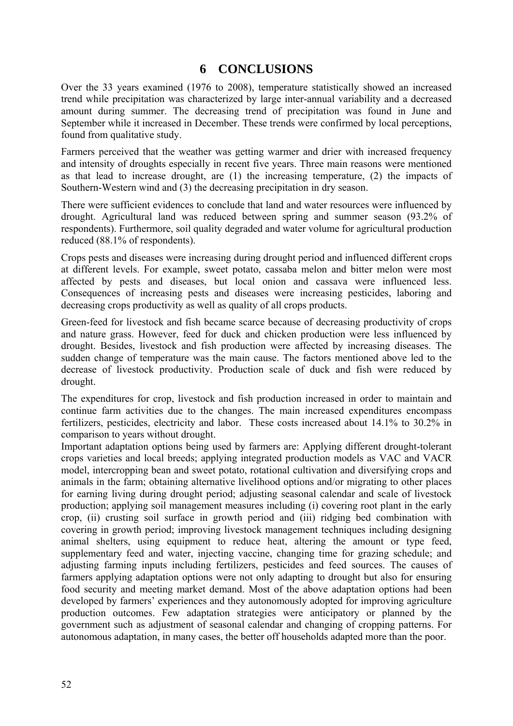## **6 CONCLUSIONS**

Over the 33 years examined (1976 to 2008), temperature statistically showed an increased trend while precipitation was characterized by large inter-annual variability and a decreased amount during summer. The decreasing trend of precipitation was found in June and September while it increased in December. These trends were confirmed by local perceptions, found from qualitative study.

Farmers perceived that the weather was getting warmer and drier with increased frequency and intensity of droughts especially in recent five years. Three main reasons were mentioned as that lead to increase drought, are (1) the increasing temperature, (2) the impacts of Southern-Western wind and (3) the decreasing precipitation in dry season.

There were sufficient evidences to conclude that land and water resources were influenced by drought. Agricultural land was reduced between spring and summer season (93.2% of respondents). Furthermore, soil quality degraded and water volume for agricultural production reduced (88.1% of respondents).

Crops pests and diseases were increasing during drought period and influenced different crops at different levels. For example, sweet potato, cassaba melon and bitter melon were most affected by pests and diseases, but local onion and cassava were influenced less. Consequences of increasing pests and diseases were increasing pesticides, laboring and decreasing crops productivity as well as quality of all crops products.

Green-feed for livestock and fish became scarce because of decreasing productivity of crops and nature grass. However, feed for duck and chicken production were less influenced by drought. Besides, livestock and fish production were affected by increasing diseases. The sudden change of temperature was the main cause. The factors mentioned above led to the decrease of livestock productivity. Production scale of duck and fish were reduced by drought.

The expenditures for crop, livestock and fish production increased in order to maintain and continue farm activities due to the changes. The main increased expenditures encompass fertilizers, pesticides, electricity and labor. These costs increased about 14.1% to 30.2% in comparison to years without drought.

Important adaptation options being used by farmers are: Applying different drought-tolerant crops varieties and local breeds; applying integrated production models as VAC and VACR model, intercropping bean and sweet potato, rotational cultivation and diversifying crops and animals in the farm; obtaining alternative livelihood options and/or migrating to other places for earning living during drought period; adjusting seasonal calendar and scale of livestock production; applying soil management measures including (i) covering root plant in the early crop, (ii) crusting soil surface in growth period and (iii) ridging bed combination with covering in growth period; improving livestock management techniques including designing animal shelters, using equipment to reduce heat, altering the amount or type feed, supplementary feed and water, injecting vaccine, changing time for grazing schedule; and adjusting farming inputs including fertilizers, pesticides and feed sources. The causes of farmers applying adaptation options were not only adapting to drought but also for ensuring food security and meeting market demand. Most of the above adaptation options had been developed by farmers' experiences and they autonomously adopted for improving agriculture production outcomes. Few adaptation strategies were anticipatory or planned by the government such as adjustment of seasonal calendar and changing of cropping patterns. For autonomous adaptation, in many cases, the better off households adapted more than the poor.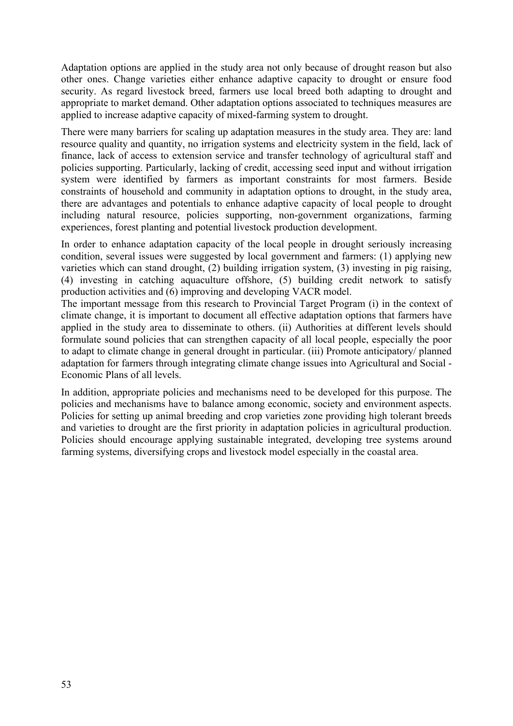Adaptation options are applied in the study area not only because of drought reason but also other ones. Change varieties either enhance adaptive capacity to drought or ensure food security. As regard livestock breed, farmers use local breed both adapting to drought and appropriate to market demand. Other adaptation options associated to techniques measures are applied to increase adaptive capacity of mixed-farming system to drought.

There were many barriers for scaling up adaptation measures in the study area. They are: land resource quality and quantity, no irrigation systems and electricity system in the field, lack of finance, lack of access to extension service and transfer technology of agricultural staff and policies supporting. Particularly, lacking of credit, accessing seed input and without irrigation system were identified by farmers as important constraints for most farmers. Beside constraints of household and community in adaptation options to drought, in the study area, there are advantages and potentials to enhance adaptive capacity of local people to drought including natural resource, policies supporting, non-government organizations, farming experiences, forest planting and potential livestock production development.

In order to enhance adaptation capacity of the local people in drought seriously increasing condition, several issues were suggested by local government and farmers: (1) applying new varieties which can stand drought, (2) building irrigation system, (3) investing in pig raising, (4) investing in catching aquaculture offshore, (5) building credit network to satisfy production activities and (6) improving and developing VACR model.

The important message from this research to Provincial Target Program (i) in the context of climate change, it is important to document all effective adaptation options that farmers have applied in the study area to disseminate to others. (ii) Authorities at different levels should formulate sound policies that can strengthen capacity of all local people, especially the poor to adapt to climate change in general drought in particular. (iii) Promote anticipatory/ planned adaptation for farmers through integrating climate change issues into Agricultural and Social - Economic Plans of all levels.

In addition, appropriate policies and mechanisms need to be developed for this purpose. The policies and mechanisms have to balance among economic, society and environment aspects. Policies for setting up animal breeding and crop varieties zone providing high tolerant breeds and varieties to drought are the first priority in adaptation policies in agricultural production. Policies should encourage applying sustainable integrated, developing tree systems around farming systems, diversifying crops and livestock model especially in the coastal area.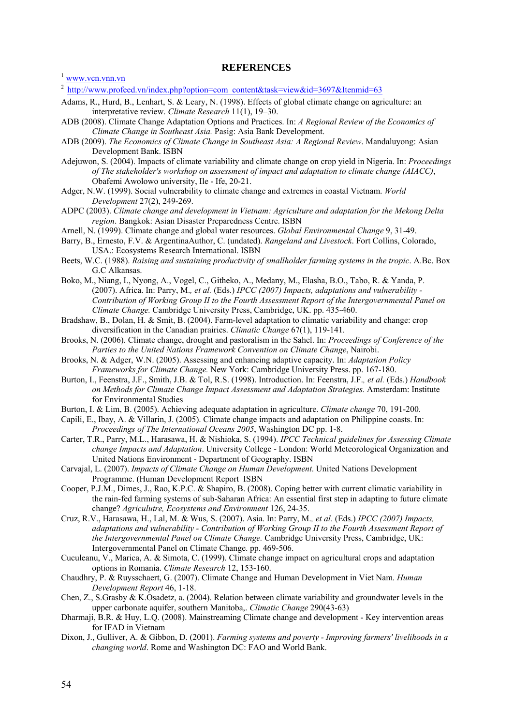# **REFERENCES**

- <sup>2</sup> http://www.profeed.vn/index.php?option=com\_content&task=view&id=3697&Itenmid=63
- Adams, R., Hurd, B., Lenhart, S. & Leary, N. (1998). Effects of global climate change on agriculture: an interpretative review. *Climate Research* 11(1), 19–30.
- ADB (2008). Climate Change Adaptation Options and Practices. In: *A Regional Review of the Economics of Climate Change in Southeast Asia.* Pasig: Asia Bank Development.
- ADB (2009). *The Economics of Climate Change in Southeast Asia: A Regional Review*. Mandaluyong: Asian Development Bank. ISBN
- Adejuwon, S. (2004). Impacts of climate variability and climate change on crop yield in Nigeria. In: *Proceedings of The stakeholder's workshop on assessment of impact and adaptation to climate change (AIACC)*, Obafemi Awolowo university, Ile - Ife, 20-21.
- Adger, N.W. (1999). Social vulnerability to climate change and extremes in coastal Vietnam. *World Development* 27(2), 249-269.
- ADPC (2003). *Climate change and development in Vietnam: Agriculture and adaptation for the Mekong Delta region*. Bangkok: Asian Disaster Preparedness Centre. ISBN
- Arnell, N. (1999). Climate change and global water resources. *Global Environmental Change* 9, 31-49.
- Barry, B., Ernesto, F.V. & ArgentinaAuthor, C. (undated). *Rangeland and Livestock*. Fort Collins, Colorado, USA.: Ecosystems Research International. ISBN
- Beets, W.C. (1988). *Raising and sustaining productivity of smallholder farming systems in the tropic*. A.Bc. Box G.C Alkansas.
- Boko, M., Niang, I., Nyong, A., Vogel, C., Githeko, A., Medany, M., Elasha, B.O., Tabo, R. & Yanda, P. (2007). Africa. In: Parry, M.*, et al.* (Eds.) *IPCC (2007) Impacts, adaptations and vulnerability - Contribution of Working Group II to the Fourth Assessment Report of the Intergovernmental Panel on Climate Change.* Cambridge University Press, Cambridge, UK. pp. 435-460.
- Bradshaw, B., Dolan, H. & Smit, B. (2004). Farm-level adaptation to climatic variability and change: crop diversification in the Canadian prairies. *Climatic Change* 67(1), 119-141.
- Brooks, N. (2006). Climate change, drought and pastoralism in the Sahel. In: *Proceedings of Conference of the Parties to the United Nations Framework Convention on Climate Change*, Nairobi.
- Brooks, N. & Adger, W.N. (2005). Assessing and enhancing adaptive capacity. In: *Adaptation Policy Frameworks for Climate Change.* New York: Cambridge University Press. pp. 167-180.
- Burton, I., Feenstra, J.F., Smith, J.B. & Tol, R.S. (1998). Introduction. In: Feenstra, J.F.*, et al.* (Eds.) *Handbook on Methods for Climate Change Impact Assessment and Adaptation Strategies.* Amsterdam: Institute for Environmental Studies
- Burton, I. & Lim, B. (2005). Achieving adequate adaptation in agriculture. *Climate change* 70, 191-200.
- Capili, E., Ibay, A. & Villarin, J. (2005). Climate change impacts and adaptation on Philippine coasts. In: *Proceedings of The International Oceans 2005*, Washington DC pp. 1-8.
- Carter, T.R., Parry, M.L., Harasawa, H. & Nishioka, S. (1994). *IPCC Technical guidelines for Assessing Climate change Impacts and Adaptation*. University College - London: World Meteorological Organization and United Nations Environment - Department of Geography. ISBN
- Carvajal, L. (2007). *Impacts of Climate Change on Human Development*. United Nations Development Programme. (Human Development Report ISBN
- Cooper, P.J.M., Dimes, J., Rao, K.P.C. & Shapiro, B. (2008). Coping better with current climatic variability in the rain-fed farming systems of sub-Saharan Africa: An essential first step in adapting to future climate change? *Agriculutre, Ecosystems and Environment* 126, 24-35.
- Cruz, R.V., Harasawa, H., Lal, M. & Wus, S. (2007). Asia. In: Parry, M.*, et al.* (Eds.) *IPCC (2007) Impacts, adaptations and vulnerability - Contribution of Working Group II to the Fourth Assessment Report of the Intergovernmental Panel on Climate Change.* Cambridge University Press, Cambridge, UK: Intergovernmental Panel on Climate Change. pp. 469-506.
- Cuculeanu, V., Marica, A. & Simota, C. (1999). Climate change impact on agricultural crops and adaptation options in Romania. *Climate Research* 12, 153-160.
- Chaudhry, P. & Ruysschaert, G. (2007). Climate Change and Human Development in Viet Nam. *Human Development Report* 46, 1-18.
- Chen, Z., S.Grasby & K.Osadetz, a. (2004). Relation between climate variability and groundwater levels in the upper carbonate aquifer, southern Manitoba,. *Climatic Change* 290(43-63)
- Dharmaji, B.R. & Huy, L.Q. (2008). Mainstreaming Climate change and development Key intervention areas for IFAD in Vietnam
- Dixon, J., Gulliver, A. & Gibbon, D. (2001). *Farming systems and poverty Improving farmers' livelihoods in a changing world*. Rome and Washington DC: FAO and World Bank.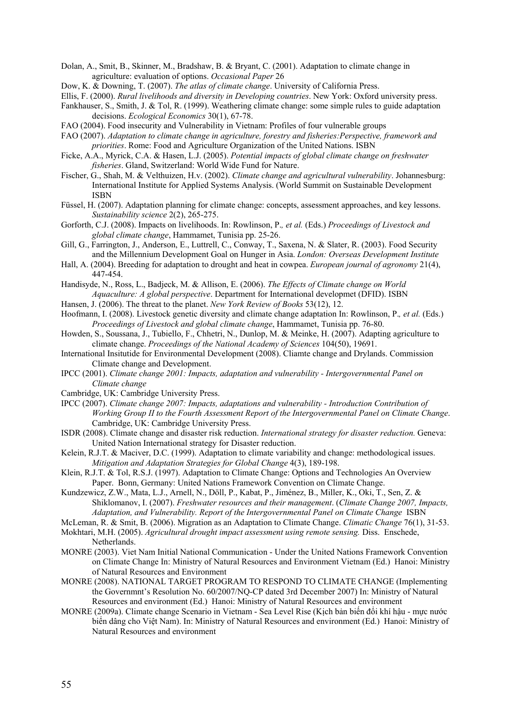Dolan, A., Smit, B., Skinner, M., Bradshaw, B. & Bryant, C. (2001). Adaptation to climate change in agriculture: evaluation of options. *Occasional Paper* 26

Dow, K. & Downing, T. (2007). *The atlas of climate change*. University of California Press.

Ellis, F. (2000). *Rural livelihoods and diversity in Developing countries*. New York: Oxford university press.

- Fankhauser, S., Smith, J. & Tol, R. (1999). Weathering climate change: some simple rules to guide adaptation decisions. *Ecological Economics* 30(1), 67-78.
- FAO (2004). Food insecurity and Vulnerability in Vietnam: Profiles of four vulnerable groups
- FAO (2007). *Adaptation to climate change in agriculture, forestry and fisheries:Perspective, framework and priorities*. Rome: Food and Agriculture Organization of the United Nations. ISBN
- Ficke, A.A., Myrick, C.A. & Hasen, L.J. (2005). *Potential impacts of global climate change on freshwater fisheries*. Gland, Switzerland: World Wide Fund for Nature.
- Fischer, G., Shah, M. & Velthuizen, H.v. (2002). *Climate change and agricultural vulnerability*. Johannesburg: International Institute for Applied Systems Analysis. (World Summit on Sustainable Development ISBN
- Füssel, H. (2007). Adaptation planning for climate change: concepts, assessment approaches, and key lessons. *Sustainability science* 2(2), 265-275.
- Gorforth, C.J. (2008). Impacts on livelihoods. In: Rowlinson, P.*, et al.* (Eds.) *Proceedings of Livestock and global climate change*, Hammamet, Tunisia pp. 25-26.
- Gill, G., Farrington, J., Anderson, E., Luttrell, C., Conway, T., Saxena, N. & Slater, R. (2003). Food Security and the Millennium Development Goal on Hunger in Asia. *London: Overseas Development Institute*
- Hall, A. (2004). Breeding for adaptation to drought and heat in cowpea. *European journal of agronomy* 21(4), 447-454.
- Handisyde, N., Ross, L., Badjeck, M. & Allison, E. (2006). *The Effects of Climate change on World Aquaculture: A global perspective*. Department for International developmet (DFID). ISBN
- Hansen, J. (2006). The threat to the planet. *New York Review of Books* 53(12), 12.
- Hoofmann, I. (2008). Livestock genetic diversity and climate change adaptation In: Rowlinson, P.*, et al.* (Eds.) *Proceedings of Livestock and global climate change*, Hammamet, Tunisia pp. 76-80.
- Howden, S., Soussana, J., Tubiello, F., Chhetri, N., Dunlop, M. & Meinke, H. (2007). Adapting agriculture to climate change. *Proceedings of the National Academy of Sciences* 104(50), 19691.
- International Insitutide for Environmental Development (2008). Cliamte change and Drylands. Commission Climate change and Development.
- IPCC (2001). *Climate change 2001: Impacts, adaptation and vulnerability Intergovernmental Panel on Climate change*
- Cambridge, UK: Cambridge University Press.
- IPCC (2007). *Climate change 2007: Impacts, adaptations and vulnerability Introduction Contribution of Working Group II to the Fourth Assessment Report of the Intergovernmental Panel on Climate Change*. Cambridge, UK: Cambridge University Press.
- ISDR (2008). Climate change and disaster risk reduction. *International strategy for disaster reduction.* Geneva: United Nation International strategy for Disaster reduction.
- Kelein, R.J.T. & Maciver, D.C. (1999). Adaptation to climate variability and change: methodological issues. *Mitigation and Adaptation Strategies for Global Change* 4(3), 189-198.
- Klein, R.J.T. & Tol, R.S.J. (1997). Adaptation to Climate Change: Options and Technologies An Overview Paper. Bonn, Germany: United Nations Framework Convention on Climate Change.
- Kundzewicz, Z.W., Mata, L.J., Arnell, N., Döll, P., Kabat, P., Jiménez, B., Miller, K., Oki, T., Sen, Z. & Shiklomanov, I. (2007). *Freshwater resources and their management*. (*Climate Change 2007, Impacts, Adaptation, and Vulnerability. Report of the Intergovernmental Panel on Climate Change* ISBN
- McLeman, R. & Smit, B. (2006). Migration as an Adaptation to Climate Change. *Climatic Change* 76(1), 31-53.
- Mokhtari, M.H. (2005). *Agricultural drought impact assessment using remote sensing.* Diss. Enschede, Netherlands.
- MONRE (2003). Viet Nam Initial National Communication Under the United Nations Framework Convention on Climate Change In: Ministry of Natural Resources and Environment Vietnam (Ed.) Hanoi: Ministry of Natural Resources and Environment
- MONRE (2008). NATIONAL TARGET PROGRAM TO RESPOND TO CLIMATE CHANGE (Implementing the Governmnt's Resolution No. 60/2007/NQ-CP dated 3rd December 2007) In: Ministry of Natural Resources and environment (Ed.) Hanoi: Ministry of Natural Resources and environment
- MONRE (2009a). Climate change Scenario in Vietnam Sea Level Rise (Kịch bản biến đổi khí hậu mực nước biển dâng cho Việt Nam). In: Ministry of Natural Resources and environment (Ed.) Hanoi: Ministry of Natural Resources and environment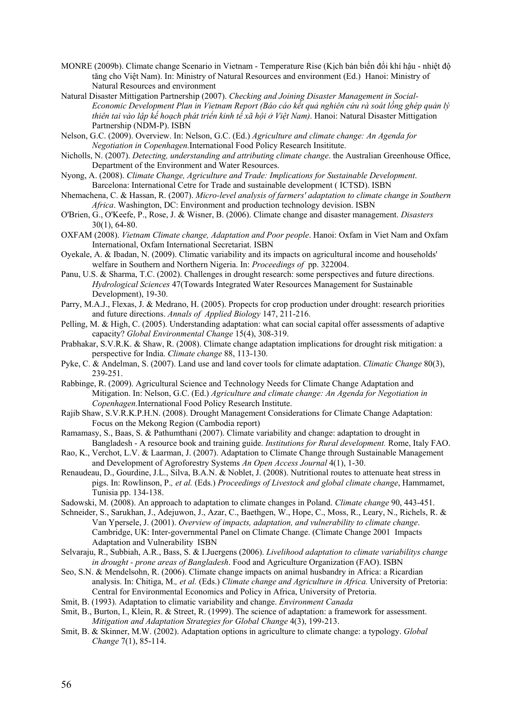- MONRE (2009b). Climate change Scenario in Vietnam Temperature Rise (Kịch bản biến đổi khí hậu nhiệt độ tăng cho Việt Nam). In: Ministry of Natural Resources and environment (Ed.) Hanoi: Ministry of Natural Resources and environment
- Natural Disaster Mittigation Partnership (2007). *Checking and Joining Disaster Management in Social-Economic Development Plan in Vietnam Report (Báo cáo kết quả nghiên cứu rà soát lồng ghép quản lý thiên tai vào lập kế hoạch phát triển kinh tế xã hội ở Việt Nam)*. Hanoi: Natural Disaster Mittigation Partnership (NDM-P). ISBN
- Nelson, G.C. (2009). Overview. In: Nelson, G.C. (Ed.) *Agriculture and climate change: An Agenda for Negotiation in Copenhagen.*International Food Policy Research Insititute.
- Nicholls, N. (2007). *Detecting, understanding and attributing climate change*. the Australian Greenhouse Office, Department of the Environment and Water Resources.
- Nyong, A. (2008). *Climate Change, Agriculture and Trade: Implications for Sustainable Development*. Barcelona: International Cetre for Trade and sustainable development ( ICTSD). ISBN
- Nhemachena, C. & Hassan, R. (2007). *Micro-level analysis of farmers' adaptation to climate change in Southern Africa*. Washington, DC: Environment and production technology devision. ISBN
- O'Brien, G., O'Keefe, P., Rose, J. & Wisner, B. (2006). Climate change and disaster management. *Disasters* 30(1), 64-80.
- OXFAM (2008). *Vietnam Climate change, Adaptation and Poor people*. Hanoi: Oxfam in Viet Nam and Oxfam International, Oxfam International Secretariat. ISBN
- Oyekale, A. & Ibadan, N. (2009). Climatic variability and its impacts on agricultural income and households' welfare in Southern and Northern Nigeria. In: *Proceedings of* pp. 322004.
- Panu, U.S. & Sharma, T.C. (2002). Challenges in drought research: some perspectives and future directions. *Hydrological Sciences* 47(Towards Integrated Water Resources Management for Sustainable Development), 19-30.
- Parry, M.A.J., Flexas, J. & Medrano, H. (2005). Propects for crop production under drought: research priorities and future directions. *Annals of Applied Biology* 147, 211-216.
- Pelling, M. & High, C. (2005). Understanding adaptation: what can social capital offer assessments of adaptive capacity? *Global Environmental Change* 15(4), 308-319.
- Prabhakar, S.V.R.K. & Shaw, R. (2008). Climate change adaptation implications for drought risk mitigation: a perspective for India. *Climate change* 88, 113-130.
- Pyke, C. & Andelman, S. (2007). Land use and land cover tools for climate adaptation. *Climatic Change* 80(3), 239-251.
- Rabbinge, R. (2009). Agricultural Science and Technology Needs for Climate Change Adaptation and Mitigation. In: Nelson, G.C. (Ed.) *Agriculture and climate change: An Agenda for Negotiation in Copenhagen.*International Food Policy Research Institute.
- Rajib Shaw, S.V.R.K.P.H.N. (2008). Drought Management Considerations for Climate Change Adaptation: Focus on the Mekong Region (Cambodia report)
- Ramamasy, S., Baas, S. & Pathumthani (2007). Climate variability and change: adaptation to drought in Bangladesh - A resource book and training guide. *Institutions for Rural development.* Rome, Italy FAO.
- Rao, K., Verchot, L.V. & Laarman, J. (2007). Adaptation to Climate Change through Sustainable Management and Development of Agroforestry Systems *An Open Access Journal* 4(1), 1-30.
- Renaudeau, D., Gourdine, J.L., Silva, B.A.N. & Noblet, J. (2008). Nutritional routes to attenuate heat stress in pigs. In: Rowlinson, P.*, et al.* (Eds.) *Proceedings of Livestock and global climate change*, Hammamet, Tunisia pp. 134-138.
- Sadowski, M. (2008). An approach to adaptation to climate changes in Poland. *Climate change* 90, 443-451.
- Schneider, S., Sarukhan, J., Adejuwon, J., Azar, C., Baethgen, W., Hope, C., Moss, R., Leary, N., Richels, R. & Van Ypersele, J. (2001). *Overview of impacts, adaptation, and vulnerability to climate change*. Cambridge, UK: Inter-governmental Panel on Climate Change. (Climate Change 2001 Impacts Adaptation and Vulnerability ISBN
- Selvaraju, R., Subbiah, A.R., Bass, S. & I.Juergens (2006). *Livelihood adaptation to climate variabilitys change in drought - prone areas of Bangladesh*. Food and Agriculture Organization (FAO). ISBN
- Seo, S.N. & Mendelsohn, R. (2006). Climate change impacts on animal husbandry in Africa: a Ricardian analysis. In: Chitiga, M.*, et al.* (Eds.) *Climate change and Agriculture in Africa.* University of Pretoria: Central for Environmental Economics and Policy in Africa, University of Pretoria.
- Smit, B. (1993). Adaptation to climatic variability and change. *Environment Canada*
- Smit, B., Burton, I., Klein, R. & Street, R. (1999). The science of adaptation: a framework for assessment. *Mitigation and Adaptation Strategies for Global Change* 4(3), 199-213.
- Smit, B. & Skinner, M.W. (2002). Adaptation options in agriculture to climate change: a typology. *Global Change* 7(1), 85-114.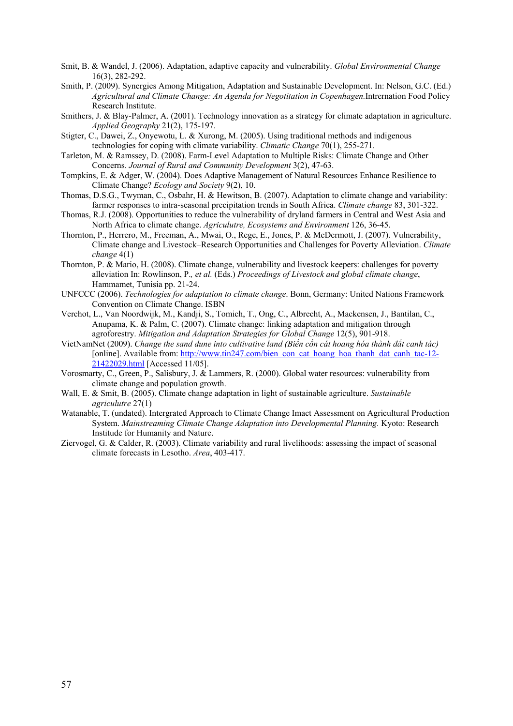Smit, B. & Wandel, J. (2006). Adaptation, adaptive capacity and vulnerability. *Global Environmental Change* 16(3), 282-292.

- Smith, P. (2009). Synergies Among Mitigation, Adaptation and Sustainable Development. In: Nelson, G.C. (Ed.) *Agricultural and Climate Change: An Agenda for Negotitation in Copenhagen.*Intrernation Food Policy Research Institute.
- Smithers, J. & Blay-Palmer, A. (2001). Technology innovation as a strategy for climate adaptation in agriculture. *Applied Geography* 21(2), 175-197.
- Stigter, C., Dawei, Z., Onyewotu, L. & Xurong, M. (2005). Using traditional methods and indigenous technologies for coping with climate variability. *Climatic Change* 70(1), 255-271.
- Tarleton, M. & Ramssey, D. (2008). Farm-Level Adaptation to Multiple Risks: Climate Change and Other Concerns. *Journal of Rural and Community Development* 3(2), 47-63.
- Tompkins, E. & Adger, W. (2004). Does Adaptive Management of Natural Resources Enhance Resilience to Climate Change? *Ecology and Society* 9(2), 10.
- Thomas, D.S.G., Twyman, C., Osbahr, H. & Hewitson, B. (2007). Adaptation to climate change and variability: farmer responses to intra-seasonal precipitation trends in South Africa. *Climate change* 83, 301-322.
- Thomas, R.J. (2008). Opportunities to reduce the vulnerability of dryland farmers in Central and West Asia and North Africa to climate change. *Agriculutre, Ecosystems and Environment* 126, 36-45.
- Thornton, P., Herrero, M., Freeman, A., Mwai, O., Rege, E., Jones, P. & McDermott, J. (2007). Vulnerability, Climate change and Livestock–Research Opportunities and Challenges for Poverty Alleviation. *Climate change* 4(1)
- Thornton, P. & Mario, H. (2008). Climate change, vulnerability and livestock keepers: challenges for poverty alleviation In: Rowlinson, P.*, et al.* (Eds.) *Proceedings of Livestock and global climate change*, Hammamet, Tunisia pp. 21-24.
- UNFCCC (2006). *Technologies for adaptation to climate change*. Bonn, Germany: United Nations Framework Convention on Climate Change. ISBN
- Verchot, L., Van Noordwijk, M., Kandji, S., Tomich, T., Ong, C., Albrecht, A., Mackensen, J., Bantilan, C., Anupama, K. & Palm, C. (2007). Climate change: linking adaptation and mitigation through agroforestry. *Mitigation and Adaptation Strategies for Global Change* 12(5), 901-918.
- VietNamNet (2009). *Change the sand dune into cultivative land (Biến cồn cát hoang hóa thành đất canh tác)* [online]. Available from: http://www.tin247.com/bien\_con\_cat\_hoang\_hoa\_thanh\_dat\_canh\_tac-12-21422029.html [Accessed 11/05].
- Vorosmarty, C., Green, P., Salisbury, J. & Lammers, R. (2000). Global water resources: vulnerability from climate change and population growth.
- Wall, E. & Smit, B. (2005). Climate change adaptation in light of sustainable agriculture. *Sustainable agriculutre* 27(1)
- Watanable, T. (undated). Intergrated Approach to Climate Change Imact Assessment on Agricultural Production System. *Mainstreaming Climate Change Adaptation into Developmental Planning.* Kyoto: Research Institude for Humanity and Nature.
- Ziervogel, G. & Calder, R. (2003). Climate variability and rural livelihoods: assessing the impact of seasonal climate forecasts in Lesotho. *Area*, 403-417.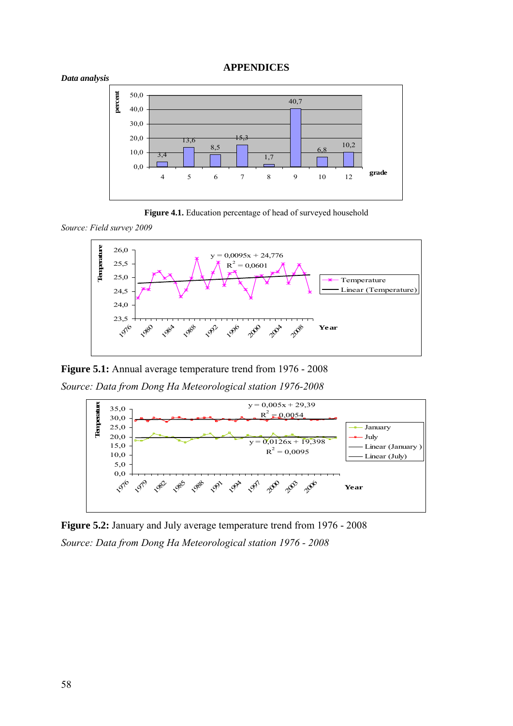#### **APPENDICES**









**Figure 5.1:** Annual average temperature trend from 1976 - 2008

*Source: Data from Dong Ha Meteorological station 1976-2008* 



**Figure 5.2:** January and July average temperature trend from 1976 - 2008 *Source: Data from Dong Ha Meteorological station 1976 - 2008*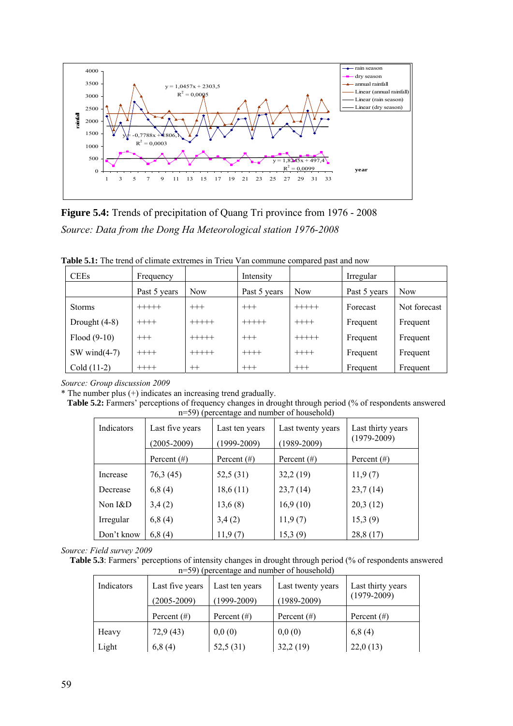

**Figure 5.4:** Trends of precipitation of Quang Tri province from 1976 - 2008 *Source: Data from the Dong Ha Meteorological station 1976-2008* 

**Table 5.1:** The trend of climate extremes in Trieu Van commune compared past and now

| <b>CEEs</b>     | Frequency    |            | Intensity    |            | Irregular    |              |
|-----------------|--------------|------------|--------------|------------|--------------|--------------|
|                 | Past 5 years | <b>Now</b> | Past 5 years | <b>Now</b> | Past 5 years | <b>Now</b>   |
| <b>Storms</b>   | $+++++$      | $^{+++}$   | $^{+++}$     | $+++++$    | Forecast     | Not forecast |
| Drought $(4-8)$ | $+++++$      | $+++++$    | $+++++$      | $+++++$    | Frequent     | Frequent     |
| $Flood(9-10)$   | $^{+++}$     | $+++++$    | $^{+++}$     | $+++++$    | Frequent     | Frequent     |
| SW wind $(4-7)$ | $++++-$      | $+++++$    | $++++$       | $+++++$    | Frequent     | Frequent     |
| $Cold (11-2)$   | $+++++$      | $^{++}$    | $^{+++}$     | $^{+++}$   | Frequent     | Frequent     |

*Source: Group discussion 2009* 

\* The number plus (+) indicates an increasing trend gradually.

**Table 5.2:** Farmers' perceptions of frequency changes in drought through period (% of respondents answered n=59) (percentage and number of household)

| Indicators | Last five years<br>$(2005 - 2009)$ | Last ten years<br>$(1999-2009)$ | Last twenty years<br>$(1989 - 2009)$ | Last thirty years<br>$(1979-2009)$ |
|------------|------------------------------------|---------------------------------|--------------------------------------|------------------------------------|
|            | Percent $(\#)$                     | Percent $(\#)$                  | Percent $(\#)$                       | Percent $(\#)$                     |
| Increase   | 76,3 (45)                          | 52,5 (31)                       | 32,2(19)                             | 11,9(7)                            |
| Decrease   | 6,8(4)                             | 18,6(11)                        | 23,7(14)                             | 23,7(14)                           |
| Non $I\&D$ | 3,4(2)                             | 13,6(8)                         | 16,9(10)                             | 20,3(12)                           |
| Irregular  | 6,8(4)                             | 3,4(2)                          | 11,9(7)                              | 15,3(9)                            |
| Don't know | 6,8(4)                             | 11,9(7)                         | 15,3(9)                              | 28,8 (17)                          |

*Source: Field survey 2009* 

**Table 5.3**: Farmers' perceptions of intensity changes in drought through period (% of respondents answered n=59) (percentage and number of household)

| Indicators | Last five years | Last ten years  | Last twenty years | Last thirty years |
|------------|-----------------|-----------------|-------------------|-------------------|
|            | $(2005 - 2009)$ | $(1999 - 2009)$ | $(1989 - 2009)$   | $(1979 - 2009)$   |
|            | Percent $(\#)$  | Percent $(\#)$  | Percent $(\#)$    | Percent $(\#)$    |
| Heavy      | 72,9(43)        | 0,0(0)          | 0,0(0)            | 6,8(4)            |
| Light      | 6,8(4)          | 52,5(31)        | 32,2(19)          | 22,0(13)          |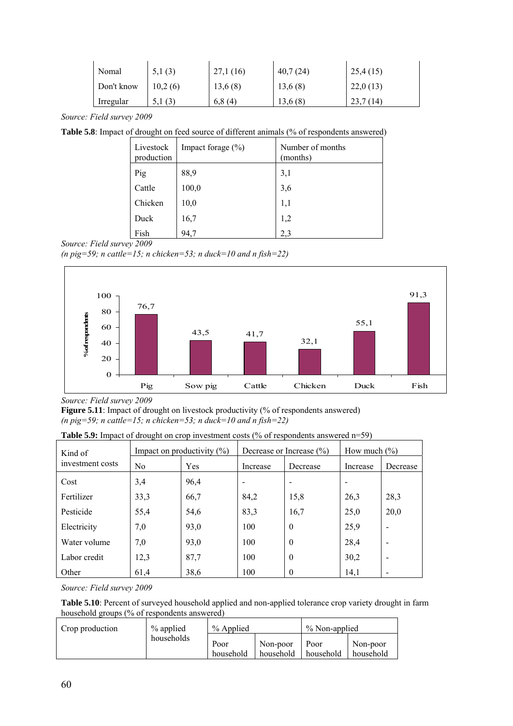| Nomal      | 5,1(3)  | 27,1(16) | 40,7(24) | 25,4(15)     |
|------------|---------|----------|----------|--------------|
| Don't know | 10.2(6) | 13,6(8)  | 13,6(8)  | 22,0(13)     |
| Irregular  | 5.1(3)  | 6,8(4)   | 13,6(8)  | (14)<br>23.1 |

*Source: Field survey 2009* 

Table 5.8: Impact of drought on feed source of different animals (% of respondents answered)

| Livestock<br>production | Impact forage $(\% )$ | Number of months<br>(months) |
|-------------------------|-----------------------|------------------------------|
| Pig                     | 88,9                  | 3,1                          |
| Cattle                  | 100,0                 | 3,6                          |
| Chicken                 | 10,0                  | 1,1                          |
| Duck                    | 16,7                  | 1,2                          |
| Fish                    | 94,7                  | 2.3                          |

(*n*  $pig=59$ ; *n* cattle=15; *n* chicken=53; *n* duck=10 and *n* fish=22)



*Source: Field survey 2009* 

**Figure 5.11**: Impact of drought on livestock productivity (% of respondents answered)  $(n \text{ }$  pig=59; n cattle=15; n chicken=53; n duck=10 and n fish=22)

**Table 5.9:** Impact of drought on crop investment costs (% of respondents answered n=59)

| Kind of          |                | Impact on productivity $(\%)$ |          | Decrease or Increase $(\% )$ | How much $(\% )$ |                          |
|------------------|----------------|-------------------------------|----------|------------------------------|------------------|--------------------------|
| investment costs | N <sub>0</sub> | Yes                           | Increase | Decrease                     | Increase         | Decrease                 |
| Cost             | 3,4            | 96,4                          |          |                              |                  |                          |
| Fertilizer       | 33,3           | 66,7                          | 84,2     | 15,8                         | 26,3             | 28,3                     |
| Pesticide        | 55,4           | 54,6                          | 83,3     | 16,7                         | 25,0             | 20,0                     |
| Electricity      | 7,0            | 93,0                          | 100      | $\mathbf{0}$                 | 25,9             |                          |
| Water volume     | 7,0            | 93,0                          | 100      | $\theta$                     | 28,4             | $\overline{\phantom{0}}$ |
| Labor credit     | 12,3           | 87,7                          | 100      | $\theta$                     | 30,2             |                          |
| Other            | 61,4           | 38,6                          | 100      | 0                            | 14,1             |                          |

*Source: Field survey 2009* 

**Table 5.10**: Percent of surveyed household applied and non-applied tolerance crop variety drought in farm household groups (% of respondents answered)

| Crop production | % applied | % Applied |           | % Non-applied |           |
|-----------------|-----------|-----------|-----------|---------------|-----------|
| households      |           | Poor      | Non-poor  | Poor          | Non-poor  |
|                 |           | household | household | household     | household |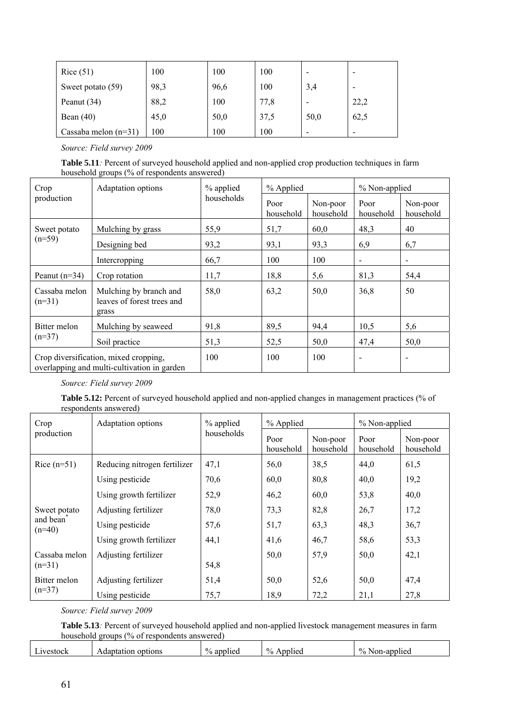| Rice $(51)$            | 100  | 100  | 100  | -    |      |
|------------------------|------|------|------|------|------|
| Sweet potato (59)      | 98,3 | 96,6 | 100  | 3,4  |      |
| Peanut $(34)$          | 88,2 | 100  | 77,8 |      | 22,2 |
| Bean $(40)$            | 45,0 | 50,0 | 37,5 | 50,0 | 62,5 |
| Cassaba melon $(n=31)$ | 100  | 100  | 100  | -    | -    |

**Table 5.11***:* Percent of surveyed household applied and non-applied crop production techniques in farm household groups (% of respondents answered)

| Crop                                                                                 | Adaptation options                                            | % applied  | % Applied         |                       | % Non-applied            |                          |
|--------------------------------------------------------------------------------------|---------------------------------------------------------------|------------|-------------------|-----------------------|--------------------------|--------------------------|
| production                                                                           |                                                               | households | Poor<br>household | Non-poor<br>household | Poor<br>household        | Non-poor<br>household    |
| Sweet potato                                                                         | Mulching by grass                                             | 55,9       | 51,7              | 60,0                  | 48,3                     | 40                       |
| $(n=59)$                                                                             | Designing bed                                                 | 93,2       | 93,1              | 93,3                  | 6,9                      | 6,7                      |
|                                                                                      | Intercropping                                                 | 66,7       | 100               | 100                   | $\overline{\phantom{a}}$ | $\overline{\phantom{a}}$ |
| Peanut $(n=34)$                                                                      | Crop rotation                                                 | 11,7       | 18,8              | 5,6                   | 81,3                     | 54,4                     |
| Cassaba melon<br>$(n=31)$                                                            | Mulching by branch and<br>leaves of forest trees and<br>grass | 58,0       | 63,2              | 50,0                  | 36,8                     | 50                       |
| Bitter melon                                                                         | Mulching by seaweed                                           | 91,8       | 89,5              | 94,4                  | 10,5                     | 5,6                      |
| $(n=37)$                                                                             | Soil practice                                                 | 51,3       | 52,5              | 50,0                  | 47,4                     | 50,0                     |
| Crop diversification, mixed cropping,<br>overlapping and multi-cultivation in garden |                                                               | 100        | 100               | 100                   | ٠                        |                          |

*Source: Field survey 2009* 

Table 5.12: Percent of surveyed household applied and non-applied changes in management practices (% of respondents answered)

| Crop                              | Adaptation options           | % applied  | % Applied         |                       | % Non-applied     |                       |
|-----------------------------------|------------------------------|------------|-------------------|-----------------------|-------------------|-----------------------|
| production                        |                              | households | Poor<br>household | Non-poor<br>household | Poor<br>household | Non-poor<br>household |
| Rice $(n=51)$                     | Reducing nitrogen fertilizer | 47,1       | 56,0              | 38,5                  | 44,0              | 61,5                  |
|                                   | Using pesticide              | 70,6       | 60,0              | 80,8                  | 40,0              | 19,2                  |
|                                   | Using growth fertilizer      | 52,9       | 46,2              | 60,0                  | 53,8              | 40,0                  |
| Sweet potato                      | Adjusting fertilizer         | 78,0       | 73,3              | 82,8                  | 26,7              | 17,2                  |
| and bean <sup>7</sup><br>$(n=40)$ | Using pesticide              | 57,6       | 51,7              | 63,3                  | 48,3              | 36,7                  |
|                                   | Using growth fertilizer      | 44,1       | 41,6              | 46,7                  | 58,6              | 53,3                  |
| Cassaba melon<br>$(n=31)$         | Adjusting fertilizer         | 54,8       | 50,0              | 57,9                  | 50,0              | 42,1                  |
| Bitter melon                      | Adjusting fertilizer         | 51,4       | 50,0              | 52,6                  | 50,0              | 47,4                  |
| $(n=37)$                          | Using pesticide              | 75,7       | 18,9              | 72,2                  | 21,1              | 27,8                  |

*Source: Field survey 2009* 

Table 5.13<sup>*:*</sup> Percent of surveyed household applied and non-applied livestock management measures in farm household groups (% of respondents answered)

|  | $\sim$<br>avestock. | options<br>$\cdots$ do $\cdots$<br>ÐЬ.<br>ног<br>$\cdot$ 12 | $\frac{0}{0}$<br>. applied | $\frac{0}{0}$<br>11e <sub>G</sub> | $\frac{0}{0}$<br>Non-applied<br>$\overline{\phantom{a}}$ |
|--|---------------------|-------------------------------------------------------------|----------------------------|-----------------------------------|----------------------------------------------------------|
|--|---------------------|-------------------------------------------------------------|----------------------------|-----------------------------------|----------------------------------------------------------|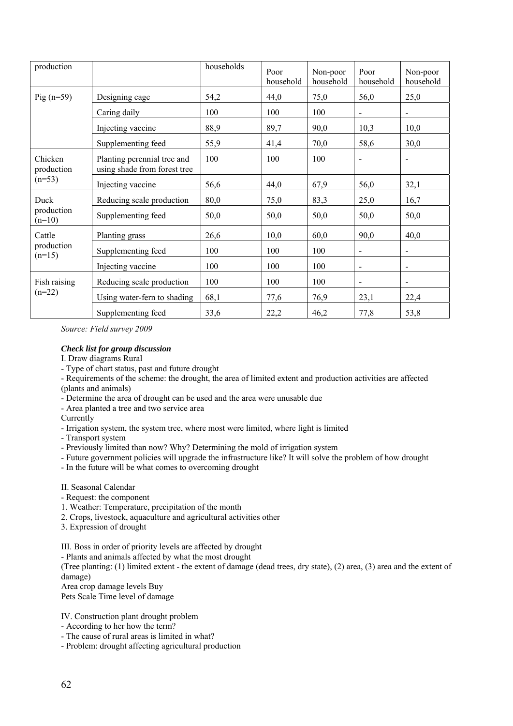| production             |                                                             | households | Poor<br>household | Non-poor<br>household | Poor<br>household            | Non-poor<br>household        |
|------------------------|-------------------------------------------------------------|------------|-------------------|-----------------------|------------------------------|------------------------------|
| $Pig(n=59)$            | Designing cage                                              | 54,2       | 44,0              | 75,0                  | 56,0                         | 25,0                         |
|                        | Caring daily                                                | 100        | 100               | 100                   | $\overline{\phantom{a}}$     | $\blacksquare$               |
|                        | Injecting vaccine                                           | 88,9       | 89,7              | 90,0                  | 10,3                         | 10,0                         |
|                        | Supplementing feed                                          | 55,9       | 41,4              | 70,0                  | 58,6                         | 30,0                         |
| Chicken<br>production  | Planting perennial tree and<br>using shade from forest tree | 100        | 100               | 100                   |                              | $\qquad \qquad \blacksquare$ |
| $(n=53)$               | Injecting vaccine                                           | 56,6       | 44,0              | 67,9                  | 56,0                         | 32,1                         |
| Duck                   | Reducing scale production                                   | 80,0       | 75,0              | 83,3                  | 25,0                         | 16,7                         |
| production<br>$(n=10)$ | Supplementing feed                                          | 50,0       | 50,0              | 50,0                  | 50,0                         | 50,0                         |
| Cattle                 | Planting grass                                              | 26,6       | 10,0              | 60,0                  | 90,0                         | 40,0                         |
| production<br>$(n=15)$ | Supplementing feed                                          | 100        | 100               | 100                   | $\overline{a}$               | $\overline{a}$               |
|                        | Injecting vaccine                                           | 100        | 100               | 100                   | $\qquad \qquad \blacksquare$ | $\overline{a}$               |
| Fish raising           | Reducing scale production                                   | 100        | 100               | 100                   | $\blacksquare$               | $\overline{a}$               |
| $(n=22)$               | Using water-fern to shading                                 | 68,1       | 77,6              | 76,9                  | 23,1                         | 22,4                         |
|                        | Supplementing feed                                          | 33,6       | 22,2              | 46,2                  | 77,8                         | 53,8                         |

#### *Check list for group discussion*

I. Draw diagrams Rural

- Type of chart status, past and future drought
- Requirements of the scheme: the drought, the area of limited extent and production activities are affected (plants and animals)
- Determine the area of drought can be used and the area were unusable due
- Area planted a tree and two service area

**Currently** 

- Irrigation system, the system tree, where most were limited, where light is limited
- Transport system
- Previously limited than now? Why? Determining the mold of irrigation system
- Future government policies will upgrade the infrastructure like? It will solve the problem of how drought
- In the future will be what comes to overcoming drought

#### II. Seasonal Calendar

- Request: the component
- 1. Weather: Temperature, precipitation of the month
- 2. Crops, livestock, aquaculture and agricultural activities other
- 3. Expression of drought
- III. Boss in order of priority levels are affected by drought

- Plants and animals affected by what the most drought

(Tree planting: (1) limited extent - the extent of damage (dead trees, dry state), (2) area, (3) area and the extent of damage)

Area crop damage levels Buy Pets Scale Time level of damage

#### IV. Construction plant drought problem

- According to her how the term?
- The cause of rural areas is limited in what?
- Problem: drought affecting agricultural production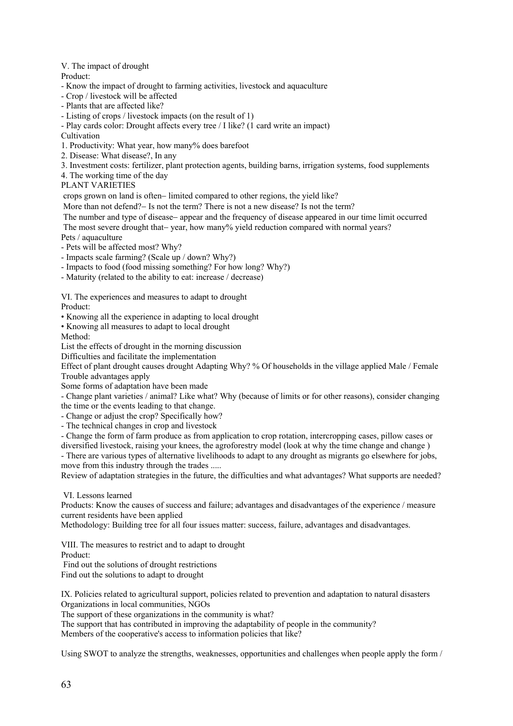#### V. The impact of drought

Product:

- Know the impact of drought to farming activities, livestock and aquaculture
- Crop / livestock will be affected
- Plants that are affected like?
- Listing of crops / livestock impacts (on the result of 1)
- Play cards color: Drought affects every tree / I like? (1 card write an impact)
- **Cultivation**
- 1. Productivity: What year, how many% does barefoot
- 2. Disease: What disease?, In any
- 3. Investment costs: fertilizer, plant protection agents, building barns, irrigation systems, food supplements
- 4. The working time of the day

#### PLANT VARIETIES

crops grown on land is often− limited compared to other regions, the yield like?

- More than not defend?– Is not the term? There is not a new disease? Is not the term?
- The number and type of disease− appear and the frequency of disease appeared in our time limit occurred
- The most severe drought that– year, how many% yield reduction compared with normal years?

Pets / aquaculture

- Pets will be affected most? Why?
- Impacts scale farming? (Scale up / down? Why?)
- Impacts to food (food missing something? For how long? Why?)
- Maturity (related to the ability to eat: increase / decrease)

VI. The experiences and measures to adapt to drought

Product:

• Knowing all the experience in adapting to local drought

• Knowing all measures to adapt to local drought

Method:

List the effects of drought in the morning discussion

Difficulties and facilitate the implementation

Effect of plant drought causes drought Adapting Why? % Of households in the village applied Male / Female Trouble advantages apply

Some forms of adaptation have been made

- Change plant varieties / animal? Like what? Why (because of limits or for other reasons), consider changing the time or the events leading to that change.

- Change or adjust the crop? Specifically how?

- The technical changes in crop and livestock

- Change the form of farm produce as from application to crop rotation, intercropping cases, pillow cases or diversified livestock, raising your knees, the agroforestry model (look at why the time change and change )

- There are various types of alternative livelihoods to adapt to any drought as migrants go elsewhere for jobs, move from this industry through the trades .....

Review of adaptation strategies in the future, the difficulties and what advantages? What supports are needed?

VI. Lessons learned

Products: Know the causes of success and failure; advantages and disadvantages of the experience / measure current residents have been applied

Methodology: Building tree for all four issues matter: success, failure, advantages and disadvantages.

VIII. The measures to restrict and to adapt to drought Product: Find out the solutions of drought restrictions

Find out the solutions to adapt to drought

IX. Policies related to agricultural support, policies related to prevention and adaptation to natural disasters Organizations in local communities, NGOs

The support of these organizations in the community is what?

The support that has contributed in improving the adaptability of people in the community?

Members of the cooperative's access to information policies that like?

Using SWOT to analyze the strengths, weaknesses, opportunities and challenges when people apply the form /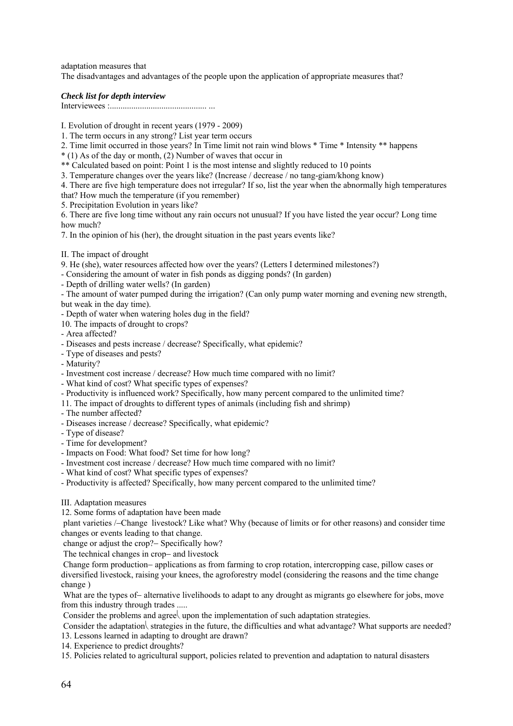adaptation measures that The disadvantages and advantages of the people upon the application of appropriate measures that?

## *Check list for depth interview*

Interviewees :............................................. ...

- I. Evolution of drought in recent years (1979 2009)
- 1. The term occurs in any strong? List year term occurs
- 2. Time limit occurred in those years? In Time limit not rain wind blows \* Time \* Intensity \*\* happens
- \* (1) As of the day or month, (2) Number of waves that occur in
- \*\* Calculated based on point: Point 1 is the most intense and slightly reduced to 10 points
- 3. Temperature changes over the years like? (Increase / decrease / no tang-giam/khong know)
- 4. There are five high temperature does not irregular? If so, list the year when the abnormally high temperatures that? How much the temperature (if you remember)
- 5. Precipitation Evolution in years like?

6. There are five long time without any rain occurs not unusual? If you have listed the year occur? Long time how much?

7. In the opinion of his (her), the drought situation in the past years events like?

- II. The impact of drought
- 9. He (she), water resources affected how over the years? (Letters I determined milestones?)
- Considering the amount of water in fish ponds as digging ponds? (In garden)
- Depth of drilling water wells? (In garden)
- The amount of water pumped during the irrigation? (Can only pump water morning and evening new strength, but weak in the day time).
- Depth of water when watering holes dug in the field?
- 10. The impacts of drought to crops?
- Area affected?
- Diseases and pests increase / decrease? Specifically, what epidemic?
- Type of diseases and pests?
- Maturity?
- Investment cost increase / decrease? How much time compared with no limit?
- What kind of cost? What specific types of expenses?
- Productivity is influenced work? Specifically, how many percent compared to the unlimited time?
- 11. The impact of droughts to different types of animals (including fish and shrimp)
- The number affected?
- Diseases increase / decrease? Specifically, what epidemic?
- Type of disease?
- Time for development?
- Impacts on Food: What food? Set time for how long?
- Investment cost increase / decrease? How much time compared with no limit?
- What kind of cost? What specific types of expenses?
- Productivity is affected? Specifically, how many percent compared to the unlimited time?

## III. Adaptation measures

12. Some forms of adaptation have been made

 plant varieties /−Change livestock? Like what? Why (because of limits or for other reasons) and consider time changes or events leading to that change.

change or adjust the crop?− Specifically how?

The technical changes in crop− and livestock

 Change form production− applications as from farming to crop rotation, intercropping case, pillow cases or diversified livestock, raising your knees, the agroforestry model (considering the reasons and the time change change )

 What are the types of− alternative livelihoods to adapt to any drought as migrants go elsewhere for jobs, move from this industry through trades .....

Consider the problems and agree∖ upon the implementation of such adaptation strategies.

Consider the adaptation strategies in the future, the difficulties and what advantage? What supports are needed? 13. Lessons learned in adapting to drought are drawn?

14. Experience to predict droughts?

15. Policies related to agricultural support, policies related to prevention and adaptation to natural disasters